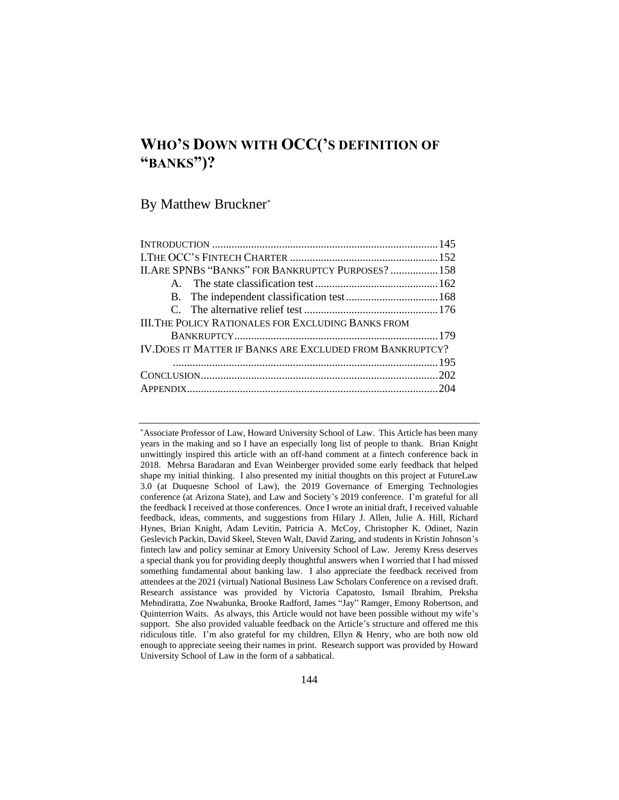# **WHO'S DOWN WITH OCC('S DEFINITION OF "BANKS")?**

By Matthew Bruckner\*

| II. ARE SPNBS "BANKS" FOR BANKRUPTCY PURPOSES?  158        |  |
|------------------------------------------------------------|--|
|                                                            |  |
|                                                            |  |
|                                                            |  |
| <b>III. THE POLICY RATIONALES FOR EXCLUDING BANKS FROM</b> |  |
|                                                            |  |
| IV. DOES IT MATTER IF BANKS ARE EXCLUDED FROM BANKRUPTCY?  |  |
|                                                            |  |
|                                                            |  |
|                                                            |  |
|                                                            |  |

\*Associate Professor of Law, Howard University School of Law. This Article has been many years in the making and so I have an especially long list of people to thank. Brian Knight unwittingly inspired this article with an off-hand comment at a fintech conference back in 2018. Mehrsa Baradaran and Evan Weinberger provided some early feedback that helped shape my initial thinking. I also presented my initial thoughts on this project at FutureLaw 3.0 (at Duquesne School of Law), the 2019 Governance of Emerging Technologies conference (at Arizona State), and Law and Society's 2019 conference. I'm grateful for all the feedback I received at those conferences. Once I wrote an initial draft, I received valuable feedback, ideas, comments, and suggestions from Hilary J. Allen, Julie A. Hill, Richard Hynes, Brian Knight, Adam Levitin, Patricia A. McCoy, Christopher K. Odinet, Nazin Geslevich Packin, David Skeel, Steven Walt, David Zaring, and students in Kristin Johnson's fintech law and policy seminar at Emory University School of Law. Jeremy Kress deserves a special thank you for providing deeply thoughtful answers when I worried that I had missed something fundamental about banking law. I also appreciate the feedback received from attendees at the 2021 (virtual) National Business Law Scholars Conference on a revised draft. Research assistance was provided by Victoria Capatosto, Ismail Ibrahim, Preksha Mehndiratta, Zoe Nwabunka, Brooke Radford, James "Jay" Ramger, Emony Robertson, and Quinterrion Waits. As always, this Article would not have been possible without my wife's support. She also provided valuable feedback on the Article's structure and offered me this ridiculous title. I'm also grateful for my children, Ellyn & Henry, who are both now old enough to appreciate seeing their names in print. Research support was provided by Howard University School of Law in the form of a sabbatical.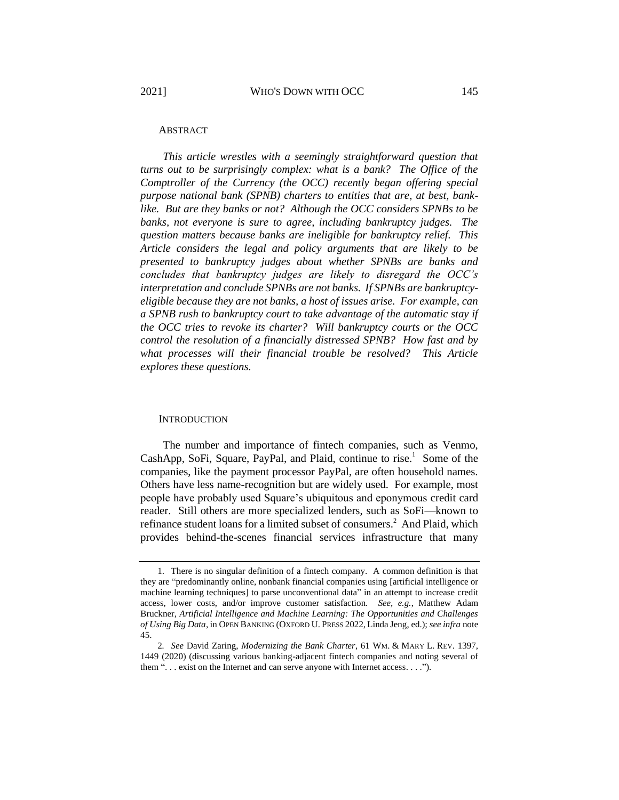#### ABSTRACT

*This article wrestles with a seemingly straightforward question that turns out to be surprisingly complex: what is a bank? The Office of the Comptroller of the Currency (the OCC) recently began offering special purpose national bank (SPNB) charters to entities that are, at best, banklike. But are they banks or not? Although the OCC considers SPNBs to be banks, not everyone is sure to agree, including bankruptcy judges. The question matters because banks are ineligible for bankruptcy relief. This Article considers the legal and policy arguments that are likely to be presented to bankruptcy judges about whether SPNBs are banks and concludes that bankruptcy judges are likely to disregard the OCC's interpretation and conclude SPNBs are not banks. If SPNBs are bankruptcyeligible because they are not banks, a host of issues arise. For example, can a SPNB rush to bankruptcy court to take advantage of the automatic stay if the OCC tries to revoke its charter? Will bankruptcy courts or the OCC control the resolution of a financially distressed SPNB? How fast and by what processes will their financial trouble be resolved? This Article explores these questions.*

#### <span id="page-1-0"></span>**INTRODUCTION**

The number and importance of fintech companies, such as Venmo, CashApp, SoFi, Square, PayPal, and Plaid, continue to rise.<sup>1</sup> Some of the companies, like the payment processor PayPal, are often household names. Others have less name-recognition but are widely used. For example, most people have probably used Square's ubiquitous and eponymous credit card reader. Still others are more specialized lenders, such as SoFi—known to refinance student loans for a limited subset of consumers.<sup>2</sup> And Plaid, which provides behind-the-scenes financial services infrastructure that many

<sup>1.</sup> There is no singular definition of a fintech company. A common definition is that they are "predominantly online, nonbank financial companies using [artificial intelligence or machine learning techniques] to parse unconventional data" in an attempt to increase credit access, lower costs, and/or improve customer satisfaction. *See, e.g.*, Matthew Adam Bruckner, *Artificial Intelligence and Machine Learning: The Opportunities and Challenges of Using Big Data*, in OPEN BANKING (OXFORD U. PRESS 2022, Linda Jeng, ed.); *see infra* note [45.](#page-11-0)

<sup>2</sup>*. See* David Zaring, *Modernizing the Bank Charter*, 61 WM. & MARY L. REV. 1397, 1449 (2020) (discussing various banking-adjacent fintech companies and noting several of them ". . . exist on the Internet and can serve anyone with Internet access. . . .").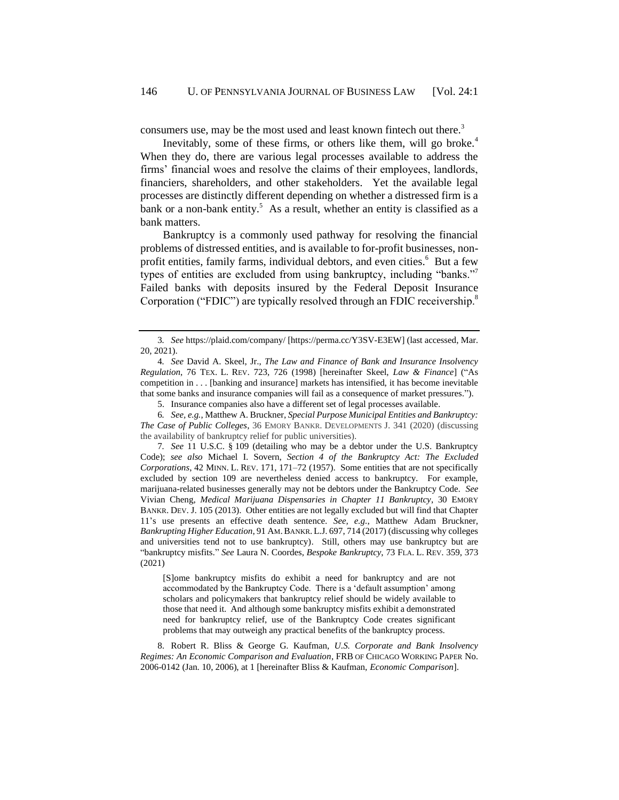<span id="page-2-3"></span><span id="page-2-2"></span>consumers use, may be the most used and least known fintech out there.<sup>3</sup>

Inevitably, some of these firms, or others like them, will go broke.<sup>4</sup> When they do, there are various legal processes available to address the firms' financial woes and resolve the claims of their employees, landlords, financiers, shareholders, and other stakeholders. Yet the available legal processes are distinctly different depending on whether a distressed firm is a bank or a non-bank entity.<sup>5</sup> As a result, whether an entity is classified as a bank matters.

<span id="page-2-1"></span>Bankruptcy is a commonly used pathway for resolving the financial problems of distressed entities, and is available to for-profit businesses, nonprofit entities, family farms, individual debtors, and even cities.<sup>6</sup> But a few types of entities are excluded from using bankruptcy, including "banks."<sup>7</sup> Failed banks with deposits insured by the Federal Deposit Insurance Corporation ("FDIC") are typically resolved through an FDIC receivership.<sup>8</sup>

[S]ome bankruptcy misfits do exhibit a need for bankruptcy and are not accommodated by the Bankruptcy Code. There is a 'default assumption' among scholars and policymakers that bankruptcy relief should be widely available to those that need it. And although some bankruptcy misfits exhibit a demonstrated need for bankruptcy relief, use of the Bankruptcy Code creates significant problems that may outweigh any practical benefits of the bankruptcy process.

8. Robert R. Bliss & George G. Kaufman, *U.S. Corporate and Bank Insolvency Regimes: An Economic Comparison and Evaluation*, FRB OF CHICAGO WORKING PAPER No. 2006-0142 (Jan. 10, 2006), at 1 [hereinafter Bliss & Kaufman, *Economic Comparison*].

<sup>3</sup>*. See* https://plaid.com/company/ [https://perma.cc/Y3SV-E3EW] (last accessed, Mar. 20, 2021).

<sup>4</sup>*. See* David A. Skeel, Jr., *The Law and Finance of Bank and Insurance Insolvency Regulation*, 76 TEX. L. REV. 723, 726 (1998) [hereinafter Skeel, *Law & Finance*] ("As competition in . . . [banking and insurance] markets has intensified, it has become inevitable that some banks and insurance companies will fail as a consequence of market pressures.").

<span id="page-2-0"></span><sup>5.</sup> Insurance companies also have a different set of legal processes available.

<sup>6</sup>*. See, e.g.*, Matthew A. Bruckner, *Special Purpose Municipal Entities and Bankruptcy: The Case of Public Colleges*, 36 EMORY BANKR. DEVELOPMENTS J. 341 (2020) (discussing the availability of bankruptcy relief for public universities).

<sup>7</sup>*. See* 11 U.S.C. § 109 (detailing who may be a debtor under the U.S. Bankruptcy Code); *see also* Michael I. Sovern, *Section 4 of the Bankruptcy Act: The Excluded Corporations*, 42 MINN. L. REV. 171, 171–72 (1957). Some entities that are not specifically excluded by section 109 are nevertheless denied access to bankruptcy. For example, marijuana-related businesses generally may not be debtors under the Bankruptcy Code. *See*  Vivian Cheng, *Medical Marijuana Dispensaries in Chapter 11 Bankruptcy*, 30 EMORY BANKR. DEV. J. 105 (2013). Other entities are not legally excluded but will find that Chapter 11's use presents an effective death sentence. *See, e.g.*, Matthew Adam Bruckner, *Bankrupting Higher Education*, 91 AM.BANKR.L.J. 697, 714 (2017) (discussing why colleges and universities tend not to use bankruptcy). Still, others may use bankruptcy but are "bankruptcy misfits." *See* Laura N. Coordes, *Bespoke Bankruptcy*, 73 FLA. L. REV. 359, 373 (2021)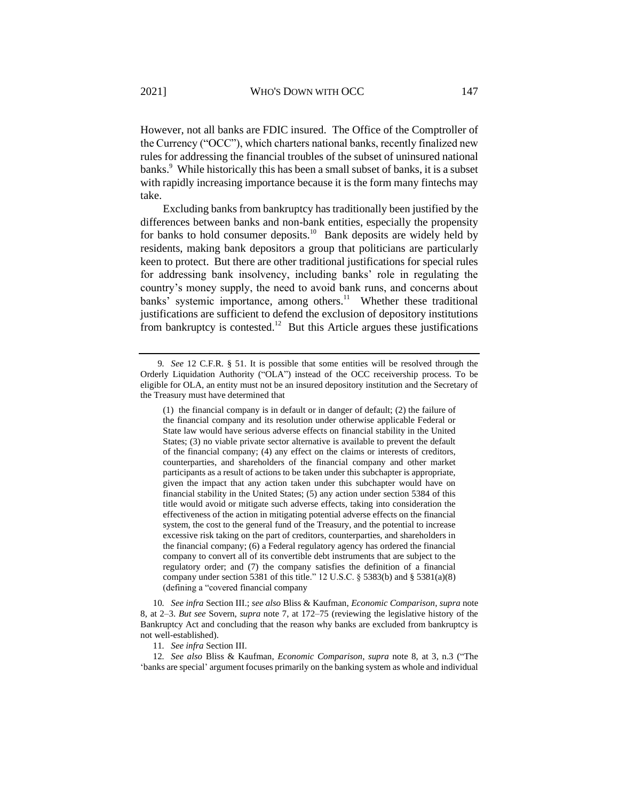However, not all banks are FDIC insured. The Office of the Comptroller of the Currency ("OCC"), which charters national banks, recently finalized new rules for addressing the financial troubles of the subset of uninsured national banks.<sup>9</sup> While historically this has been a small subset of banks, it is a subset with rapidly increasing importance because it is the form many fintechs may take.

Excluding banks from bankruptcy has traditionally been justified by the differences between banks and non-bank entities, especially the propensity for banks to hold consumer deposits.<sup>10</sup> Bank deposits are widely held by residents, making bank depositors a group that politicians are particularly keen to protect. But there are other traditional justifications for special rules for addressing bank insolvency, including banks' role in regulating the country's money supply, the need to avoid bank runs, and concerns about banks' systemic importance, among others.<sup>11</sup> Whether these traditional justifications are sufficient to defend the exclusion of depository institutions from bankruptcy is contested.<sup>12</sup> But this Article argues these justifications

10*. See infra* Section [III.;](#page-35-0) *see also* Bliss & Kaufman, *Economic Comparison*, *supra* note [8,](#page-2-0) at 2–3. *But see* Sovern, *supra* note [7,](#page-2-1) at 172–75 (reviewing the legislative history of the Bankruptcy Act and concluding that the reason why banks are excluded from bankruptcy is not well-established).

11*. See infra* Section [III.](#page-35-0)

12*. See also* Bliss & Kaufman, *Economic Comparison*, *supra* note [8,](#page-2-0) at 3, n.3 ("The 'banks are special' argument focuses primarily on the banking system as whole and individual

<span id="page-3-0"></span><sup>9</sup>*. See* 12 C.F.R. § 51. It is possible that some entities will be resolved through the Orderly Liquidation Authority ("OLA") instead of the OCC receivership process. To be eligible for OLA, an entity must not be an insured depository institution and the Secretary of the Treasury must have determined that

<sup>(1)</sup> the financial company is in default or in danger of default; (2) the failure of the financial company and its resolution under otherwise applicable Federal or State law would have serious adverse effects on financial stability in the United States; (3) no viable private sector alternative is available to prevent the default of the financial company; (4) any effect on the claims or interests of creditors, counterparties, and shareholders of the financial company and other market participants as a result of actions to be taken under this subchapter is appropriate, given the impact that any action taken under this subchapter would have on financial stability in the United States; (5) any action under section 5384 of this title would avoid or mitigate such adverse effects, taking into consideration the effectiveness of the action in mitigating potential adverse effects on the financial system, the cost to the general fund of the Treasury, and the potential to increase excessive risk taking on the part of creditors, counterparties, and shareholders in the financial company; (6) a Federal regulatory agency has ordered the financial company to convert all of its convertible debt instruments that are subject to the regulatory order; and (7) the company satisfies the definition of a financial company under section 5381 of this title." 12 U.S.C. § 5383(b) and § 5381(a)(8) (defining a "covered financial company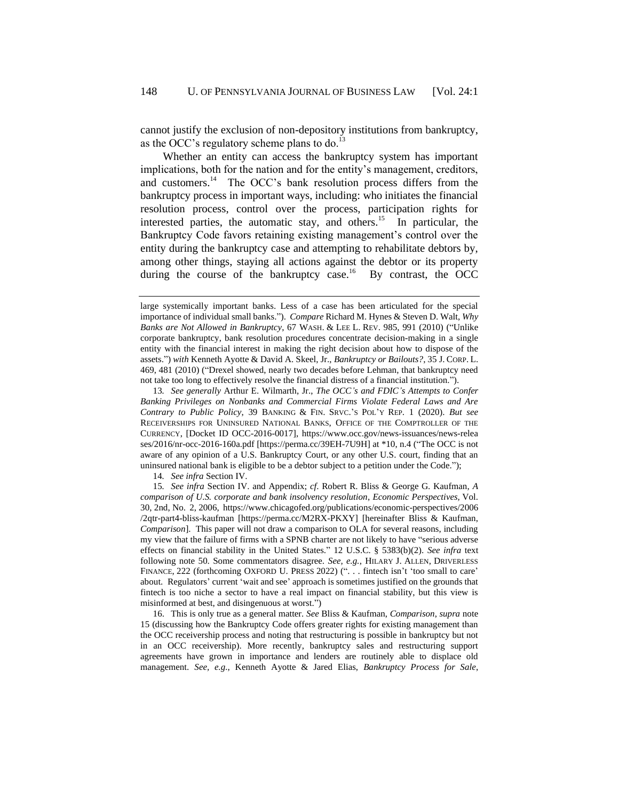<span id="page-4-1"></span>cannot justify the exclusion of non-depository institutions from bankruptcy, as the OCC's regulatory scheme plans to do.<sup>13</sup>

<span id="page-4-0"></span>Whether an entity can access the bankruptcy system has important implications, both for the nation and for the entity's management, creditors, and customers.<sup>14</sup> The OCC's bank resolution process differs from the bankruptcy process in important ways, including: who initiates the financial resolution process, control over the process, participation rights for interested parties, the automatic stay, and others.<sup>15</sup> In particular, the Bankruptcy Code favors retaining existing management's control over the entity during the bankruptcy case and attempting to rehabilitate debtors by, among other things, staying all actions against the debtor or its property during the course of the bankruptcy case.<sup>16</sup> By contrast, the OCC

13*. See generally* Arthur E. Wilmarth, Jr., *The OCC's and FDIC's Attempts to Confer Banking Privileges on Nonbanks and Commercial Firms Violate Federal Laws and Are Contrary to Public Policy*, 39 BANKING & FIN. SRVC.'S POL'Y REP. 1 (2020). *But see*  RECEIVERSHIPS FOR UNINSURED NATIONAL BANKS, OFFICE OF THE COMPTROLLER OF THE CURRENCY, [Docket ID OCC-2016-0017], https://www.occ.gov/news-issuances/news-relea ses/2016/nr-occ-2016-160a.pdf [https://perma.cc/39EH-7U9H] at \*10, n.4 ("The OCC is not aware of any opinion of a U.S. Bankruptcy Court, or any other U.S. court, finding that an uninsured national bank is eligible to be a debtor subject to a petition under the Code.");

14*. See infra* Section [IV.](#page-51-0)

15*. See infra* Section [IV.](#page-51-0) and [Ap](#page-60-0)pendix; *cf*. Robert R. Bliss & George G. Kaufman, *A comparison of U.S. corporate and bank insolvency resolution*, *Economic Perspectives,* Vol. 30, 2nd, No. 2, 2006, https://www.chicagofed.org/publications/economic-perspectives/2006 /2qtr-part4-bliss-kaufman [https://perma.cc/M2RX-PKXY] [hereinafter Bliss & Kaufman, *Comparison*]. This paper will not draw a comparison to OLA for several reasons, including my view that the failure of firms with a SPNB charter are not likely to have "serious adverse effects on financial stability in the United States." 12 U.S.C. § 5383(b)(2). *See infra* text following note [50.](#page-12-0) Some commentators disagree. *See, e.g.*, HILARY J. ALLEN, DRIVERLESS FINANCE, 222 (forthcoming OXFORD U. PRESS 2022) (". . . fintech isn't 'too small to care' about. Regulators' current 'wait and see' approach is sometimes justified on the grounds that fintech is too niche a sector to have a real impact on financial stability, but this view is misinformed at best, and disingenuous at worst.")

16. This is only true as a general matter. *See* Bliss & Kaufman, *Comparison*, *supra* note [15](#page-4-0) (discussing how the Bankruptcy Code offers greater rights for existing management than the OCC receivership process and noting that restructuring is possible in bankruptcy but not in an OCC receivership). More recently, bankruptcy sales and restructuring support agreements have grown in importance and lenders are routinely able to displace old management. *See, e.g.*, Kenneth Ayotte & Jared Elias, *Bankruptcy Process for Sale*,

<span id="page-4-2"></span>large systemically important banks. Less of a case has been articulated for the special importance of individual small banks."). *Compare* Richard M. Hynes & Steven D. Walt, *Why Banks are Not Allowed in Bankruptcy*, 67 WASH. & LEE L. REV. 985, 991 (2010) ("Unlike corporate bankruptcy, bank resolution procedures concentrate decision-making in a single entity with the financial interest in making the right decision about how to dispose of the assets.") *with* Kenneth Ayotte & David A. Skeel, Jr., *Bankruptcy or Bailouts?*, 35 J. CORP. L. 469, 481 (2010) ("Drexel showed, nearly two decades before Lehman, that bankruptcy need not take too long to effectively resolve the financial distress of a financial institution.").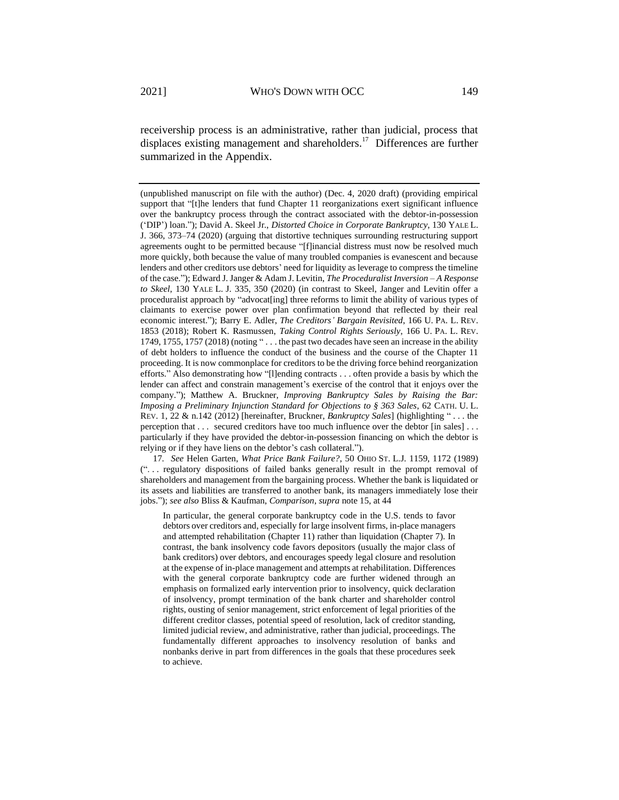<span id="page-5-0"></span>receivership process is an administrative, rather than judicial, process that displaces existing management and shareholders.<sup>17</sup> Differences are further summarized in the Appendix.

(unpublished manuscript on file with the author) (Dec. 4, 2020 draft) (providing empirical support that "[t]he lenders that fund Chapter 11 reorganizations exert significant influence over the bankruptcy process through the contract associated with the debtor-in-possession ('DIP') loan."); David A. Skeel Jr., *Distorted Choice in Corporate Bankruptcy*, 130 YALE L. J. 366, 373–74 (2020) (arguing that distortive techniques surrounding restructuring support agreements ought to be permitted because "[f]inancial distress must now be resolved much more quickly, both because the value of many troubled companies is evanescent and because lenders and other creditors use debtors' need for liquidity as leverage to compress the timeline of the case."); Edward J. Janger & Adam J. Levitin, *The Proceduralist Inversion – A Response to Skeel*, 130 YALE L. J. 335, 350 (2020) (in contrast to Skeel, Janger and Levitin offer a proceduralist approach by "advocat[ing] three reforms to limit the ability of various types of claimants to exercise power over plan confirmation beyond that reflected by their real economic interest."); Barry E. Adler, *The Creditors' Bargain Revisited*, 166 U. PA. L. REV. 1853 (2018); Robert K. Rasmussen, *Taking Control Rights Seriously*, 166 U. PA. L. REV. 1749, 1755, 1757 (2018) (noting " . . . the past two decades have seen an increase in the ability of debt holders to influence the conduct of the business and the course of the Chapter 11 proceeding. It is now commonplace for creditors to be the driving force behind reorganization efforts." Also demonstrating how "[l]ending contracts . . . often provide a basis by which the lender can affect and constrain management's exercise of the control that it enjoys over the company."); Matthew A. Bruckner, *Improving Bankruptcy Sales by Raising the Bar: Imposing a Preliminary Injunction Standard for Objections to § 363 Sales*, 62 CATH. U. L. REV. 1, 22 & n.142 (2012) [hereinafter, Bruckner, *Bankruptcy Sales*] (highlighting " . . . the perception that . . . secured creditors have too much influence over the debtor [in sales] . . . particularly if they have provided the debtor-in-possession financing on which the debtor is relying or if they have liens on the debtor's cash collateral.").

17*. See* Helen Garten, *What Price Bank Failure?*, 50 OHIO ST. L.J. 1159, 1172 (1989) (". . . regulatory dispositions of failed banks generally result in the prompt removal of shareholders and management from the bargaining process. Whether the bank is liquidated or its assets and liabilities are transferred to another bank, its managers immediately lose their jobs."); *see also* Bliss & Kaufman, *Comparison*, *supra* note [15,](#page-4-0) at 44

In particular, the general corporate bankruptcy code in the U.S. tends to favor debtors over creditors and, especially for large insolvent firms, in-place managers and attempted rehabilitation (Chapter 11) rather than liquidation (Chapter 7). In contrast, the bank insolvency code favors depositors (usually the major class of bank creditors) over debtors, and encourages speedy legal closure and resolution at the expense of in-place management and attempts at rehabilitation. Differences with the general corporate bankruptcy code are further widened through an emphasis on formalized early intervention prior to insolvency, quick declaration of insolvency, prompt termination of the bank charter and shareholder control rights, ousting of senior management, strict enforcement of legal priorities of the different creditor classes, potential speed of resolution, lack of creditor standing, limited judicial review, and administrative, rather than judicial, proceedings. The fundamentally different approaches to insolvency resolution of banks and nonbanks derive in part from differences in the goals that these procedures seek to achieve.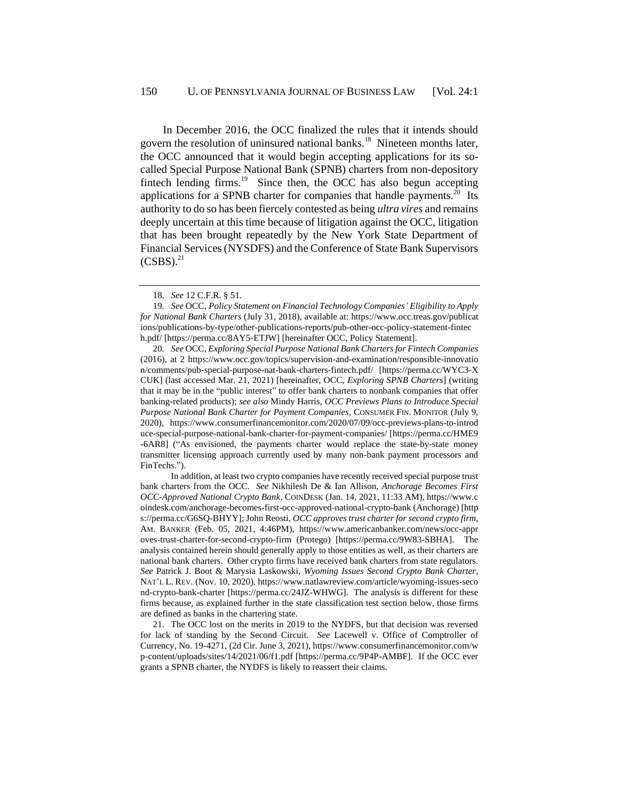<span id="page-6-1"></span>In December 2016, the OCC finalized the rules that it intends should govern the resolution of uninsured national banks.<sup>18</sup> Nineteen months later, the OCC announced that it would begin accepting applications for its socalled Special Purpose National Bank (SPNB) charters from non-depository fintech lending firms. $19$  Since then, the OCC has also begun accepting applications for a SPNB charter for companies that handle payments. $20$  Its authority to do so has been fiercely contested as being *ultra vires* and remains deeply uncertain at this time because of litigation against the OCC, litigation that has been brought repeatedly by the New York State Department of Financial Services (NYSDFS) and the Conference of State Bank Supervisors  $(CSBS).<sup>21</sup>$ 

In addition, at least two crypto companies have recently received special purpose trust bank charters from the OCC. *See* Nikhilesh De & Ian Allison, *Anchorage Becomes First OCC-Approved National Crypto Bank*, COINDESK (Jan. 14, 2021, 11:33 AM), https://www.c oindesk.com/anchorage-becomes-first-occ-approved-national-crypto-bank (Anchorage) [http s://perma.cc/G6SQ-BHYY]; John Reosti, *OCC approves trust charter for second crypto firm*, AM. BANKER (Feb. 05, 2021, 4:46PM), https://www.americanbanker.com/news/occ-appr oves-trust-charter-for-second-crypto-firm (Protego) [https://perma.cc/9W83-SBHA]. The analysis contained herein should generally apply to those entities as well, as their charters are national bank charters. Other crypto firms have received bank charters from state regulators. *See* Patrick J. Boot & Marysia Laskowski, *Wyoming Issues Second Crypto Bank Charter*, NAT'L L. REV. (Nov. 10, 2020), https://www.natlawreview.com/article/wyoming-issues-seco nd-crypto-bank-charter [https://perma.cc/24JZ-WHWG]. The analysis is different for these firms because, as explained further in the state classification test section below, those firms are defined as banks in the chartering state.

21. The OCC lost on the merits in 2019 to the NYDFS, but that decision was reversed for lack of standing by the Second Circuit. *See* Lacewell v. Office of Comptroller of Currency, No. 19-4271, (2d Cir. June 3, 2021), https://www.consumerfinancemonitor.com/w p-content/uploads/sites/14/2021/06/f1.pdf [https://perma.cc/9P4P-AMBF]. If the OCC ever grants a SPNB charter, the NYDFS is likely to reassert their claims.

<span id="page-6-0"></span><sup>18</sup>*. See* 12 C.F.R. § 51.

<sup>19</sup>*. See* OCC, *Policy Statement on Financial Technology Companies' Eligibility to Apply for National Bank Charters* (July 31, 2018), available at: https://www.occ.treas.gov/publicat ions/publications-by-type/other-publications-reports/pub-other-occ-policy-statement-fintec h.pdf/ [https://perma.cc/8AY5-ETJW] [hereinafter OCC, Policy Statement].

<sup>20</sup>*. See* OCC, *Exploring Special Purpose National Bank Charters for Fintech Companies* (2016), at 2 https://www.occ.gov/topics/supervision-and-examination/responsible-innovatio n/comments/pub-special-purpose-nat-bank-charters-fintech.pdf/ [https://perma.cc/WYC3-X CUK] (last accessed Mar. 21, 2021) [hereinafter, OCC, *Exploring SPNB Charters*] (writing that it may be in the "public interest" to offer bank charters to nonbank companies that offer banking-related products); *see also* Mindy Harris, *OCC Previews Plans to Introduce Special Purpose National Bank Charter for Payment Companies*, CONSUMER FIN. MONITOR (July 9, 2020), https://www.consumerfinancemonitor.com/2020/07/09/occ-previews-plans-to-introd uce-special-purpose-national-bank-charter-for-payment-companies/ [https://perma.cc/HME9 -6AR8] ("As envisioned, the payments charter would replace the state-by-state money transmitter licensing approach currently used by many non-bank payment processors and FinTechs.").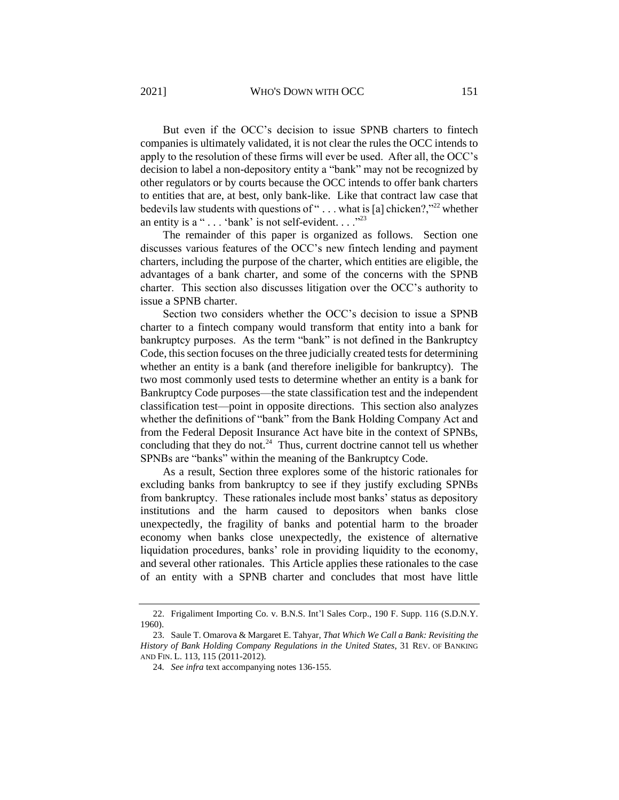But even if the OCC's decision to issue SPNB charters to fintech companies is ultimately validated, it is not clear the rules the OCC intends to apply to the resolution of these firms will ever be used. After all, the OCC's decision to label a non-depository entity a "bank" may not be recognized by other regulators or by courts because the OCC intends to offer bank charters to entities that are, at best, only bank-like. Like that contract law case that bedevils law students with questions of " $\dots$  what is [a] chicken?,"<sup>22</sup> whether an entity is a "... 'bank' is not self-evident...."<sup>23</sup>

<span id="page-7-1"></span><span id="page-7-0"></span>The remainder of this paper is organized as follows. Section one discusses various features of the OCC's new fintech lending and payment charters, including the purpose of the charter, which entities are eligible, the advantages of a bank charter, and some of the concerns with the SPNB charter. This section also discusses litigation over the OCC's authority to issue a SPNB charter.

Section two considers whether the OCC's decision to issue a SPNB charter to a fintech company would transform that entity into a bank for bankruptcy purposes. As the term "bank" is not defined in the Bankruptcy Code, this section focuses on the three judicially created tests for determining whether an entity is a bank (and therefore ineligible for bankruptcy). The two most commonly used tests to determine whether an entity is a bank for Bankruptcy Code purposes—the state classification test and the independent classification test—point in opposite directions. This section also analyzes whether the definitions of "bank" from the Bank Holding Company Act and from the Federal Deposit Insurance Act have bite in the context of SPNBs, concluding that they do not. $24$  Thus, current doctrine cannot tell us whether SPNBs are "banks" within the meaning of the Bankruptcy Code.

As a result, Section three explores some of the historic rationales for excluding banks from bankruptcy to see if they justify excluding SPNBs from bankruptcy. These rationales include most banks' status as depository institutions and the harm caused to depositors when banks close unexpectedly, the fragility of banks and potential harm to the broader economy when banks close unexpectedly, the existence of alternative liquidation procedures, banks' role in providing liquidity to the economy, and several other rationales. This Article applies these rationales to the case of an entity with a SPNB charter and concludes that most have little

<sup>22.</sup> Frigaliment Importing Co. v. B.N.S. Int'l Sales Corp., 190 F. Supp. 116 (S.D.N.Y. 1960).

<sup>23.</sup> Saule T. Omarova & Margaret E. Tahyar, *That Which We Call a Bank: Revisiting the History of Bank Holding Company Regulations in the United States*, 31 REV. OF BANKING AND FIN. L. 113, 115 (2011-2012).

<sup>24</sup>*. See infra* text accompanying notes [136](#page-29-0)[-155.](#page-32-0)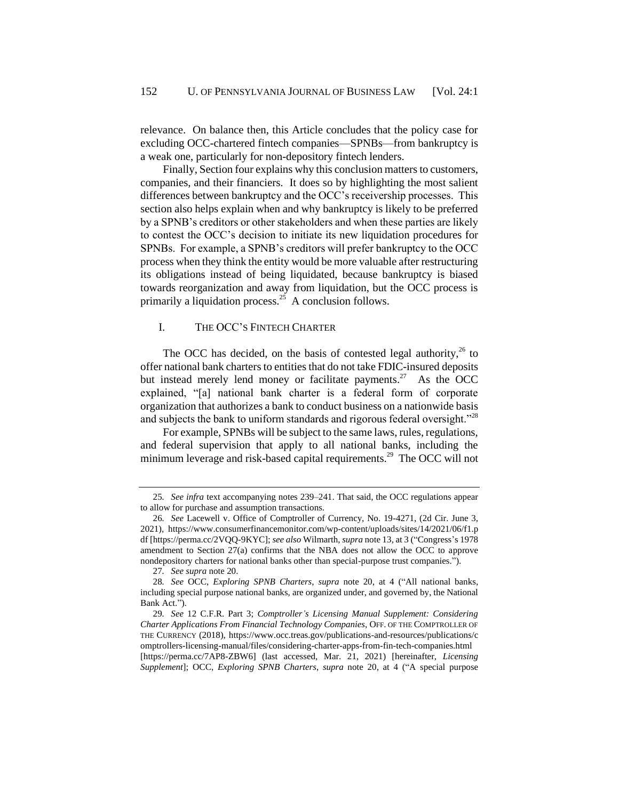relevance. On balance then, this Article concludes that the policy case for excluding OCC-chartered fintech companies—SPNBs—from bankruptcy is a weak one, particularly for non-depository fintech lenders.

Finally, Section four explains why this conclusion matters to customers, companies, and their financiers. It does so by highlighting the most salient differences between bankruptcy and the OCC's receivership processes. This section also helps explain when and why bankruptcy is likely to be preferred by a SPNB's creditors or other stakeholders and when these parties are likely to contest the OCC's decision to initiate its new liquidation procedures for SPNBs. For example, a SPNB's creditors will prefer bankruptcy to the OCC process when they think the entity would be more valuable after restructuring its obligations instead of being liquidated, because bankruptcy is biased towards reorganization and away from liquidation, but the OCC process is primarily a liquidation process.<sup>25</sup> A conclusion follows.

## I. THE OCC'S FINTECH CHARTER

The OCC has decided, on the basis of contested legal authority,  $^{26}$  to offer national bank charters to entities that do not take FDIC-insured deposits but instead merely lend money or facilitate payments.<sup>27</sup> As the  $\overline{OCC}$ explained, "[a] national bank charter is a federal form of corporate organization that authorizes a bank to conduct business on a nationwide basis and subjects the bank to uniform standards and rigorous federal oversight."<sup>28</sup>

<span id="page-8-0"></span>For example, SPNBs will be subject to the same laws, rules, regulations, and federal supervision that apply to all national banks, including the minimum leverage and risk-based capital requirements.<sup>29</sup> The OCC will not

<sup>25</sup>*. See infra* text accompanying notes [239–](#page-49-0)[241.](#page-49-1) That said, the OCC regulations appear to allow for purchase and assumption transactions.

<sup>26</sup>*. See* Lacewell v. Office of Comptroller of Currency, No. 19-4271, (2d Cir. June 3, 2021), https://www.consumerfinancemonitor.com/wp-content/uploads/sites/14/2021/06/f1.p df [https://perma.cc/2VQQ-9KYC]; *see also* Wilmarth, *supra* not[e 13,](#page-4-1) a[t 3](#page-2-2) ("Congress's 1978 amendment to Section 27(a) confirms that the NBA does not allow the OCC to approve nondepository charters for national banks other than special-purpose trust companies.").

<sup>27</sup>*. See supra* not[e 20.](#page-6-0)

<sup>28</sup>*. See* OCC, *Exploring SPNB Charters*, *supra* note [20,](#page-6-0) at 4 ("All national banks, including special purpose national banks, are organized under, and governed by, the National Bank Act.").

<sup>29</sup>*. See* 12 C.F.R. Part 3; *Comptroller's Licensing Manual Supplement: Considering Charter Applications From Financial Technology Companies*, OFF. OF THE COMPTROLLER OF THE CURRENCY (2018), https://www.occ.treas.gov/publications-and-resources/publications/c omptrollers-licensing-manual/files/considering-charter-apps-from-fin-tech-companies.html [https://perma.cc/7AP8-ZBW6] (last accessed, Mar. 21, 2021) [hereinafter, *Licensing Supplement*]; OCC, *Exploring SPNB Charters*, *supra* note [20,](#page-6-0) at 4 ("A special purpose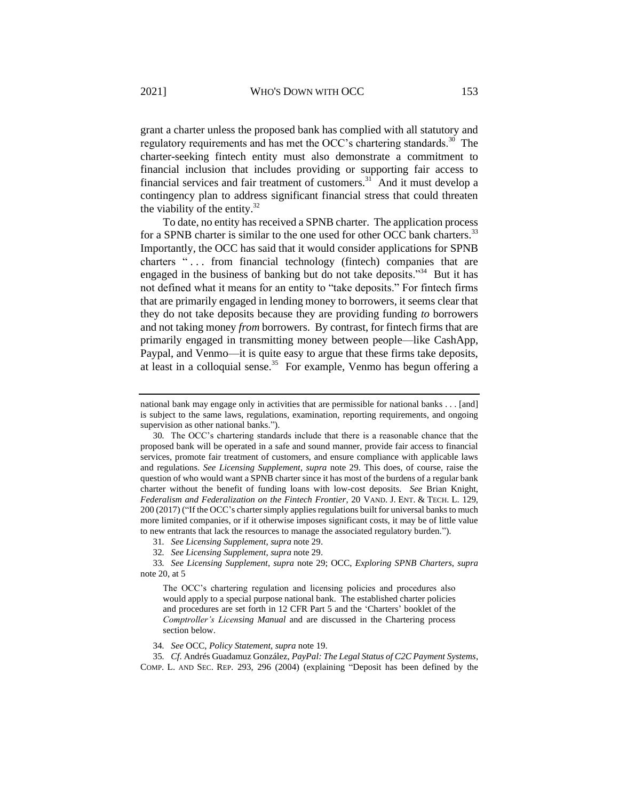<span id="page-9-1"></span>grant a charter unless the proposed bank has complied with all statutory and regulatory requirements and has met the OCC's chartering standards.<sup>30</sup> The charter-seeking fintech entity must also demonstrate a commitment to financial inclusion that includes providing or supporting fair access to financial services and fair treatment of customers. $31$  And it must develop a contingency plan to address significant financial stress that could threaten the viability of the entity. $32$ 

<span id="page-9-0"></span>To date, no entity has received a SPNB charter. The application process for a SPNB charter is similar to the one used for other OCC bank charters.<sup>33</sup> Importantly, the OCC has said that it would consider applications for SPNB charters "... from financial technology (fintech) companies that are engaged in the business of banking but do not take deposits."<sup>34</sup> But it has not defined what it means for an entity to "take deposits." For fintech firms that are primarily engaged in lending money to borrowers, it seems clear that they do not take deposits because they are providing funding *to* borrowers and not taking money *from* borrowers. By contrast, for fintech firms that are primarily engaged in transmitting money between people—like CashApp, Paypal, and Venmo—it is quite easy to argue that these firms take deposits, at least in a colloquial sense.<sup>35</sup> For example, Venmo has begun offering a

national bank may engage only in activities that are permissible for national banks . . . [and] is subject to the same laws, regulations, examination, reporting requirements, and ongoing supervision as other national banks.").

<sup>30</sup>*.* The OCC's chartering standards include that there is a reasonable chance that the proposed bank will be operated in a safe and sound manner, provide fair access to financial services, promote fair treatment of customers, and ensure compliance with applicable laws and regulations. *See Licensing Supplement*, *supra* note [29.](#page-8-0) This does, of course, raise the question of who would want a SPNB charter since it has most of the burdens of a regular bank charter without the benefit of funding loans with low-cost deposits. *See* Brian Knight, *Federalism and Federalization on the Fintech Frontier*, 20 VAND. J. ENT. & TECH. L. 129, 200 (2017) ("If the OCC's charter simply applies regulations built for universal banks to much more limited companies, or if it otherwise imposes significant costs, it may be of little value to new entrants that lack the resources to manage the associated regulatory burden.").

<sup>31</sup>*. See Licensing Supplement*, *supra* note [29.](#page-8-0)

<sup>32</sup>*. See Licensing Supplement*, *supra* note [29.](#page-8-0)

<sup>33</sup>*. See Licensing Supplement*, *supra* note [29;](#page-8-0) OCC, *Exploring SPNB Charters*, *supra*  not[e 20,](#page-6-0) at 5

The OCC's chartering regulation and licensing policies and procedures also would apply to a special purpose national bank. The established charter policies and procedures are set forth in 12 CFR Part 5 and the 'Charters' booklet of the *Comptroller's Licensing Manual* and are discussed in the Chartering process section below.

<sup>34</sup>*. See* OCC, *Policy Statement*, *supra* not[e 19.](#page-6-1)

<sup>35</sup>*. Cf*. Andrés Guadamuz González, *PayPal: The Legal Status of C2C Payment Systems*, COMP. L. AND SEC. REP. 293, 296 (2004) (explaining "Deposit has been defined by the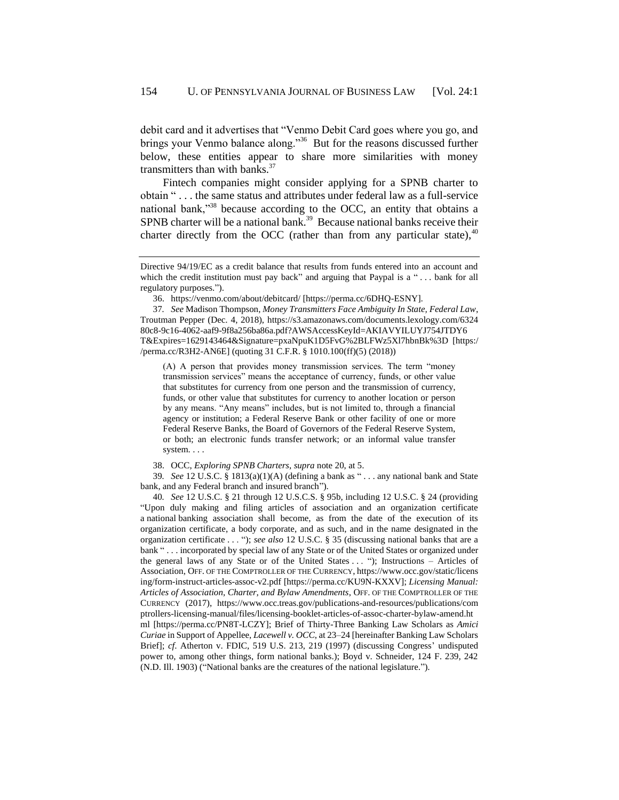<span id="page-10-2"></span>debit card and it advertises that "Venmo Debit Card goes where you go, and brings your Venmo balance along."<sup>36</sup> But for the reasons discussed further below, these entities appear to share more similarities with money transmitters than with banks. $37$ 

<span id="page-10-1"></span>Fintech companies might consider applying for a SPNB charter to obtain " . . . the same status and attributes under federal law as a full-service national bank,"<sup>38</sup> because according to the OCC, an entity that obtains a SPNB charter will be a national bank.<sup>39</sup> Because national banks receive their charter directly from the OCC (rather than from any particular state),  $40$ 

(A) A person that provides money transmission services. The term "money transmission services" means the acceptance of currency, funds, or other value that substitutes for currency from one person and the transmission of currency, funds, or other value that substitutes for currency to another location or person by any means. "Any means" includes, but is not limited to, through a financial agency or institution; a Federal Reserve Bank or other facility of one or more Federal Reserve Banks, the Board of Governors of the Federal Reserve System, or both; an electronic funds transfer network; or an informal value transfer system. . . .

38. OCC, *Exploring SPNB Charters*, *supra* not[e 20,](#page-6-0) at 5.

39*. See* 12 U.S.C. § 1813(a)(1)(A) (defining a bank as " . . . any national bank and State bank, and any Federal branch and insured branch").

40*. See* 12 U.S.C. § 21 through 12 U.S.C.S. § 95b, including 12 U.S.C. § 24 (providing "Upon duly making and filing articles of association and an organization certificate a national banking association shall become, as from the date of the execution of its organization certificate, a body corporate, and as such, and in the name designated in the organization certificate . . . "); *see also* 12 U.S.C. § 35 (discussing national banks that are a bank " . . . incorporated by special law of any State or of the United States or organized under the general laws of any State or of the United States . . . "); Instructions - Articles of Association, OFF. OF THE COMPTROLLER OF THE CURRENCY, https://www.occ.gov/static/licens ing/form-instruct-articles-assoc-v2.pdf [https://perma.cc/KU9N-KXXV]; *Licensing Manual: Articles of Association, Charter, and Bylaw Amendments*, OFF. OF THE COMPTROLLER OF THE CURRENCY (2017), https://www.occ.treas.gov/publications-and-resources/publications/com ptrollers-licensing-manual/files/licensing-booklet-articles-of-assoc-charter-bylaw-amend.ht ml [https://perma.cc/PN8T-LCZY]; Brief of Thirty-Three Banking Law Scholars as *Amici Curiae* in Support of Appellee, *Lacewell v. OCC*, at 23–24 [hereinafter Banking Law Scholars Brief]; *cf*. Atherton v. FDIC, 519 U.S. 213, 219 (1997) (discussing Congress' undisputed power to, among other things, form national banks.); Boyd v. Schneider, 124 F. 239, 242 (N.D. Ill. 1903) ("National banks are the creatures of the national legislature.").

Directive 94/19/EC as a credit balance that results from funds entered into an account and which the credit institution must pay back" and arguing that Paypal is a "... bank for all regulatory purposes.").

<span id="page-10-0"></span><sup>36.</sup> https://venmo.com/about/debitcard/ [https://perma.cc/6DHQ-ESNY].

<sup>37</sup>*. See* Madison Thompson, *Money Transmitters Face Ambiguity In State, Federal Law*, Troutman Pepper (Dec. 4, 2018), https://s3.amazonaws.com/documents.lexology.com/6324 80c8-9c16-4062-aaf9-9f8a256ba86a.pdf?AWSAccessKeyId=AKIAVYILUYJ754JTDY6 T&Expires=1629143464&Signature=pxaNpuK1D5FvG%2BLFWz5Xl7hbnBk%3D [https:/ /perma.cc/R3H2-AN6E] (quoting 31 C.F.R. § 1010.100(ff)(5) (2018))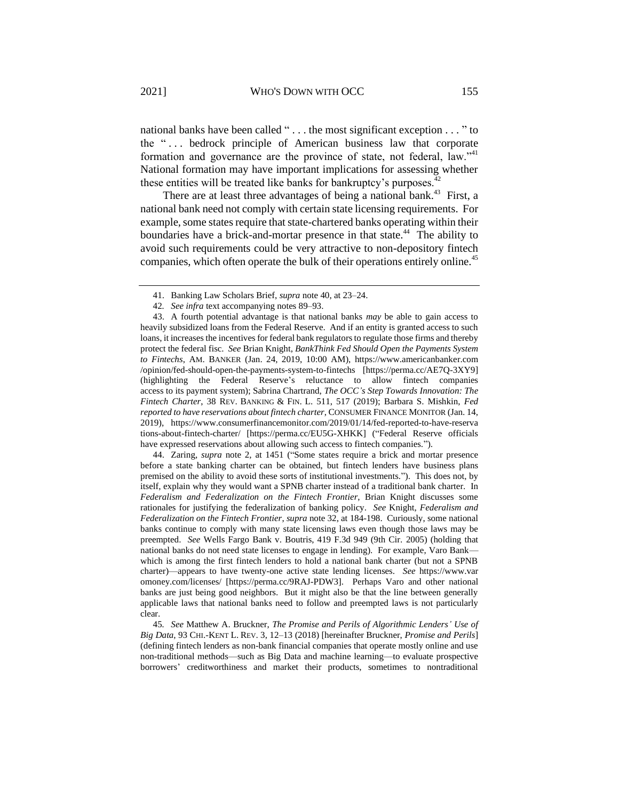<span id="page-11-2"></span>national banks have been called " . . . the most significant exception . . . " to the " . . . bedrock principle of American business law that corporate formation and governance are the province of state, not federal, law."<sup>41</sup> National formation may have important implications for assessing whether these entities will be treated like banks for bankruptcy's purposes.<sup>4</sup>

<span id="page-11-1"></span>There are at least three advantages of being a national bank.<sup>43</sup> First, a national bank need not comply with certain state licensing requirements. For example, some states require that state-chartered banks operating within their boundaries have a brick-and-mortar presence in that state.<sup>44</sup> The ability to avoid such requirements could be very attractive to non-depository fintech companies, which often operate the bulk of their operations entirely online.<sup>45</sup>

44. Zaring, *supra* note [2](#page-1-0)*,* at 1451 ("Some states require a brick and mortar presence before a state banking charter can be obtained, but fintech lenders have business plans premised on the ability to avoid these sorts of institutional investments."). This does not, by itself, explain why they would want a SPNB charter instead of a traditional bank charter. In *Federalism and Federalization on the Fintech Frontier*, Brian Knight discusses some rationales for justifying the federalization of banking policy. *See* Knight, *Federalism and Federalization on the Fintech Frontier*, *supra* note [32,](#page-9-0) at 184-198. Curiously, some national banks continue to comply with many state licensing laws even though those laws may be preempted. *See* Wells Fargo Bank v. Boutris, 419 F.3d 949 (9th Cir. 2005) (holding that national banks do not need state licenses to engage in lending). For example, Varo Bank which is among the first fintech lenders to hold a national bank charter (but not a SPNB charter)—appears to have twenty-one active state lending licenses. *See* https://www.var omoney.com/licenses/ [https://perma.cc/9RAJ-PDW3]. Perhaps Varo and other national banks are just being good neighbors. But it might also be that the line between generally applicable laws that national banks need to follow and preempted laws is not particularly clear.

45*. See* Matthew A. Bruckner, *The Promise and Perils of Algorithmic Lenders' Use of Big Data*, 93 CHI.-KENT L. REV. 3, 12–13 (2018) [hereinafter Bruckner, *Promise and Perils*] (defining fintech lenders as non-bank financial companies that operate mostly online and use non-traditional methods—such as Big Data and machine learning—to evaluate prospective borrowers' creditworthiness and market their products, sometimes to nontraditional

<span id="page-11-0"></span><sup>41.</sup> Banking Law Scholars Brief, *supra* note [40,](#page-10-0) at 23–24.

<sup>42</sup>*. See infra* text accompanying note[s 89–](#page-19-0)[93.](#page-20-0)

<sup>43.</sup> A fourth potential advantage is that national banks *may* be able to gain access to heavily subsidized loans from the Federal Reserve. And if an entity is granted access to such loans, it increases the incentives for federal bank regulators to regulate those firms and thereby protect the federal fisc. *See* Brian Knight, *BankThink Fed Should Open the Payments System to Fintechs*, AM. BANKER (Jan. 24, 2019, 10:00 AM), https://www.americanbanker.com /opinion/fed-should-open-the-payments-system-to-fintechs [https://perma.cc/AE7Q-3XY9] (highlighting the Federal Reserve's reluctance to allow fintech companies access to its payment system); Sabrina Chartrand, *The OCC's Step Towards Innovation: The Fintech Charter*, 38 REV. BANKING & FIN. L. 511, 517 (2019); Barbara S. Mishkin, *Fed reported to have reservations about fintech charter*, CONSUMER FINANCE MONITOR (Jan. 14, 2019), https://www.consumerfinancemonitor.com/2019/01/14/fed-reported-to-have-reserva tions-about-fintech-charter/ [https://perma.cc/EU5G-XHKK] ("Federal Reserve officials have expressed reservations about allowing such access to fintech companies.").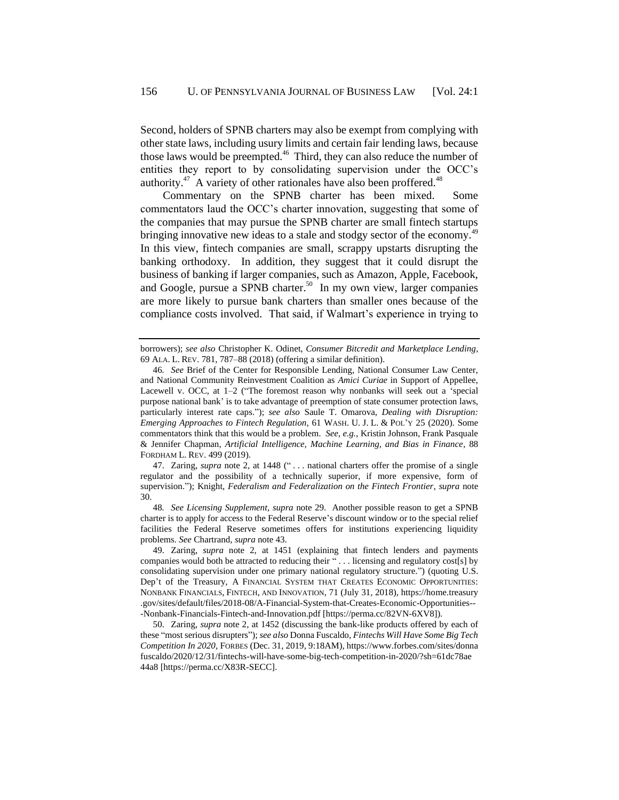Second, holders of SPNB charters may also be exempt from complying with other state laws, including usury limits and certain fair lending laws, because those laws would be preempted.<sup>46</sup> Third, they can also reduce the number of entities they report to by consolidating supervision under the OCC's authority.<sup>47</sup> A variety of other rationales have also been proffered.<sup>48</sup>

Commentary on the SPNB charter has been mixed. Some commentators laud the OCC's charter innovation, suggesting that some of the companies that may pursue the SPNB charter are small fintech startups bringing innovative new ideas to a stale and stodgy sector of the economy.<sup>49</sup> In this view, fintech companies are small, scrappy upstarts disrupting the banking orthodoxy. In addition, they suggest that it could disrupt the business of banking if larger companies, such as Amazon, Apple, Facebook, and Google, pursue a SPNB charter.<sup>50</sup> In my own view, larger companies are more likely to pursue bank charters than smaller ones because of the compliance costs involved. That said, if Walmart's experience in trying to

47. Zaring, *supra* note [2](#page-1-0)*,* at 1448 (" . . . national charters offer the promise of a single regulator and the possibility of a technically superior, if more expensive, form of supervision."); Knight, *Federalism and Federalization on the Fintech Frontier*, *supra* note [30.](#page-9-1)

48*. See Licensing Supplement*, *supra* note [29.](#page-8-0) Another possible reason to get a SPNB charter is to apply for access to the Federal Reserve's discount window or to the special relief facilities the Federal Reserve sometimes offers for institutions experiencing liquidity problems. *See* Chartrand, *supra* not[e 43.](#page-11-1)

49. Zaring, *supra* note [2](#page-1-0)*,* at 1451 (explaining that fintech lenders and payments companies would both be attracted to reducing their " . . . licensing and regulatory cost[s] by consolidating supervision under one primary national regulatory structure.") (quoting U.S. Dep't of the Treasury, A FINANCIAL SYSTEM THAT CREATES ECONOMIC OPPORTUNITIES: NONBANK FINANCIALS, FINTECH, AND INNOVATION, 71 (July 31, 2018), https://home.treasury .gov/sites/default/files/2018-08/A-Financial-System-that-Creates-Economic-Opportunities-- -Nonbank-Financials-Fintech-and-Innovation.pdf [https://perma.cc/82VN-6XV8]).

50. Zaring, *supra* note [2](#page-1-0)*,* at 1452 (discussing the bank-like products offered by each of these "most serious disrupters"); *see also* Donna Fuscaldo, *Fintechs Will Have Some Big Tech Competition In 2020*, FORBES (Dec. 31, 2019, 9:18AM), https://www.forbes.com/sites/donna fuscaldo/2020/12/31/fintechs-will-have-some-big-tech-competition-in-2020/?sh=61dc78ae 44a8 [https://perma.cc/X83R-SECC].

<span id="page-12-0"></span>borrowers); *see also* Christopher K. Odinet, *Consumer Bitcredit and Marketplace Lending*, 69 ALA. L. REV. 781, 787–88 (2018) (offering a similar definition).

<sup>46</sup>*. See* Brief of the Center for Responsible Lending, National Consumer Law Center, and National Community Reinvestment Coalition as *Amici Curiae* in Support of Appellee, Lacewell v. OCC, at 1–2 ("The foremost reason why nonbanks will seek out a 'special purpose national bank' is to take advantage of preemption of state consumer protection laws, particularly interest rate caps."); *see also* Saule T. Omarova, *Dealing with Disruption: Emerging Approaches to Fintech Regulation,* 61 WASH. U. J. L. & POL'Y 25 (2020). Some commentators think that this would be a problem. *See, e.g.*, Kristin Johnson, Frank Pasquale & Jennifer Chapman, *Artificial Intelligence, Machine Learning, and Bias in Finance*, 88 FORDHAM L. REV. 499 (2019).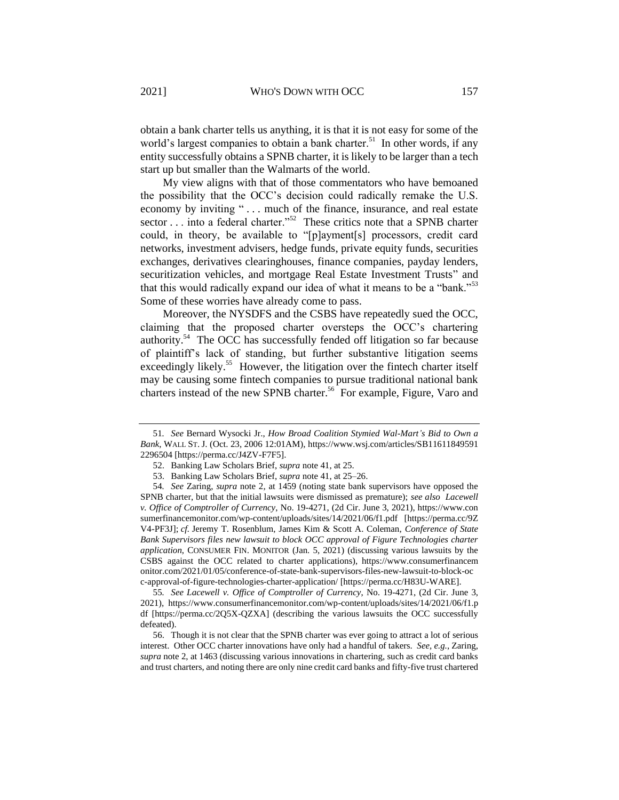obtain a bank charter tells us anything, it is that it is not easy for some of the world's largest companies to obtain a bank charter.<sup>51</sup> In other words, if any entity successfully obtains a SPNB charter, it is likely to be larger than a tech start up but smaller than the Walmarts of the world.

My view aligns with that of those commentators who have bemoaned the possibility that the OCC's decision could radically remake the U.S. economy by inviting "... much of the finance, insurance, and real estate sector  $\dots$  into a federal charter."<sup>52</sup> These critics note that a SPNB charter could, in theory, be available to "[p]ayment[s] processors, credit card networks, investment advisers, hedge funds, private equity funds, securities exchanges, derivatives clearinghouses, finance companies, payday lenders, securitization vehicles, and mortgage Real Estate Investment Trusts" and that this would radically expand our idea of what it means to be a "bank."<sup>53</sup> Some of these worries have already come to pass.

Moreover, the NYSDFS and the CSBS have repeatedly sued the OCC, claiming that the proposed charter oversteps the OCC's chartering authority.<sup>54</sup> The OCC has successfully fended off litigation so far because of plaintiff's lack of standing, but further substantive litigation seems exceedingly likely.<sup>55</sup> However, the litigation over the fintech charter itself may be causing some fintech companies to pursue traditional national bank charters instead of the new SPNB charter.<sup>56</sup> For example, Figure, Varo and

55*. See Lacewell v. Office of Comptroller of Currency*, No. 19-4271, (2d Cir. June 3, 2021), https://www.consumerfinancemonitor.com/wp-content/uploads/sites/14/2021/06/f1.p df [https://perma.cc/2Q5X-QZXA] (describing the various lawsuits the OCC successfully defeated).

56. Though it is not clear that the SPNB charter was ever going to attract a lot of serious interest. Other OCC charter innovations have only had a handful of takers. *See, e.g.*, Zaring, *supra* not[e 2,](#page-1-0) at 1463 (discussing various innovations in chartering, such as credit card banks and trust charters, and noting there are only nine credit card banks and fifty-five trust chartered

<sup>51</sup>*. See* Bernard Wysocki Jr., *How Broad Coalition Stymied Wal-Mart's Bid to Own a Bank*, WALL ST. J. (Oct. 23, 2006 12:01AM), https://www.wsj.com/articles/SB11611849591 2296504 [https://perma.cc/J4ZV-F7F5].

<sup>52.</sup> Banking Law Scholars Brief, *supra* note [41,](#page-11-2) at 25.

<sup>53.</sup> Banking Law Scholars Brief, *supra* note [41,](#page-11-2) at 25–26.

<sup>54</sup>*. See* Zaring, *supra* note [2](#page-1-0)*,* at 1459 (noting state bank supervisors have opposed the SPNB charter, but that the initial lawsuits were dismissed as premature); *see also Lacewell v. Office of Comptroller of Currency*, No. 19-4271, (2d Cir. June 3, 2021), https://www.con sumerfinancemonitor.com/wp-content/uploads/sites/14/2021/06/f1.pdf [https://perma.cc/9Z V4-PF3J]; *cf.* Jeremy T. Rosenblum, James Kim & Scott A. Coleman, *Conference of State Bank Supervisors files new lawsuit to block OCC approval of Figure Technologies charter application*, CONSUMER FIN. MONITOR (Jan. 5, 2021) (discussing various lawsuits by the CSBS against the OCC related to charter applications), https://www.consumerfinancem onitor.com/2021/01/05/conference-of-state-bank-supervisors-files-new-lawsuit-to-block-oc c-approval-of-figure-technologies-charter-application/ [https://perma.cc/H83U-WARE].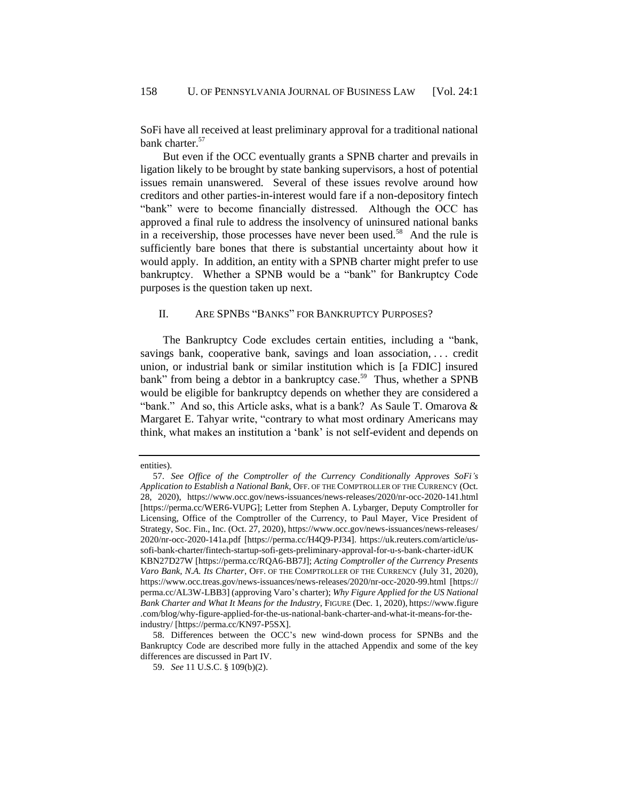SoFi have all received at least preliminary approval for a traditional national bank charter.<sup>57</sup>

But even if the OCC eventually grants a SPNB charter and prevails in ligation likely to be brought by state banking supervisors, a host of potential issues remain unanswered. Several of these issues revolve around how creditors and other parties-in-interest would fare if a non-depository fintech "bank" were to become financially distressed. Although the OCC has approved a final rule to address the insolvency of uninsured national banks in a receivership, those processes have never been used.<sup>58</sup> And the rule is sufficiently bare bones that there is substantial uncertainty about how it would apply. In addition, an entity with a SPNB charter might prefer to use bankruptcy. Whether a SPNB would be a "bank" for Bankruptcy Code purposes is the question taken up next.

## <span id="page-14-0"></span>II. ARE SPNBS "BANKS" FOR BANKRUPTCY PURPOSES?

The Bankruptcy Code excludes certain entities, including a "bank, savings bank, cooperative bank, savings and loan association, . . . credit union, or industrial bank or similar institution which is [a FDIC] insured bank" from being a debtor in a bankruptcy case.<sup>59</sup> Thus, whether a SPNB would be eligible for bankruptcy depends on whether they are considered a "bank." And so, this Article asks, what is a bank? As Saule T. Omarova & Margaret E. Tahyar write, "contrary to what most ordinary Americans may think, what makes an institution a 'bank' is not self-evident and depends on

entities).

<sup>57.</sup> *See Office of the Comptroller of the Currency Conditionally Approves SoFi's Application to Establish a National Bank*, OFF. OF THE COMPTROLLER OF THE CURRENCY (Oct. 28, 2020), https://www.occ.gov/news-issuances/news-releases/2020/nr-occ-2020-141.html [https://perma.cc/WER6-VUPG]; Letter from Stephen A. Lybarger, Deputy Comptroller for Licensing, Office of the Comptroller of the Currency, to Paul Mayer, Vice President of Strategy, Soc. Fin., Inc. (Oct. 27, 2020), https://www.occ.gov/news-issuances/news-releases/ 2020/nr-occ-2020-141a.pdf [https://perma.cc/H4Q9-PJ34]. https://uk.reuters.com/article/ussofi-bank-charter/fintech-startup-sofi-gets-preliminary-approval-for-u-s-bank-charter-idUK KBN27D27W [https://perma.cc/RQA6-BB7J]; *Acting Comptroller of the Currency Presents Varo Bank, N.A. Its Charter*, OFF. OF THE COMPTROLLER OF THE CURRENCY (July 31, 2020), https://www.occ.treas.gov/news-issuances/news-releases/2020/nr-occ-2020-99.html [https:// perma.cc/AL3W-LBB3] (approving Varo's charter); *Why Figure Applied for the US National Bank Charter and What It Means for the Industry*, FIGURE (Dec. 1, 2020), https://www.figure .com/blog/why-figure-applied-for-the-us-national-bank-charter-and-what-it-means-for-theindustry/ [https://perma.cc/KN97-P5SX].

<sup>58.</sup> Differences between the OCC's new wind-down process for SPNBs and the Bankruptcy Code are described more fully in the attached Appendix and some of the key differences are discussed in Par[t IV.](#page-51-0)

<sup>59.</sup> *See* 11 U.S.C. § 109(b)(2).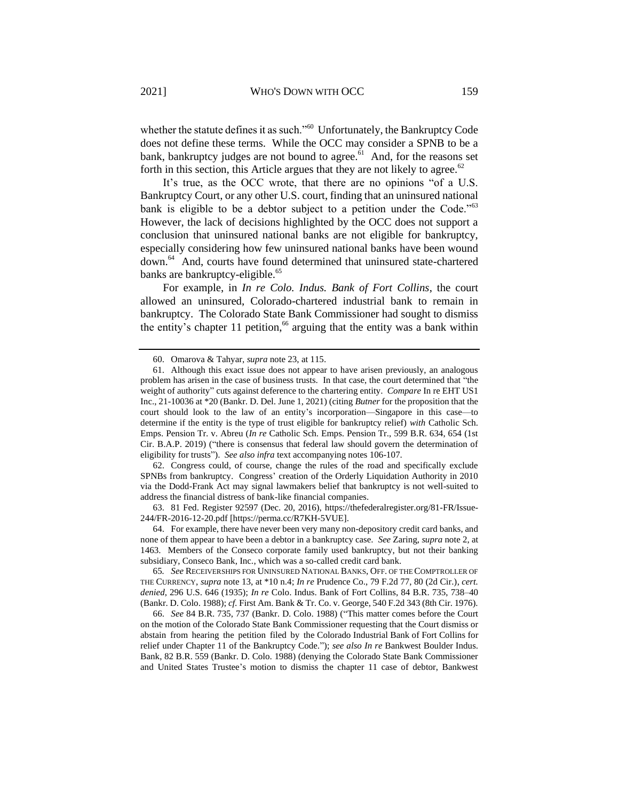whether the statute defines it as such."<sup>60</sup> Unfortunately, the Bankruptcy Code does not define these terms. While the OCC may consider a SPNB to be a bank, bankruptcy judges are not bound to agree.<sup>61</sup> And, for the reasons set forth in this section, this Article argues that they are not likely to agree.<sup>62</sup>

It's true, as the OCC wrote, that there are no opinions "of a U.S. Bankruptcy Court, or any other U.S. court, finding that an uninsured national bank is eligible to be a debtor subject to a petition under the Code."<sup>63</sup> However, the lack of decisions highlighted by the OCC does not support a conclusion that uninsured national banks are not eligible for bankruptcy, especially considering how few uninsured national banks have been wound down.<sup>64</sup> And, courts have found determined that uninsured state-chartered banks are bankruptcy-eligible.<sup>65</sup>

For example, in *In re Colo. Indus. Bank of Fort Collins*, the court allowed an uninsured, Colorado-chartered industrial bank to remain in bankruptcy. The Colorado State Bank Commissioner had sought to dismiss the entity's chapter 11 petition,<sup>66</sup> arguing that the entity was a bank within

62. Congress could, of course, change the rules of the road and specifically exclude SPNBs from bankruptcy. Congress' creation of the Orderly Liquidation Authority in 2010 via the Dodd-Frank Act may signal lawmakers belief that bankruptcy is not well-suited to address the financial distress of bank-like financial companies.

63. 81 Fed. Register 92597 (Dec. 20, 2016), https://thefederalregister.org/81-FR/Issue-244/FR-2016-12-20.pdf [https://perma.cc/R7KH-5VUE].

64. For example, there have never been very many non-depository credit card banks, and none of them appear to have been a debtor in a bankruptcy case. *See* Zaring, *supra* not[e 2](#page-1-0)*,* at 1463. Members of the Conseco corporate family used bankruptcy, but not their banking subsidiary, Conseco Bank, Inc., which was a so-called credit card bank.

65*. See* RECEIVERSHIPS FOR UNINSURED NATIONAL BANKS, OFF. OF THE COMPTROLLER OF THE CURRENCY, *supra* note [13,](#page-4-1) at \*10 n.4; *In re* Prudence Co., 79 F.2d 77, 80 (2d Cir.), *cert. denied*, 296 U.S. 646 (1935); *In re* Colo. Indus. Bank of Fort Collins, 84 B.R. 735, 738–40 (Bankr. D. Colo. 1988); *cf*. First Am. Bank & Tr. Co. v. George, 540 F.2d 343 (8th Cir. 1976).

66. *See* 84 B.R. 735, 737 (Bankr. D. Colo. 1988) ("This matter comes before the Court on the motion of the Colorado State Bank Commissioner requesting that the Court dismiss or abstain from hearing the petition filed by the Colorado Industrial Bank of Fort Collins for relief under Chapter 11 of the Bankruptcy Code."); *see also In re* Bankwest Boulder Indus. Bank, 82 B.R. 559 (Bankr. D. Colo. 1988) (denying the Colorado State Bank Commissioner and United States Trustee's motion to dismiss the chapter 11 case of debtor, Bankwest

<sup>60.</sup> Omarova & Tahyar, *supra* not[e 23,](#page-7-0) at 115.

<sup>61.</sup> Although this exact issue does not appear to have arisen previously, an analogous problem has arisen in the case of business trusts. In that case, the court determined that "the weight of authority" cuts against deference to the chartering entity. *Compare* In re EHT US1 Inc., 21-10036 at \*20 (Bankr. D. Del. June 1, 2021) (citing *Butner* for the proposition that the court should look to the law of an entity's incorporation—Singapore in this case—to determine if the entity is the type of trust eligible for bankruptcy relief) *with* Catholic Sch. Emps. Pension Tr. v. Abreu (*In re* Catholic Sch. Emps. Pension Tr., 599 B.R. 634, 654 (1st Cir. B.A.P. 2019) ("there is consensus that federal law should govern the determination of eligibility for trusts"). *See also infra* text accompanying notes [106](#page-23-0)[-107.](#page-23-1)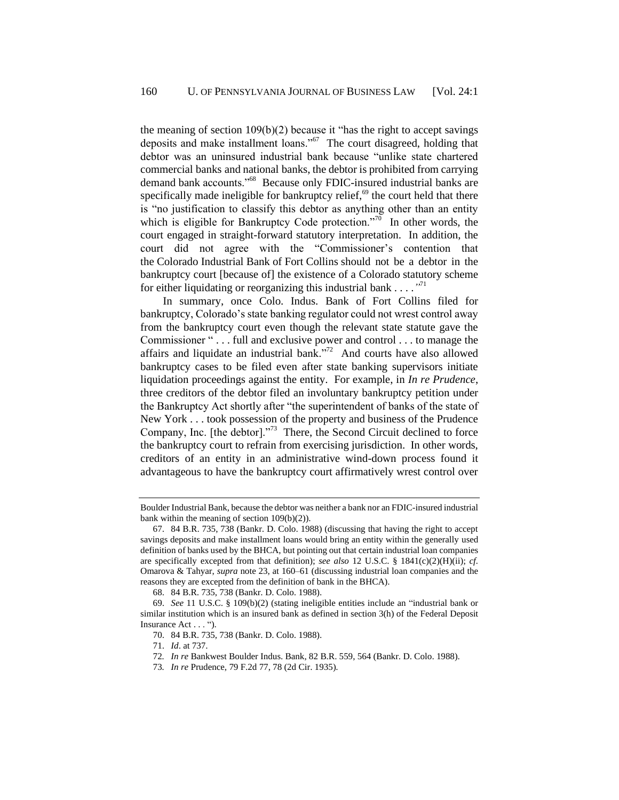the meaning of section  $109(b)(2)$  because it "has the right to accept savings" deposits and make installment loans."<sup>67</sup> The court disagreed, holding that debtor was an uninsured industrial bank because "unlike state chartered commercial banks and national banks, the debtor is prohibited from carrying demand bank accounts."<sup>68</sup> Because only FDIC-insured industrial banks are specifically made ineligible for bankruptcy relief,<sup>69</sup> the court held that there is "no justification to classify this debtor as anything other than an entity which is eligible for Bankruptcy Code protection."<sup>70</sup> In other words, the court engaged in straight-forward statutory interpretation. In addition, the court did not agree with the "Commissioner's contention that the Colorado Industrial Bank of Fort Collins should not be a debtor in the bankruptcy court [because of] the existence of a Colorado statutory scheme for either liquidating or reorganizing this industrial bank . . . .*"* 71

In summary, once Colo. Indus. Bank of Fort Collins filed for bankruptcy, Colorado's state banking regulator could not wrest control away from the bankruptcy court even though the relevant state statute gave the Commissioner " . . . full and exclusive power and control . . . to manage the affairs and liquidate an industrial bank."<sup> $72$ </sup> And courts have also allowed bankruptcy cases to be filed even after state banking supervisors initiate liquidation proceedings against the entity. For example, in *In re Prudence*, three creditors of the debtor filed an involuntary bankruptcy petition under the Bankruptcy Act shortly after "the superintendent of banks of the state of New York . . . took possession of the property and business of the Prudence Company, Inc. [the debtor]. $1^{373}$  There, the Second Circuit declined to force the bankruptcy court to refrain from exercising jurisdiction. In other words, creditors of an entity in an administrative wind-down process found it advantageous to have the bankruptcy court affirmatively wrest control over

Boulder Industrial Bank, because the debtor was neither a bank nor an FDIC-insured industrial bank within the meaning of section 109(b)(2)).

<sup>67.</sup> 84 B.R. 735, 738 (Bankr. D. Colo. 1988) (discussing that having the right to accept savings deposits and make installment loans would bring an entity within the generally used definition of banks used by the BHCA, but pointing out that certain industrial loan companies are specifically excepted from that definition); *see also* 12 U.S.C. § 1841(c)(2)(H)(ii); *cf.*  Omarova & Tahyar, *supra* not[e 23,](#page-7-0) at 160–61 (discussing industrial loan companies and the reasons they are excepted from the definition of bank in the BHCA).

<sup>68.</sup> 84 B.R. 735, 738 (Bankr. D. Colo. 1988).

<sup>69.</sup> *See* 11 U.S.C. § 109(b)(2) (stating ineligible entities include an "industrial bank or similar institution which is an insured bank as defined in section 3(h) of the Federal Deposit Insurance Act . . . ").

<sup>70.</sup> 84 B.R. 735, 738 (Bankr. D. Colo. 1988).

<sup>71.</sup> *Id*. at 737.

<sup>72</sup>*. In re* Bankwest Boulder Indus. Bank, 82 B.R. 559, 564 (Bankr. D. Colo. 1988).

<sup>73</sup>*. In re* Prudence, 79 F.2d 77, 78 (2d Cir. 1935).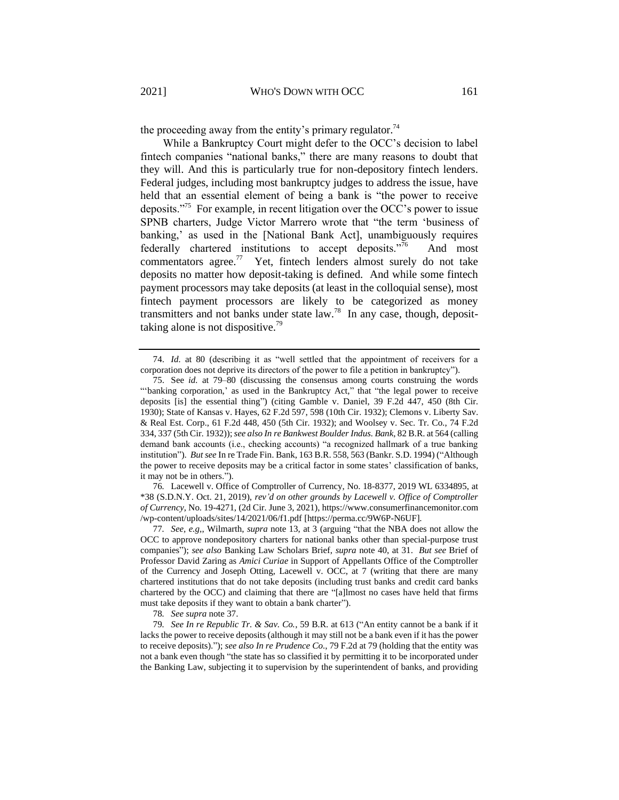the proceeding away from the entity's primary regulator.<sup>74</sup>

While a Bankruptcy Court might defer to the OCC's decision to label fintech companies "national banks," there are many reasons to doubt that they will. And this is particularly true for non-depository fintech lenders. Federal judges, including most bankruptcy judges to address the issue, have held that an essential element of being a bank is "the power to receive deposits."<sup>75</sup> For example, in recent litigation over the OCC's power to issue SPNB charters, Judge Victor Marrero wrote that "the term 'business of banking,' as used in the [National Bank Act], unambiguously requires federally chartered institutions to accept deposits."<sup>76</sup> And most commentators agree.<sup>77</sup> Yet, fintech lenders almost surely do not take deposits no matter how deposit-taking is defined. And while some fintech payment processors may take deposits (at least in the colloquial sense), most fintech payment processors are likely to be categorized as money transmitters and not banks under state  $law.^{78}$  In any case, though, deposittaking alone is not dispositive.<sup>79</sup>

76*.* Lacewell v. Office of Comptroller of Currency, No. 18-8377, 2019 WL 6334895, at \*38 (S.D.N.Y. Oct. 21, 2019), *rev'd on other grounds by Lacewell v. Office of Comptroller of Currency*, No. 19-4271, (2d Cir. June 3, 2021), https://www.consumerfinancemonitor.com /wp-content/uploads/sites/14/2021/06/f1.pdf [https://perma.cc/9W6P-N6UF].

77*. See, e.g,*, Wilmarth, *supra* note [13,](#page-4-1) at 3 (arguing "that the NBA does not allow the OCC to approve nondepository charters for national banks other than special-purpose trust companies"); *see also* Banking Law Scholars Brief, *supra* note [40,](#page-10-0) at 31. *But see* Brief of Professor David Zaring as *Amici Curiae* in Support of Appellants Office of the Comptroller of the Currency and Joseph Otting, Lacewell v. OCC, at 7 (writing that there are many chartered institutions that do not take deposits (including trust banks and credit card banks chartered by the OCC) and claiming that there are "[a]lmost no cases have held that firms must take deposits if they want to obtain a bank charter").

78*. See supra* not[e 37.](#page-10-1)

79*. See In re Republic Tr. & Sav. Co.*, 59 B.R. at 613 ("An entity cannot be a bank if it lacks the power to receive deposits (although it may still not be a bank even if it has the power to receive deposits)."); *see also In re Prudence Co.*, 79 F.2d at 79 (holding that the entity was not a bank even though "the state has so classified it by permitting it to be incorporated under the Banking Law, subjecting it to supervision by the superintendent of banks, and providing

<sup>74.</sup> *Id.* at 80 (describing it as "well settled that the appointment of receivers for a corporation does not deprive its directors of the power to file a petition in bankruptcy").

<sup>75.</sup> See *id.* at 79–80 (discussing the consensus among courts construing the words "'banking corporation,' as used in the Bankruptcy Act," that "the legal power to receive deposits [is] the essential thing") (citing Gamble v. Daniel, 39 F.2d 447, 450 (8th Cir. 1930); State of Kansas v. Hayes, 62 F.2d 597, 598 (10th Cir. 1932); Clemons v. Liberty Sav. & Real Est. Corp., 61 F.2d 448, 450 (5th Cir. 1932); and Woolsey v. Sec. Tr. Co., 74 F.2d 334, 337 (5th Cir. 1932)); *see also In re Bankwest Boulder Indus. Bank*, 82 B.R. at 564 (calling demand bank accounts (i.e., checking accounts) "a recognized hallmark of a true banking institution"). *But see* In re Trade Fin. Bank, 163 B.R. 558, 563 (Bankr. S.D. 1994) ("Although the power to receive deposits may be a critical factor in some states' classification of banks, it may not be in others.").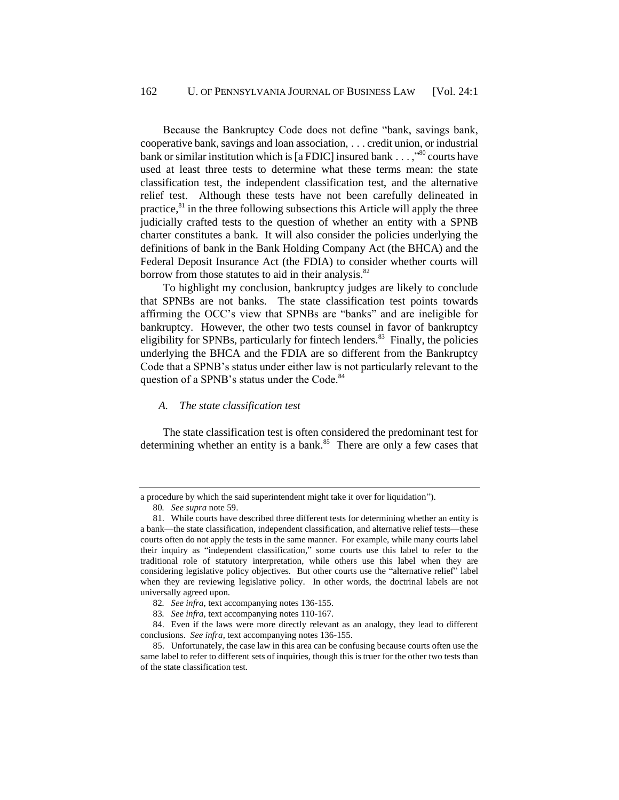Because the Bankruptcy Code does not define "bank, savings bank, cooperative bank, savings and loan association, . . . credit union, or industrial bank or similar institution which is [a FDIC] insured bank  $\dots$ ,<sup>80</sup> courts have used at least three tests to determine what these terms mean: the state classification test, the independent classification test, and the alternative relief test. Although these tests have not been carefully delineated in practice, $81$  in the three following subsections this Article will apply the three judicially crafted tests to the question of whether an entity with a SPNB charter constitutes a bank. It will also consider the policies underlying the definitions of bank in the Bank Holding Company Act (the BHCA) and the Federal Deposit Insurance Act (the FDIA) to consider whether courts will borrow from those statutes to aid in their analysis. $82$ 

To highlight my conclusion, bankruptcy judges are likely to conclude that SPNBs are not banks. The state classification test points towards affirming the OCC's view that SPNBs are "banks" and are ineligible for bankruptcy. However, the other two tests counsel in favor of bankruptcy eligibility for SPNBs, particularly for fintech lenders.<sup>83</sup> Finally, the policies underlying the BHCA and the FDIA are so different from the Bankruptcy Code that a SPNB's status under either law is not particularly relevant to the question of a SPNB's status under the Code.<sup>84</sup>

### *A. The state classification test*

The state classification test is often considered the predominant test for determining whether an entity is a bank. $85$  There are only a few cases that

80*. See supra* not[e 59.](#page-14-0)

a procedure by which the said superintendent might take it over for liquidation").

<sup>81.</sup> While courts have described three different tests for determining whether an entity is a bank—the state classification, independent classification, and alternative relief tests—these courts often do not apply the tests in the same manner. For example, while many courts label their inquiry as "independent classification," some courts use this label to refer to the traditional role of statutory interpretation, while others use this label when they are considering legislative policy objectives. But other courts use the "alternative relief" label when they are reviewing legislative policy. In other words, the doctrinal labels are not universally agreed upon.

<sup>82</sup>*. See infra*, text accompanying notes [136](#page-29-0)[-155.](#page-32-0)

<sup>83</sup>*. See infra*, text accompanying notes [110](#page-24-0)[-167.](#page-35-1)

<sup>84.</sup> Even if the laws were more directly relevant as an analogy, they lead to different conclusions. *See infra*, text accompanying notes [136](#page-29-0)[-155.](#page-32-0)

<sup>85.</sup> Unfortunately, the case law in this area can be confusing because courts often use the same label to refer to different sets of inquiries, though this is truer for the other two tests than of the state classification test.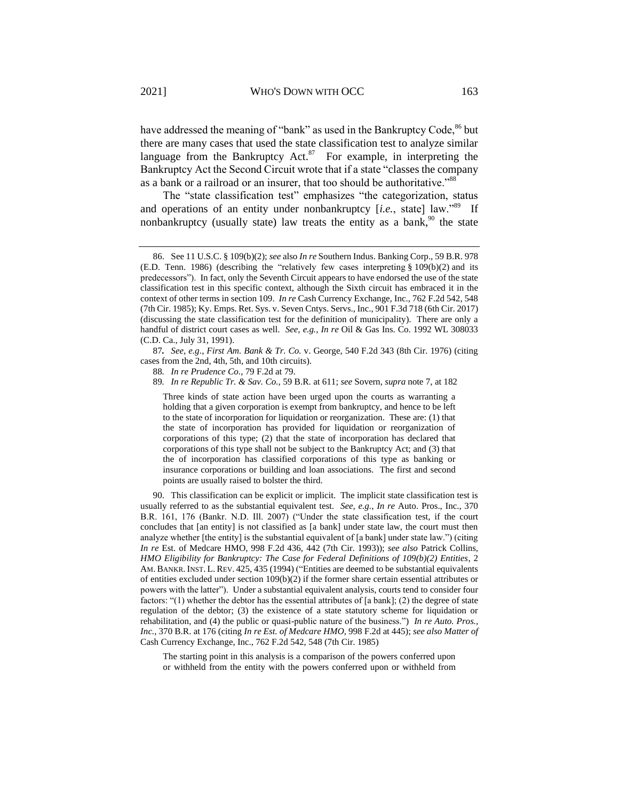have addressed the meaning of "bank" as used in the Bankruptcy Code,<sup>86</sup> but there are many cases that used the state classification test to analyze similar language from the Bankruptcy Act. $87$  For example, in interpreting the Bankruptcy Act the Second Circuit wrote that if a state "classes the company as a bank or a railroad or an insurer, that too should be authoritative."<sup>88</sup>

<span id="page-19-1"></span><span id="page-19-0"></span>The "state classification test" emphasizes "the categorization, status and operations of an entity under nonbankruptcy [i.e., state] law."<sup>89</sup> If nonbankruptcy (usually state) law treats the entity as a bank,  $90$  the state

87*. See, e.g*., *First Am. Bank & Tr. Co.* v. George, 540 F.2d 343 (8th Cir. 1976) (citing cases from the 2nd, 4th, 5th, and 10th circuits).

88*. In re Prudence Co.*, 79 F.2d at 79.

89*. In re Republic Tr. & Sav. Co.,* 59 B.R. at 611; *see* Sovern, *supra* not[e 7,](#page-2-1) at 182

Three kinds of state action have been urged upon the courts as warranting a holding that a given corporation is exempt from bankruptcy, and hence to be left to the state of incorporation for liquidation or reorganization. These are: (1) that the state of incorporation has provided for liquidation or reorganization of corporations of this type; (2) that the state of incorporation has declared that corporations of this type shall not be subject to the Bankruptcy Act; and (3) that the of incorporation has classified corporations of this type as banking or insurance corporations or building and loan associations. The first and second points are usually raised to bolster the third.

90. This classification can be explicit or implicit. The implicit state classification test is usually referred to as the substantial equivalent test. *See, e.g.*, *In re* Auto. Pros., Inc., 370 B.R. 161, 176 (Bankr. N.D. Ill. 2007) ("Under the state classification test, if the court concludes that [an entity] is not classified as [a bank] under state law, the court must then analyze whether [the entity] is the substantial equivalent of [a bank] under state law.") (citing *In re* Est. of Medcare HMO, 998 F.2d 436, 442 (7th Cir. 1993)); *see also* Patrick Collins, *HMO Eligibility for Bankruptcy: The Case for Federal Definitions of 109(b)(2) Entities*, 2 AM. BANKR. INST. L. REV. 425, 435 (1994) ("Entities are deemed to be substantial equivalents of entities excluded under section  $109(b)(2)$  if the former share certain essential attributes or powers with the latter"). Under a substantial equivalent analysis, courts tend to consider four factors: "(1) whether the debtor has the essential attributes of [a bank]; (2) the degree of state regulation of the debtor; (3) the existence of a state statutory scheme for liquidation or rehabilitation, and (4) the public or quasi-public nature of the business.") *In re Auto. Pros., Inc.*, 370 B.R. at 176 (citing *In re Est. of Medcare HMO*, 998 F.2d at 445); *see also Matter of*  Cash Currency Exchange, Inc., 762 F.2d 542, 548 (7th Cir. 1985)

The starting point in this analysis is a comparison of the powers conferred upon or withheld from the entity with the powers conferred upon or withheld from

<sup>86.</sup> See 11 U.S.C. § 109(b)(2); *see* also *In re* Southern Indus. Banking Corp., 59 B.R. 978 (E.D. Tenn. 1986) (describing the "relatively few cases interpreting § 109(b)(2) and its predecessors"). In fact, only the Seventh Circuit appears to have endorsed the use of the state classification test in this specific context, although the Sixth circuit has embraced it in the context of other terms in section 109. *In re* Cash Currency Exchange, Inc., 762 F.2d 542, 548 (7th Cir. 1985); Ky. Emps. Ret. Sys. v. Seven Cntys. Servs., Inc., 901 F.3d 718 (6th Cir. 2017) (discussing the state classification test for the definition of municipality). There are only a handful of district court cases as well. *See, e.g.*, *In re* Oil & Gas Ins. Co. 1992 WL 308033 (C.D. Ca., July 31, 1991).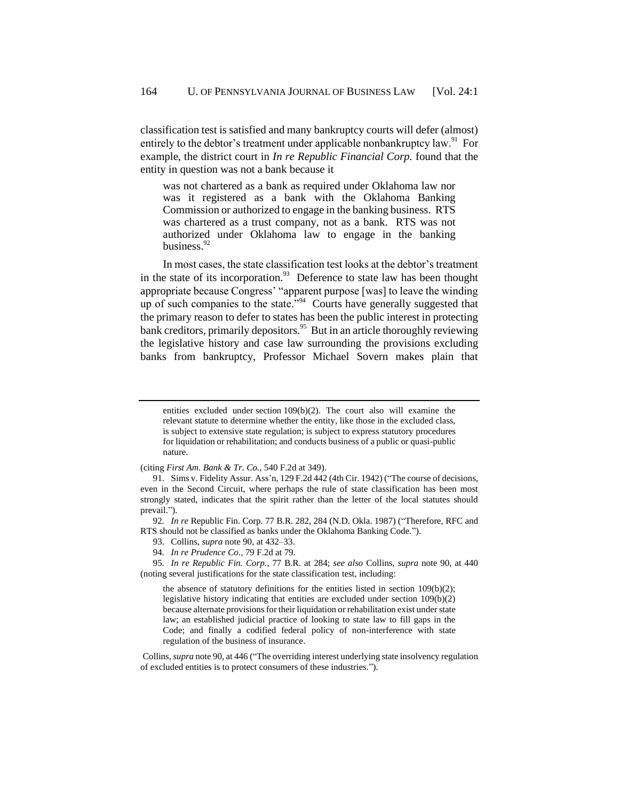classification test is satisfied and many bankruptcy courts will defer (almost) entirely to the debtor's treatment under applicable nonbankruptcy law.<sup>91</sup> For example, the district court in *In re Republic Financial Corp.* found that the entity in question was not a bank because it

was not chartered as a bank as required under Oklahoma law nor was it registered as a bank with the Oklahoma Banking Commission or authorized to engage in the banking business. RTS was chartered as a trust company, not as a bank. RTS was not authorized under Oklahoma law to engage in the banking business.<sup>92</sup>

<span id="page-20-0"></span>In most cases, the state classification test looks at the debtor's treatment in the state of its incorporation.<sup>93</sup> Deference to state law has been thought appropriate because Congress' "apparent purpose [was] to leave the winding up of such companies to the state." $94$  Courts have generally suggested that the primary reason to defer to states has been the public interest in protecting bank creditors, primarily depositors.<sup>95</sup> But in an article thoroughly reviewing the legislative history and case law surrounding the provisions excluding banks from bankruptcy, Professor Michael Sovern makes plain that

(citing *First Am. Bank & Tr. Co.,* 540 F.2d at 349).

92*. In re* Republic Fin. Corp. 77 B.R. 282, 284 (N.D. Okla. 1987) ("Therefore, RFC and RTS should not be classified as banks under the Oklahoma Banking Code.").

94*. In re Prudence Co.*, 79 F.2d at 79.

95*. In re Republic Fin. Corp.*, 77 B.R. at 284; *see also* Collins, *supra* note [90,](#page-19-1) at 440 (noting several justifications for the state classification test, including:

the absence of statutory definitions for the entities listed in section  $109(b)(2)$ ; legislative history indicating that entities are excluded under section 109(b)(2) because alternate provisions for their liquidation or rehabilitation exist under state law; an established judicial practice of looking to state law to fill gaps in the Code; and finally a codified federal policy of non-interference with state regulation of the business of insurance.

Collins, *supra* note [90,](#page-19-1) at 446 ("The overriding interest underlying state insolvency regulation of excluded entities is to protect consumers of these industries.").

entities excluded under section 109(b)(2). The court also will examine the relevant statute to determine whether the entity, like those in the excluded class, is subject to extensive state regulation; is subject to express statutory procedures for liquidation or rehabilitation; and conducts business of a public or quasi-public nature.

<sup>91.</sup> Sims v. Fidelity Assur. Ass'n, 129 F.2d 442 (4th Cir. 1942) ("The course of decisions, even in the Second Circuit, where perhaps the rule of state classification has been most strongly stated, indicates that the spirit rather than the letter of the local statutes should prevail.").

<sup>93.</sup> Collins, *supra* not[e 90,](#page-19-1) at 432–33.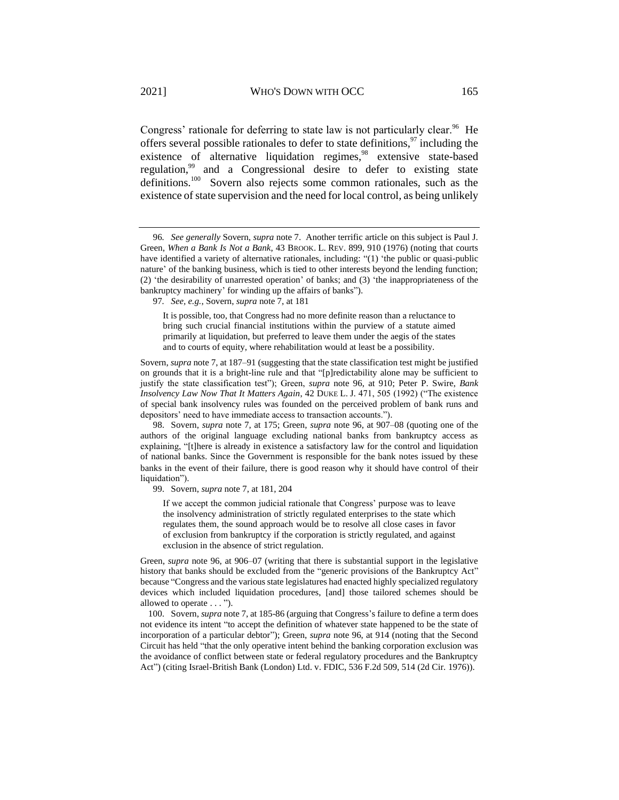<span id="page-21-1"></span><span id="page-21-0"></span>Congress' rationale for deferring to state law is not particularly clear.<sup>96</sup> He offers several possible rationales to defer to state definitions, $97$  including the existence of alternative liquidation regimes,<sup>98</sup> extensive state-based regulation,<sup>99</sup> and a Congressional desire to defer to existing state definitions.<sup>100</sup> Sovern also rejects some common rationales, such as the existence of state supervision and the need for local control, as being unlikely

97*. See, e.g.*, Sovern, *supra* not[e 7,](#page-2-1) at 181

It is possible, too, that Congress had no more definite reason than a reluctance to bring such crucial financial institutions within the purview of a statute aimed primarily at liquidation, but preferred to leave them under the aegis of the states and to courts of equity, where rehabilitation would at least be a possibility.

Sovern, *supra* note [7,](#page-2-1) at 187–91 (suggesting that the state classification test might be justified on grounds that it is a bright-line rule and that "[p]redictability alone may be sufficient to justify the state classification test"); Green, *supra* note [96,](#page-21-0) at 910; Peter P. Swire, *Bank Insolvency Law Now That It Matters Again*, 42 DUKE L. J. 471, 505 (1992) ("The existence of special bank insolvency rules was founded on the perceived problem of bank runs and depositors' need to have immediate access to transaction accounts.").

98. Sovern, *supra* note [7,](#page-2-1) at 175; Green, *supra* note [96,](#page-21-0) at 907–08 (quoting one of the authors of the original language excluding national banks from bankruptcy access as explaining, "[t]here is already in existence a satisfactory law for the control and liquidation of national banks. Since the Government is responsible for the bank notes issued by these banks in the event of their failure, there is good reason why it should have control of their liquidation").

99. Sovern, *supra* not[e 7,](#page-2-1) at 181, 204

If we accept the common judicial rationale that Congress' purpose was to leave the insolvency administration of strictly regulated enterprises to the state which regulates them, the sound approach would be to resolve all close cases in favor of exclusion from bankruptcy if the corporation is strictly regulated, and against exclusion in the absence of strict regulation.

Green, *supra* note [96,](#page-21-0) at 906–07 (writing that there is substantial support in the legislative history that banks should be excluded from the "generic provisions of the Bankruptcy Act" because "Congress and the various state legislatures had enacted highly specialized regulatory devices which included liquidation procedures, [and] those tailored schemes should be allowed to operate . . . ").

100. Sovern, *supra* not[e 7,](#page-2-1) at 185-86 (arguing that Congress's failure to define a term does not evidence its intent "to accept the definition of whatever state happened to be the state of incorporation of a particular debtor"); Green, *supra* note [96,](#page-21-0) at 914 (noting that the Second Circuit has held "that the only operative intent behind the banking corporation exclusion was the avoidance of conflict between state or federal regulatory procedures and the Bankruptcy Act") (citing Israel-British Bank (London) Ltd. v. FDIC, 536 F.2d 509, 514 (2d Cir. 1976)).

<sup>96</sup>*. See generally* Sovern, *supra* note [7.](#page-2-1) Another terrific article on this subject is Paul J. Green, *When a Bank Is Not a Bank*, 43 BROOK. L. REV. 899, 910 (1976) (noting that courts have identified a variety of alternative rationales, including: "(1) 'the public or quasi-public nature' of the banking business, which is tied to other interests beyond the lending function; (2) 'the desirability of unarrested operation' of banks; and (3) 'the inappropriateness of the bankruptcy machinery' for winding up the affairs of banks").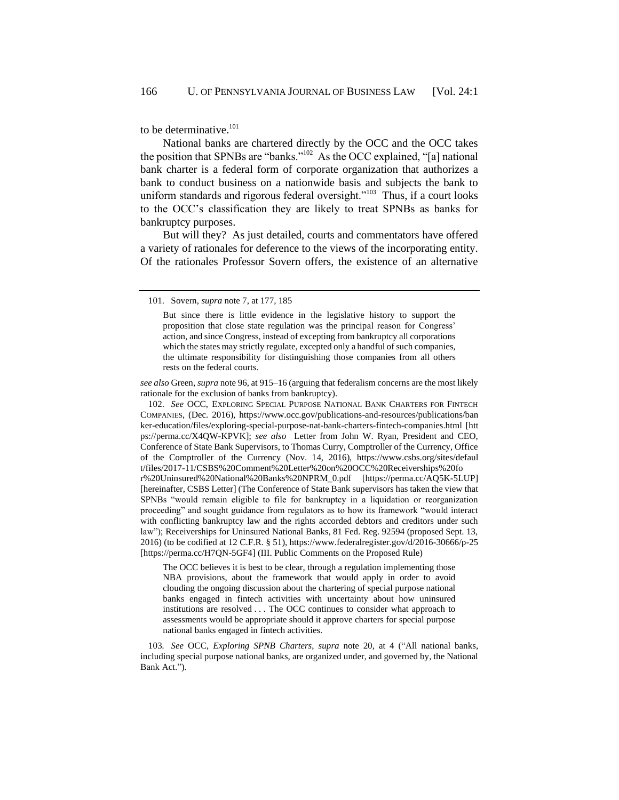to be determinative.<sup>101</sup>

<span id="page-22-0"></span>National banks are chartered directly by the OCC and the OCC takes the position that SPNBs are "banks."<sup>102</sup> As the OCC explained, "[a] national bank charter is a federal form of corporate organization that authorizes a bank to conduct business on a nationwide basis and subjects the bank to uniform standards and rigorous federal oversight."<sup>103</sup> Thus, if a court looks to the OCC's classification they are likely to treat SPNBs as banks for bankruptcy purposes.

But will they? As just detailed, courts and commentators have offered a variety of rationales for deference to the views of the incorporating entity. Of the rationales Professor Sovern offers, the existence of an alternative

*see also* Green, *supra* not[e 96,](#page-21-0) at 915–16 (arguing that federalism concerns are the most likely rationale for the exclusion of banks from bankruptcy).

102. *See* OCC, EXPLORING SPECIAL PURPOSE NATIONAL BANK CHARTERS FOR FINTECH COMPANIES, (Dec. 2016), https://www.occ.gov/publications-and-resources/publications/ban ker-education/files/exploring-special-purpose-nat-bank-charters-fintech-companies.html [htt ps://perma.cc/X4QW-KPVK]; *see also* Letter from John W. Ryan, President and CEO, Conference of State Bank Supervisors, to Thomas Curry, Comptroller of the Currency, Office of the Comptroller of the Currency (Nov. 14, 2016), https://www.csbs.org/sites/defaul t/files/2017-11/CSBS%20Comment%20Letter%20on%20OCC%20Receiverships%20fo r%20Uninsured%20National%20Banks%20NPRM\_0.pdf [https://perma.cc/AQ5K-5LUP] [hereinafter, CSBS Letter] (The Conference of State Bank supervisors has taken the view that SPNBs "would remain eligible to file for bankruptcy in a liquidation or reorganization proceeding" and sought guidance from regulators as to how its framework "would interact with conflicting bankruptcy law and the rights accorded debtors and creditors under such law"); Receiverships for Uninsured National Banks, 81 Fed. Reg. 92594 (proposed Sept. 13, 2016) (to be codified at 12 C.F.R. § 51), https://www.federalregister.gov/d/2016-30666/p-25 [https://perma.cc/H7QN-5GF4] (III. Public Comments on the Proposed Rule)

The OCC believes it is best to be clear, through a regulation implementing those NBA provisions, about the framework that would apply in order to avoid clouding the ongoing discussion about the chartering of special purpose national banks engaged in fintech activities with uncertainty about how uninsured institutions are resolved . . . The OCC continues to consider what approach to assessments would be appropriate should it approve charters for special purpose national banks engaged in fintech activities.

103*. See* OCC, *Exploring SPNB Charters*, *supra* note [20,](#page-6-0) at 4 ("All national banks, including special purpose national banks, are organized under, and governed by, the National Bank Act.").

<sup>101.</sup> Sovern, *supra* note [7,](#page-2-1) at 177, 185

But since there is little evidence in the legislative history to support the proposition that close state regulation was the principal reason for Congress' action, and since Congress, instead of excepting from bankruptcy all corporations which the states may strictly regulate, excepted only a handful of such companies, the ultimate responsibility for distinguishing those companies from all others rests on the federal courts.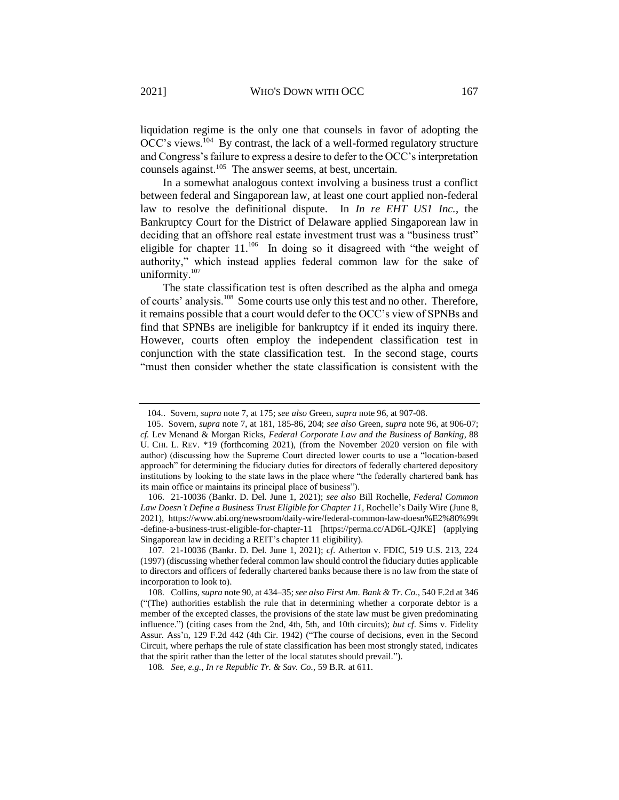liquidation regime is the only one that counsels in favor of adopting the OCC's views.<sup>104</sup> By contrast, the lack of a well-formed regulatory structure and Congress's failure to express a desire to defer to the OCC's interpretation counsels against.<sup>105</sup> The answer seems, at best, uncertain.

In a somewhat analogous context involving a business trust a conflict between federal and Singaporean law, at least one court applied non-federal law to resolve the definitional dispute. In *In re EHT US1 Inc.*, the Bankruptcy Court for the District of Delaware applied Singaporean law in deciding that an offshore real estate investment trust was a "business trust" eligible for chapter  $11.^{106}$  In doing so it disagreed with "the weight of authority," which instead applies federal common law for the sake of uniformity.<sup>107</sup>

<span id="page-23-1"></span><span id="page-23-0"></span>The state classification test is often described as the alpha and omega of courts' analysis.<sup>108</sup> Some courts use only this test and no other. Therefore, it remains possible that a court would defer to the OCC's view of SPNBs and find that SPNBs are ineligible for bankruptcy if it ended its inquiry there. However, courts often employ the independent classification test in conjunction with the state classification test. In the second stage, courts "must then consider whether the state classification is consistent with the

106. 21-10036 (Bankr. D. Del. June 1, 2021); *see also* Bill Rochelle, *Federal Common Law Doesn't Define a Business Trust Eligible for Chapter 11*, Rochelle's Daily Wire (June 8, 2021), https://www.abi.org/newsroom/daily-wire/federal-common-law-doesn%E2%80%99t -define-a-business-trust-eligible-for-chapter-11 [https://perma.cc/AD6L-QJKE] (applying Singaporean law in deciding a REIT's chapter 11 eligibility).

104*.*. Sovern, *supra* not[e 7,](#page-2-1) at 175; *see also* Green, *supra* not[e 96,](#page-21-0) at 907-08.

 <sup>105.</sup> Sovern, *supra* not[e 7,](#page-2-1) at 181, 185-86, 204; *see also* Green, *supra* not[e 96,](#page-21-0) at 906-07; *cf.* Lev Menand & Morgan Ricks, *Federal Corporate Law and the Business of Banking*, 88 U. CHI. L. REV. \*19 (forthcoming 2021), (from the November 2020 version on file with author) (discussing how the Supreme Court directed lower courts to use a "location-based approach" for determining the fiduciary duties for directors of federally chartered depository institutions by looking to the state laws in the place where "the federally chartered bank has its main office or maintains its principal place of business").

<sup>107</sup>*.* 21-10036 (Bankr. D. Del. June 1, 2021); *cf*. Atherton v. FDIC, 519 U.S. 213, 224 (1997) (discussing whether federal common law should control the fiduciary duties applicable to directors and officers of federally chartered banks because there is no law from the state of incorporation to look to).

<sup>108.</sup> Collins, *supra* note [90,](#page-19-1) at 434–35; *see also First Am. Bank & Tr. Co.*, 540 F.2d at 346 ("(The) authorities establish the rule that in determining whether a corporate debtor is a member of the excepted classes, the provisions of the state law must be given predominating influence.") (citing cases from the 2nd, 4th, 5th, and 10th circuits); *but cf*. Sims v. Fidelity Assur. Ass'n, 129 F.2d 442 (4th Cir. 1942) ("The course of decisions, even in the Second Circuit, where perhaps the rule of state classification has been most strongly stated, indicates that the spirit rather than the letter of the local statutes should prevail.").

<sup>108</sup>*. See, e.g.*, *In re Republic Tr. & Sav. Co.,* 59 B.R. at 611.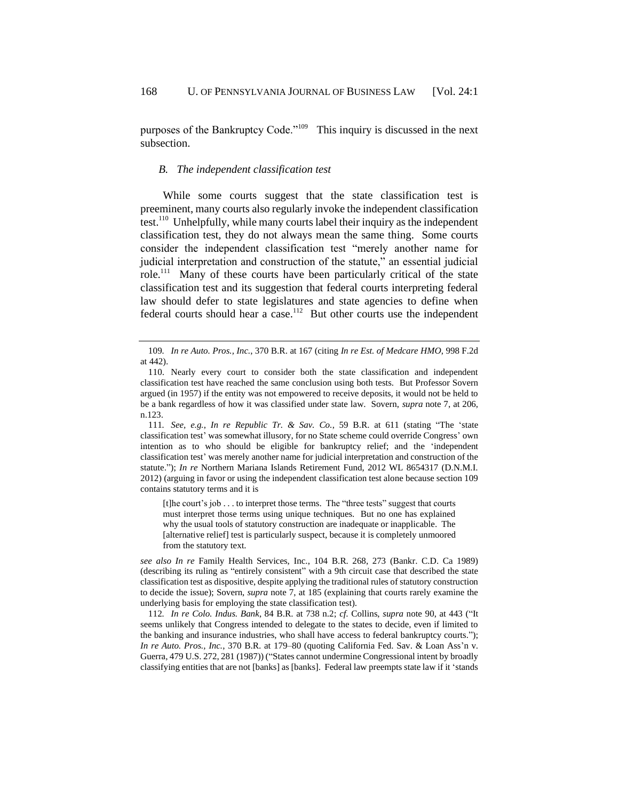purposes of the Bankruptcy Code."<sup>109</sup> This inquiry is discussed in the next subsection.

#### *B. The independent classification test*

<span id="page-24-0"></span>While some courts suggest that the state classification test is preeminent, many courts also regularly invoke the independent classification test.<sup>110</sup> Unhelpfully, while many courts label their inquiry as the independent classification test, they do not always mean the same thing. Some courts consider the independent classification test "merely another name for judicial interpretation and construction of the statute," an essential judicial role.<sup>111</sup> Many of these courts have been particularly critical of the state classification test and its suggestion that federal courts interpreting federal law should defer to state legislatures and state agencies to define when federal courts should hear a case.<sup>112</sup> But other courts use the independent

[t]he court's job . . . to interpret those terms. The "three tests" suggest that courts must interpret those terms using unique techniques. But no one has explained why the usual tools of statutory construction are inadequate or inapplicable. The [alternative relief] test is particularly suspect, because it is completely unmoored from the statutory text.

*see also In re* Family Health Services, Inc., 104 B.R. 268, 273 (Bankr. C.D. Ca 1989) (describing its ruling as "entirely consistent" with a 9th circuit case that described the state classification test as dispositive, despite applying the traditional rules of statutory construction to decide the issue); Sovern, *supra* note [7,](#page-2-1) at 185 (explaining that courts rarely examine the underlying basis for employing the state classification test).

<sup>109</sup>*. In re Auto. Pros., Inc.*, 370 B.R. at 167 (citing *In re Est. of Medcare HMO*, 998 F.2d at 442).

<sup>110.</sup> Nearly every court to consider both the state classification and independent classification test have reached the same conclusion using both tests. But Professor Sovern argued (in 1957) if the entity was not empowered to receive deposits, it would not be held to be a bank regardless of how it was classified under state law. Sovern, *supra* note [7,](#page-2-1) at 206, n.123.

<sup>111</sup>*. See, e.g.*, *In re Republic Tr. & Sav. Co.*, 59 B.R. at 611 (stating "The 'state classification test' was somewhat illusory, for no State scheme could override Congress' own intention as to who should be eligible for bankruptcy relief; and the 'independent classification test' was merely another name for judicial interpretation and construction of the statute."); *In re* Northern Mariana Islands Retirement Fund, 2012 WL 8654317 (D.N.M.I. 2012) (arguing in favor or using the independent classification test alone because section 109 contains statutory terms and it is

<sup>112</sup>*. In re Colo. Indus. Bank*, 84 B.R. at 738 n.2; *cf*. Collins, *supra* note [90,](#page-19-1) at 443 ("It seems unlikely that Congress intended to delegate to the states to decide, even if limited to the banking and insurance industries, who shall have access to federal bankruptcy courts."); *In re Auto. Pros., Inc.*, 370 B.R. at 179–80 (quoting California Fed. Sav. & Loan Ass'n v. Guerra, 479 U.S. 272, 281 (1987)) ("States cannot undermine Congressional intent by broadly classifying entities that are not [banks] as [banks]. Federal law preempts state law if it 'stands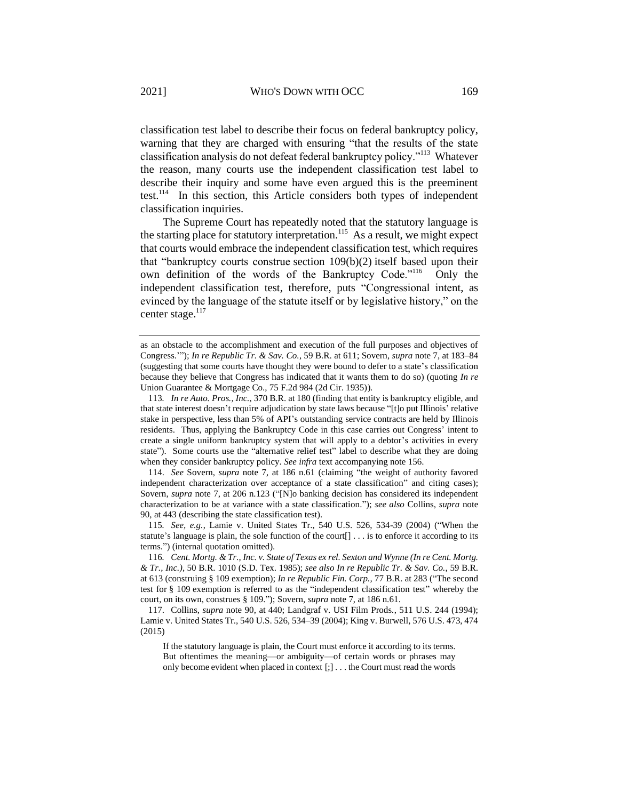classification test label to describe their focus on federal bankruptcy policy, warning that they are charged with ensuring "that the results of the state classification analysis do not defeat federal bankruptcy policy."<sup>113</sup> Whatever the reason, many courts use the independent classification test label to describe their inquiry and some have even argued this is the preeminent test.<sup>114</sup> In this section, this Article considers both types of independent classification inquiries.

The Supreme Court has repeatedly noted that the statutory language is the starting place for statutory interpretation.<sup>115</sup> As a result, we might expect that courts would embrace the independent classification test, which requires that "bankruptcy courts construe section 109(b)(2) itself based upon their own definition of the words of the Bankruptcy Code."<sup>116</sup> Only the independent classification test, therefore, puts "Congressional intent, as evinced by the language of the statute itself or by legislative history," on the center stage.<sup>117</sup>

114. *See* Sovern, *supra* note [7,](#page-2-1) at 186 n.61 (claiming "the weight of authority favored independent characterization over acceptance of a state classification" and citing cases); Sovern, *supra* note [7,](#page-2-1) at 206 n.123 ("[N]o banking decision has considered its independent characterization to be at variance with a state classification."); *see also* Collins, *supra* note [90,](#page-19-1) at 443 (describing the state classification test).

115*. See, e.g.*, Lamie v. United States Tr., 540 U.S. 526, 534-39 (2004) ("When the statute's language is plain, the sole function of the court[] . . . is to enforce it according to its terms.") (internal quotation omitted).

117. Collins, *supra* note [90,](#page-19-1) at 440; Landgraf v. USI Film Prods*.*, 511 U.S. 244 (1994); Lamie v. United States Tr., 540 U.S. 526, 534–39 (2004); King v. Burwell, 576 U.S. 473, 474 (2015)

If the statutory language is plain, the Court must enforce it according to its terms. But oftentimes the meaning—or ambiguity—of certain words or phrases may only become evident when placed in context [;] . . . the Court must read the words

as an obstacle to the accomplishment and execution of the full purposes and objectives of Congress.'"); *In re Republic Tr. & Sav. Co.*, 59 B.R. at 611; Sovern, *supra* not[e 7,](#page-2-1) at 183–84 (suggesting that some courts have thought they were bound to defer to a state's classification because they believe that Congress has indicated that it wants them to do so) (quoting *In re*  Union Guarantee & Mortgage Co., 75 F.2d 984 (2d Cir. 1935)).

<sup>113</sup>*. In re Auto. Pros., Inc.*, 370 B.R. at 180 (finding that entity is bankruptcy eligible, and that state interest doesn't require adjudication by state laws because "[t]o put Illinois' relative stake in perspective, less than 5% of API's outstanding service contracts are held by Illinois residents. Thus, applying the Bankruptcy Code in this case carries out Congress' intent to create a single uniform bankruptcy system that will apply to a debtor's activities in every state"). Some courts use the "alternative relief test" label to describe what they are doing when they consider bankruptcy policy. *See infra* text accompanying not[e 156.](#page-32-1)

<sup>116.</sup> Cent. Mortg. & Tr., Inc. v. State of Texas ex rel. Sexton and Wynne (In re Cent. Mortg. *& Tr., Inc.),* 50 B.R. 1010 (S.D. Tex. 1985); *see also In re Republic Tr. & Sav. Co.*, 59 B.R. at 613 (construing § 109 exemption); *In re Republic Fin. Corp.,* 77 B.R. at 283 ("The second test for § 109 exemption is referred to as the "independent classification test" whereby the court, on its own, construes § 109."); Sovern, *supra* note [7,](#page-2-1) at 186 n.61.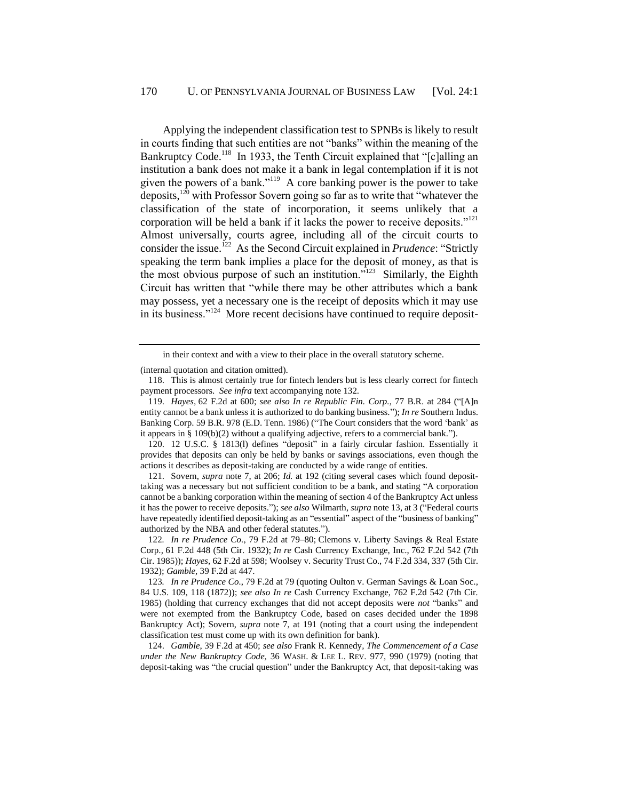Applying the independent classification test to SPNBs is likely to result in courts finding that such entities are not "banks" within the meaning of the Bankruptcy Code.<sup>118</sup> In 1933, the Tenth Circuit explained that "[c]alling an institution a bank does not make it a bank in legal contemplation if it is not given the powers of a bank."<sup>119</sup> A core banking power is the power to take deposits,  $120$  with Professor Sovern going so far as to write that "whatever the classification of the state of incorporation, it seems unlikely that a corporation will be held a bank if it lacks the power to receive deposits."<sup>121</sup> Almost universally, courts agree, including all of the circuit courts to consider the issue.<sup>122</sup> As the Second Circuit explained in *Prudence*: "Strictly speaking the term bank implies a place for the deposit of money, as that is the most obvious purpose of such an institution."<sup>123</sup> Similarly, the Eighth Circuit has written that "while there may be other attributes which a bank may possess, yet a necessary one is the receipt of deposits which it may use in its business."<sup>124</sup> More recent decisions have continued to require deposit-

(internal quotation and citation omitted).

120. 12 U.S.C. § 1813(l) defines "deposit" in a fairly circular fashion. Essentially it provides that deposits can only be held by banks or savings associations, even though the actions it describes as deposit-taking are conducted by a wide range of entities.

121. Sovern, *supra* note [7,](#page-2-1) at 206; *Id.* at 192 (citing several cases which found deposittaking was a necessary but not sufficient condition to be a bank, and stating "A corporation cannot be a banking corporation within the meaning of section 4 of the Bankruptcy Act unless it has the power to receive deposits."); *see also* Wilmarth, *supra* note [13,](#page-4-1) at 3 ("Federal courts have repeatedly identified deposit-taking as an "essential" aspect of the "business of banking" authorized by the NBA and other federal statutes.").

122*. In re Prudence Co.*, 79 F.2d at 79–80; Clemons v. Liberty Savings & Real Estate Corp.*,* 61 F.2d 448 (5th Cir. 1932); *In re* Cash Currency Exchange, Inc., 762 F.2d 542 (7th Cir. 1985)); *Hayes*, 62 F.2d at 598; Woolsey v. Security Trust Co., 74 F.2d 334, 337 (5th Cir. 1932); *Gamble,* 39 F.2d at 447.

124. *Gamble*, 39 F.2d at 450; *see also* Frank R. Kennedy*, The Commencement of a Case under the New Bankruptcy Code,* 36 WASH. & LEE L. REV. 977, 990 (1979) (noting that deposit-taking was "the crucial question" under the Bankruptcy Act, that deposit-taking was

in their context and with a view to their place in the overall statutory scheme.

<sup>118.</sup> This is almost certainly true for fintech lenders but is less clearly correct for fintech payment processors. *See infra* text accompanying not[e 132.](#page-28-0)

<sup>119.</sup> *Hayes,* 62 F.2d at 600; *see also In re Republic Fin. Corp.*, 77 B.R. at 284 ("[A]n entity cannot be a bank unless it is authorized to do banking business."); *In re* Southern Indus. Banking Corp. 59 B.R. 978 (E.D. Tenn. 1986) ("The Court considers that the word 'bank' as it appears in § [109\(b\)\(2\)](https://1.next.westlaw.com/Link/Document/FullText?findType=L&pubNum=1000546&cite=11USCAS109&originatingDoc=I2a19f86b6e7e11d9bd09d9bdc1d194d4&refType=RB&originationContext=document&transitionType=DocumentItem&contextData=(sc.Keycite)#co_pp_c0ae00006c482) without a qualifying adjective, refers to a commercial bank.").

<sup>123</sup>*. In re Prudence Co.*, 79 F.2d at 79 (quoting Oulton v. German Savings & Loan Soc., 84 U.S. 109, 118 (1872)); *see also In re* Cash Currency Exchange, 762 F.2d 542 (7th Cir. 1985) (holding that currency exchanges that did not accept deposits were *not* "banks" and were not exempted from the Bankruptcy Code, based on cases decided under the 1898 Bankruptcy Act); Sovern, *supra* note [7,](#page-2-1) at 191 (noting that a court using the independent classification test must come up with its own definition for bank).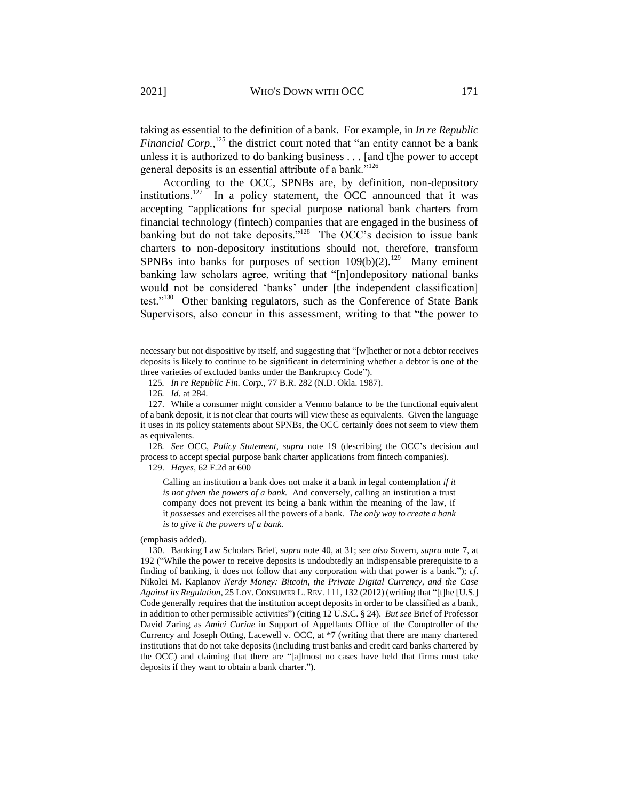taking as essential to the definition of a bank. For example, in *In re Republic Financial Corp.*,<sup>125</sup> the district court noted that "an entity cannot be a bank unless it is authorized to do banking business . . . [and t]he power to accept general deposits is an essential attribute of a bank."<sup>126</sup>

According to the OCC, SPNBs are, by definition, non-depository institutions.<sup>127</sup> In a policy statement, the OCC announced that it was accepting "applications for special purpose national bank charters from financial technology (fintech) companies that are engaged in the business of banking but do not take deposits."<sup>128</sup> The OCC's decision to issue bank charters to non-depository institutions should not, therefore, transform SPNBs into banks for purposes of section  $109(b)(2)$ .<sup>129</sup> Many eminent banking law scholars agree, writing that "[n]ondepository national banks would not be considered 'banks' under [the independent classification] test."<sup>130</sup> Other banking regulators, such as the Conference of State Bank Supervisors, also concur in this assessment, writing to that "the power to

128*. See* OCC, *Policy Statement*, *supra* note [19](#page-6-1) (describing the OCC's decision and process to accept special purpose bank charter applications from fintech companies).

129. *Hayes,* 62 F.2d at 600

Calling an institution a bank does not make it a bank in legal contemplation *if it is not given the powers of a bank.* And conversely, calling an institution a trust company does not prevent its being a bank within the meaning of the law, if it *possesses* and exercises all the powers of a bank. *The only way to create a bank is to give it the powers of a bank.*

(emphasis added).

necessary but not dispositive by itself, and suggesting that "[w]hether or not a debtor receives deposits is likely to continue to be significant in determining whether a debtor is one of the three varieties of excluded banks under the Bankruptcy Code").

<sup>125</sup>*. In re Republic Fin. Corp.*, 77 B.R. 282 (N.D. Okla. 1987).

<sup>126</sup>*. Id.* at 284.

<sup>127.</sup> While a consumer might consider a Venmo balance to be the functional equivalent of a bank deposit, it is not clear that courts will view these as equivalents. Given the language it uses in its policy statements about SPNBs, the OCC certainly does not seem to view them as equivalents.

<sup>130.</sup> Banking Law Scholars Brief, *supra* note [40,](#page-10-0) at 31; *see also* Sovern, *supra* note [7,](#page-2-1) at 192 ("While the power to receive deposits is undoubtedly an indispensable prerequisite to a finding of banking, it does not follow that any corporation with that power is a bank."); *cf*. Nikolei M. Kaplanov *Nerdy Money: Bitcoin, the Private Digital Currency, and the Case Against its Regulation*, 25 LOY.CONSUMER L. REV. 111, 132 (2012) (writing that "[t]he [U.S.] Code generally requires that the institution accept deposits in order to be classified as a bank, in addition to other permissible activities") (citing 12 U.S.C. § 24). *But see* Brief of Professor David Zaring as *Amici Curiae* in Support of Appellants Office of the Comptroller of the Currency and Joseph Otting, Lacewell v. OCC, at \*7 (writing that there are many chartered institutions that do not take deposits (including trust banks and credit card banks chartered by the OCC) and claiming that there are "[a]lmost no cases have held that firms must take deposits if they want to obtain a bank charter.").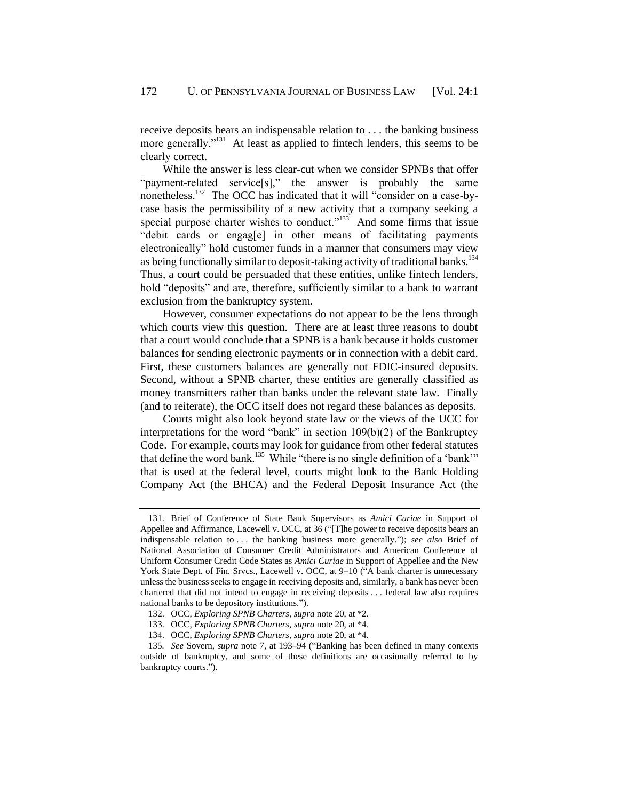receive deposits bears an indispensable relation to . . . the banking business more generally."<sup>131</sup> At least as applied to fintech lenders, this seems to be clearly correct.

<span id="page-28-0"></span>While the answer is less clear-cut when we consider SPNBs that offer "payment-related service[s]," the answer is probably the same nonetheless.<sup>132</sup> The OCC has indicated that it will "consider on a case-bycase basis the permissibility of a new activity that a company seeking a special purpose charter wishes to conduct."<sup>133</sup> And some firms that issue "debit cards or engag[e] in other means of facilitating payments electronically" hold customer funds in a manner that consumers may view as being functionally similar to deposit-taking activity of traditional banks.<sup>134</sup> Thus, a court could be persuaded that these entities, unlike fintech lenders, hold "deposits" and are, therefore, sufficiently similar to a bank to warrant exclusion from the bankruptcy system.

<span id="page-28-1"></span>However, consumer expectations do not appear to be the lens through which courts view this question. There are at least three reasons to doubt that a court would conclude that a SPNB is a bank because it holds customer balances for sending electronic payments or in connection with a debit card. First, these customers balances are generally not FDIC-insured deposits. Second, without a SPNB charter, these entities are generally classified as money transmitters rather than banks under the relevant state law. Finally (and to reiterate), the OCC itself does not regard these balances as deposits.

Courts might also look beyond state law or the views of the UCC for interpretations for the word "bank" in section 109(b)(2) of the Bankruptcy Code. For example, courts may look for guidance from other federal statutes that define the word bank.<sup>135</sup> While "there is no single definition of a 'bank'" that is used at the federal level, courts might look to the Bank Holding Company Act (the BHCA) and the Federal Deposit Insurance Act (the

<sup>131.</sup> Brief of Conference of State Bank Supervisors as *Amici Curiae* in Support of Appellee and Affirmance, Lacewell v. OCC, at 36 ("[T]he power to receive deposits bears an indispensable relation to . . . the banking business more generally."); *see also* Brief of National Association of Consumer Credit Administrators and American Conference of Uniform Consumer Credit Code States as *Amici Curiae* in Support of Appellee and the New York State Dept. of Fin. Srvcs., Lacewell v. OCC, at 9-10 ("A bank charter is unnecessary unless the business seeks to engage in receiving deposits and, similarly, a bank has never been chartered that did not intend to engage in receiving deposits . . . federal law also requires national banks to be depository institutions.").

<sup>132.</sup> OCC, *Exploring SPNB Charters*, *supra* not[e 20,](#page-6-0) at \*2.

<sup>133.</sup> OCC, *Exploring SPNB Charters*, *supra* not[e 20,](#page-6-0) at \*4.

<sup>134.</sup> OCC, *Exploring SPNB Charters*, *supra* not[e 20,](#page-6-0) at \*4.

<sup>135</sup>*. See* Sovern, *supra* note [7,](#page-2-1) at 193–94 ("Banking has been defined in many contexts outside of bankruptcy, and some of these definitions are occasionally referred to by bankruptcy courts.").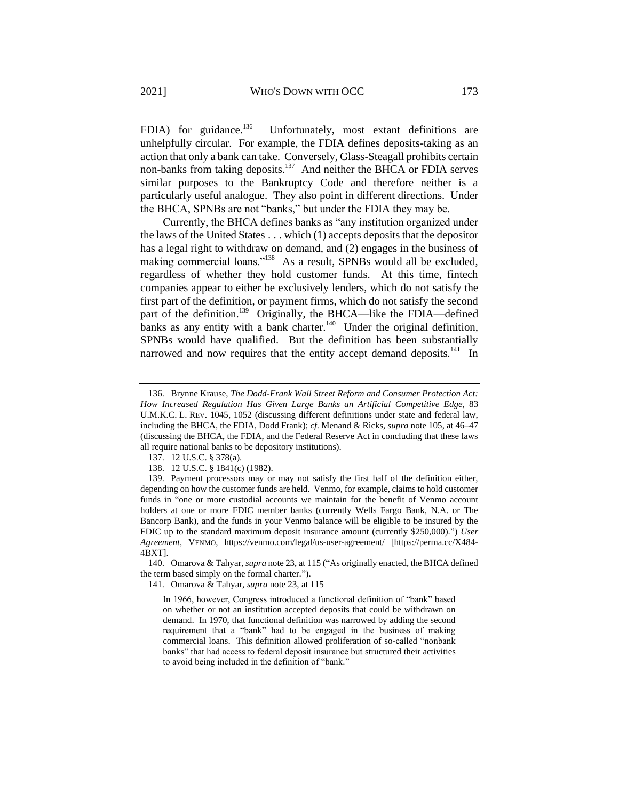<span id="page-29-0"></span>FDIA) for guidance. $136$  Unfortunately, most extant definitions are unhelpfully circular. For example, the FDIA defines deposits-taking as an action that only a bank can take. Conversely, Glass-Steagall prohibits certain non-banks from taking deposits.<sup>137</sup> And neither the BHCA or FDIA serves similar purposes to the Bankruptcy Code and therefore neither is a particularly useful analogue. They also point in different directions. Under the BHCA, SPNBs are not "banks," but under the FDIA they may be.

Currently, the BHCA defines banks as "any institution organized under the laws of the United States . . . which (1) accepts deposits that the depositor has a legal right to withdraw on demand, and (2) engages in the business of making commercial loans."<sup>138</sup> As a result, SPNBs would all be excluded, regardless of whether they hold customer funds. At this time, fintech companies appear to either be exclusively lenders, which do not satisfy the first part of the definition, or payment firms, which do not satisfy the second part of the definition.<sup>139</sup> Originally, the BHCA—like the FDIA—defined banks as any entity with a bank charter.<sup>140</sup> Under the original definition, SPNBs would have qualified. But the definition has been substantially narrowed and now requires that the entity accept demand deposits.<sup>141</sup> In

140. Omarova & Tahyar, *supra* not[e 23,](#page-7-1) at 115 ("As originally enacted, the BHCA defined the term based simply on the formal charter.").

141. Omarova & Tahyar, *supra* not[e 23,](#page-7-1) at 115

In 1966, however, Congress introduced a functional definition of "bank" based on whether or not an institution accepted deposits that could be withdrawn on demand. In 1970, that functional definition was narrowed by adding the second requirement that a "bank" had to be engaged in the business of making commercial loans. This definition allowed proliferation of so-called "nonbank banks" that had access to federal deposit insurance but structured their activities to avoid being included in the definition of "bank."

<sup>136.</sup> Brynne Krause, *The Dodd-Frank Wall Street Reform and Consumer Protection Act: How Increased Regulation Has Given Large Banks an Artificial Competitive Edge*, 83 U.M.K.C. L. REV. 1045, 1052 (discussing different definitions under state and federal law, including the BHCA, the FDIA, Dodd Frank); *cf*. Menand & Ricks, *supra* note 105, at 46–47 (discussing the BHCA, the FDIA, and the Federal Reserve Act in concluding that these laws all require national banks to be depository institutions).

<sup>137.</sup> 12 U.S.C. § 378(a).

<sup>138.</sup> 12 U.S.C. § 1841(c) (1982).

<sup>139.</sup> Payment processors may or may not satisfy the first half of the definition either, depending on how the customer funds are held. Venmo, for example, claims to hold customer funds in "one or more custodial accounts we maintain for the benefit of Venmo account holders at one or more FDIC member banks (currently Wells Fargo Bank, N.A. or The Bancorp Bank), and the funds in your Venmo balance will be eligible to be insured by the FDIC up to the standard maximum deposit insurance amount (currently \$250,000).") *User Agreement*, VENMO, https://venmo.com/legal/us-user-agreement/ [https://perma.cc/X484- 4BXT].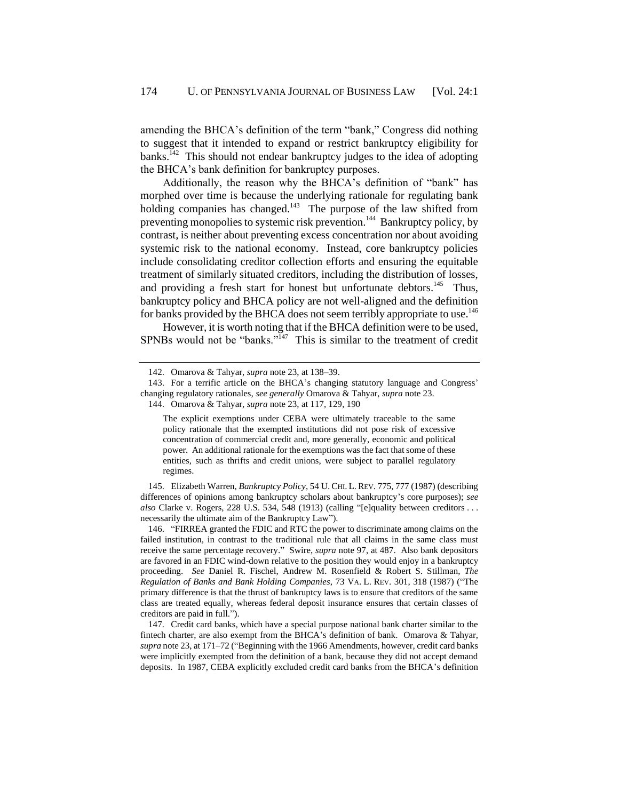amending the BHCA's definition of the term "bank," Congress did nothing to suggest that it intended to expand or restrict bankruptcy eligibility for banks.<sup>142</sup> This should not endear bankruptcy judges to the idea of adopting the BHCA's bank definition for bankruptcy purposes.

Additionally, the reason why the BHCA's definition of "bank" has morphed over time is because the underlying rationale for regulating bank holding companies has changed.<sup>143</sup> The purpose of the law shifted from preventing monopolies to systemic risk prevention.<sup>144</sup> Bankruptcy policy, by contrast, is neither about preventing excess concentration nor about avoiding systemic risk to the national economy. Instead, core bankruptcy policies include consolidating creditor collection efforts and ensuring the equitable treatment of similarly situated creditors, including the distribution of losses, and providing a fresh start for honest but unfortunate debtors.<sup>145</sup> Thus, bankruptcy policy and BHCA policy are not well-aligned and the definition for banks provided by the BHCA does not seem terribly appropriate to use.<sup>146</sup>

However, it is worth noting that if the BHCA definition were to be used, SPNBs would not be "banks."<sup>147</sup> This is similar to the treatment of credit

145. Elizabeth Warren, *Bankruptcy Policy*, 54 U.CHI. L.REV. 775, 777 (1987) (describing differences of opinions among bankruptcy scholars about bankruptcy's core purposes); *see also* Clarke v. Rogers, 228 U.S. 534, 548 (1913) (calling "[e]quality between creditors . . . necessarily the ultimate aim of the Bankruptcy Law").

146. "FIRREA granted the FDIC and RTC the power to discriminate among claims on the failed institution, in contrast to the traditional rule that all claims in the same class must receive the same percentage recovery." Swire, *supra* note [97,](#page-21-1) at 487. Also bank depositors are favored in an FDIC wind-down relative to the position they would enjoy in a bankruptcy proceeding. *See* Daniel R. Fischel, Andrew M. Rosenfield & Robert S. Stillman, *The Regulation of Banks and Bank Holding Companies*, 73 VA. L. REV. 301, 318 (1987) ("The primary difference is that the thrust of bankruptcy laws is to ensure that creditors of the same class are treated equally, whereas federal deposit insurance ensures that certain classes of creditors are paid in full.").

147. Credit card banks, which have a special purpose national bank charter similar to the fintech charter, are also exempt from the BHCA's definition of bank. Omarova & Tahyar, *supra* not[e 23,](#page-7-0) at 171–72 ("Beginning with the 1966 Amendments, however, credit card banks were implicitly exempted from the definition of a bank, because they did not accept demand deposits. In 1987, CEBA explicitly excluded credit card banks from the BHCA's definition

<span id="page-30-0"></span><sup>142.</sup> Omarova & Tahyar, *supra* not[e 23,](#page-7-1) at 138–39.

<sup>143.</sup> For a terrific article on the BHCA's changing statutory language and Congress' changing regulatory rationales, *see generally* Omarova & Tahyar, *supra* not[e 23.](#page-7-1)

<sup>144.</sup> Omarova & Tahyar, *supra* not[e 23,](#page-7-1) at 117, 129, 190

The explicit exemptions under CEBA were ultimately traceable to the same policy rationale that the exempted institutions did not pose risk of excessive concentration of commercial credit and, more generally, economic and political power. An additional rationale for the exemptions was the fact that some of these entities, such as thrifts and credit unions, were subject to parallel regulatory regimes.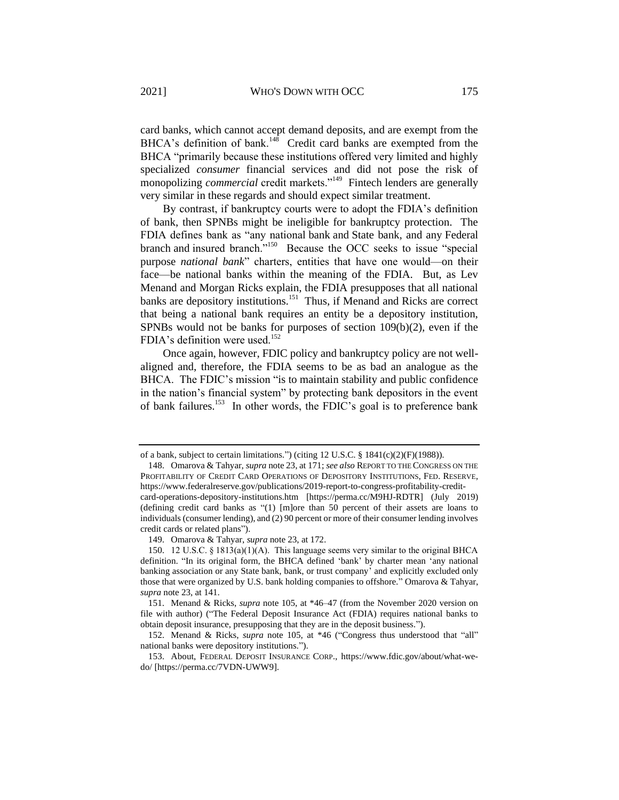card banks, which cannot accept demand deposits, and are exempt from the BHCA's definition of bank.<sup>148</sup> Credit card banks are exempted from the BHCA "primarily because these institutions offered very limited and highly specialized *consumer* financial services and did not pose the risk of monopolizing *commercial* credit markets."<sup>149</sup> Fintech lenders are generally very similar in these regards and should expect similar treatment.

By contrast, if bankruptcy courts were to adopt the FDIA's definition of bank, then SPNBs might be ineligible for bankruptcy protection. The FDIA defines bank as "any national bank and State bank, and any Federal branch and insured branch."<sup>150</sup> Because the OCC seeks to issue "special purpose *national bank*" charters, entities that have one would—on their face—be national banks within the meaning of the FDIA. But, as Lev Menand and Morgan Ricks explain, the FDIA presupposes that all national banks are depository institutions.<sup>151</sup> Thus, if Menand and Ricks are correct that being a national bank requires an entity be a depository institution, SPNBs would not be banks for purposes of section 109(b)(2), even if the FDIA's definition were used.<sup>152</sup>

Once again, however, FDIC policy and bankruptcy policy are not wellaligned and, therefore, the FDIA seems to be as bad an analogue as the BHCA. The FDIC's mission "is to maintain stability and public confidence in the nation's financial system" by protecting bank depositors in the event of bank failures.<sup>153</sup> In other words, the FDIC's goal is to preference bank

of a bank, subject to certain limitations.") (citing 12 U.S.C. § 1841(c)(2)(F)(1988)).

<sup>148.</sup> Omarova & Tahyar, *supra* not[e 23,](#page-7-0) at 171; *see also* REPORT TO THE CONGRESS ON THE PROFITABILITY OF CREDIT CARD OPERATIONS OF DEPOSITORY INSTITUTIONS, FED. RESERVE, https://www.federalreserve.gov/publications/2019-report-to-congress-profitability-credit-

card-operations-depository-institutions.htm [https://perma.cc/M9HJ-RDTR] (July 2019) (defining credit card banks as "(1) [m]ore than 50 percent of their assets are loans to individuals (consumer lending), and (2) 90 percent or more of their consumer lending involves credit cards or related plans").

<sup>149.</sup> Omarova & Tahyar, *supra* not[e 23,](#page-7-1) at 172.

<sup>150.</sup> 12 U.S.C. § 1813(a)(1)(A). This language seems very similar to the original BHCA definition. "In its original form, the BHCA defined 'bank' by charter mean 'any national banking association or any State bank, bank, or trust company' and explicitly excluded only those that were organized by U.S. bank holding companies to offshore." Omarova & Tahyar, *supra* not[e 23,](#page-7-0) at 141.

<sup>151.</sup> Menand & Ricks, *supra* note 105, at \*46–47 (from the November 2020 version on file with author) ("The Federal Deposit Insurance Act (FDIA) requires national banks to obtain deposit insurance, presupposing that they are in the deposit business.").

<sup>152.</sup> Menand & Ricks, *supra* note 105, at \*46 ("Congress thus understood that "all" national banks were depository institutions.").

<sup>153.</sup> About, FEDERAL DEPOSIT INSURANCE CORP., https://www.fdic.gov/about/what-wedo/ [https://perma.cc/7VDN-UWW9].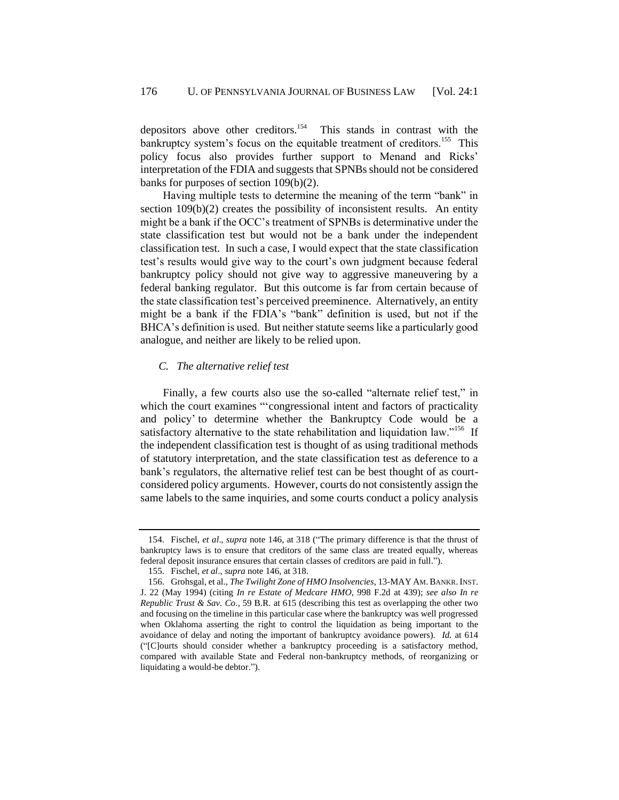<span id="page-32-0"></span>depositors above other creditors.<sup>154</sup> This stands in contrast with the bankruptcy system's focus on the equitable treatment of creditors.<sup>155</sup> This policy focus also provides further support to Menand and Ricks' interpretation of the FDIA and suggests that SPNBs should not be considered banks for purposes of section 109(b)(2).

Having multiple tests to determine the meaning of the term "bank" in section 109(b)(2) creates the possibility of inconsistent results. An entity might be a bank if the OCC's treatment of SPNBs is determinative under the state classification test but would not be a bank under the independent classification test. In such a case, I would expect that the state classification test's results would give way to the court's own judgment because federal bankruptcy policy should not give way to aggressive maneuvering by a federal banking regulator. But this outcome is far from certain because of the state classification test's perceived preeminence. Alternatively, an entity might be a bank if the FDIA's "bank" definition is used, but not if the BHCA's definition is used. But neither statute seems like a particularly good analogue, and neither are likely to be relied upon.

#### <span id="page-32-1"></span>*C. The alternative relief test*

Finally, a few courts also use the so-called "alternate relief test," in which the court examines ""congressional intent and factors of practicality and policy' to determine whether the Bankruptcy Code would be a satisfactory alternative to the state rehabilitation and liquidation law."<sup>156</sup> If the independent classification test is thought of as using traditional methods of statutory interpretation, and the state classification test as deference to a bank's regulators, the alternative relief test can be best thought of as courtconsidered policy arguments. However, courts do not consistently assign the same labels to the same inquiries, and some courts conduct a policy analysis

<sup>154.</sup> Fischel, *et al*., *supra* note [146,](#page-30-0) at 318 ("The primary difference is that the thrust of bankruptcy laws is to ensure that creditors of the same class are treated equally, whereas federal deposit insurance ensures that certain classes of creditors are paid in full.").

<sup>155.</sup> Fischel, *et al*., *supra* not[e 146,](#page-30-0) at 318.

<sup>156.</sup> Grohsgal, et al., *The Twilight Zone of HMO Insolvencies*, 13-MAY AM.BANKR.INST. J. 22 (May 1994) (citing *In re Estate of Medcare HMO*, 998 F.2d at 439); *see also In re Republic Trust & Sav. Co.*, 59 B.R. at 615 (describing this test as overlapping the other two and focusing on the timeline in this particular case where the bankruptcy was well progressed when Oklahoma asserting the right to control the liquidation as being important to the avoidance of delay and noting the important of bankruptcy avoidance powers). *Id.* at 614 ("[C]ourts should consider whether a bankruptcy proceeding is a satisfactory method, compared with available State and Federal non-bankruptcy methods, of reorganizing or liquidating a would-be debtor.").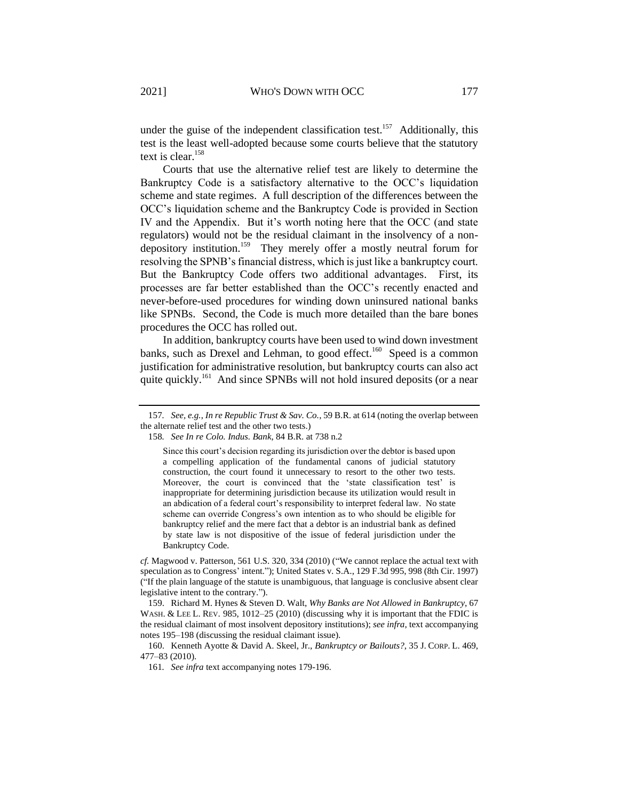under the guise of the independent classification test.<sup>157</sup> Additionally, this test is the least well-adopted because some courts believe that the statutory text is clear.<sup>158</sup>

<span id="page-33-0"></span>Courts that use the alternative relief test are likely to determine the Bankruptcy Code is a satisfactory alternative to the OCC's liquidation scheme and state regimes. A full description of the differences between the OCC's liquidation scheme and the Bankruptcy Code is provided in Section IV and the Appendix. But it's worth noting here that the OCC (and state regulators) would not be the residual claimant in the insolvency of a nondepository institution.<sup>159</sup> They merely offer a mostly neutral forum for resolving the SPNB's financial distress, which is just like a bankruptcy court. But the Bankruptcy Code offers two additional advantages. First, its processes are far better established than the OCC's recently enacted and never-before-used procedures for winding down uninsured national banks like SPNBs. Second, the Code is much more detailed than the bare bones procedures the OCC has rolled out.

<span id="page-33-1"></span>In addition, bankruptcy courts have been used to wind down investment banks, such as Drexel and Lehman, to good effect.<sup>160</sup> Speed is a common justification for administrative resolution, but bankruptcy courts can also act quite quickly.<sup>161</sup> And since SPNBs will not hold insured deposits (or a near

*cf.* Magwood v. Patterson, 561 U.S. 320, 334 (2010) ("We cannot replace the actual text with speculation as to Congress' intent."); United States v. S.A., 129 F.3d 995, 998 (8th Cir. 1997) ("If the plain language of the statute is unambiguous, that language is conclusive absent clear legislative intent to the contrary.").

159. Richard M. Hynes & Steven D. Walt, *Why Banks are Not Allowed in Bankruptcy*, 67 WASH. & LEE L. REV. 985, 1012–25 (2010) (discussing why it is important that the FDIC is the residual claimant of most insolvent depository institutions); *see infra*, text accompanying notes 195–198 (discussing the residual claimant issue).

160. Kenneth Ayotte & David A. Skeel, Jr., *Bankruptcy or Bailouts?*, 35 J. CORP. L. 469, 477–83 (2010).

<sup>157</sup>*. See, e.g.*, *In re Republic Trust & Sav. Co.*, 59 B.R. at 614 (noting the overlap between the alternate relief test and the other two tests.)

<sup>158</sup>*. See In re Colo. Indus. Bank*, 84 B.R. at 738 n.2

Since this court's decision regarding its jurisdiction over the debtor is based upon a compelling application of the fundamental canons of judicial statutory construction, the court found it unnecessary to resort to the other two tests. Moreover, the court is convinced that the 'state classification test' is inappropriate for determining jurisdiction because its utilization would result in an abdication of a federal court's responsibility to interpret federal law. No state scheme can override Congress's own intention as to who should be eligible for bankruptcy relief and the mere fact that a debtor is an industrial bank as defined by state law is not dispositive of the issue of federal jurisdiction under the Bankruptcy Code.

<sup>161</sup>*. See infra* text accompanying note[s 179](#page-38-0)[-196.](#page-41-0)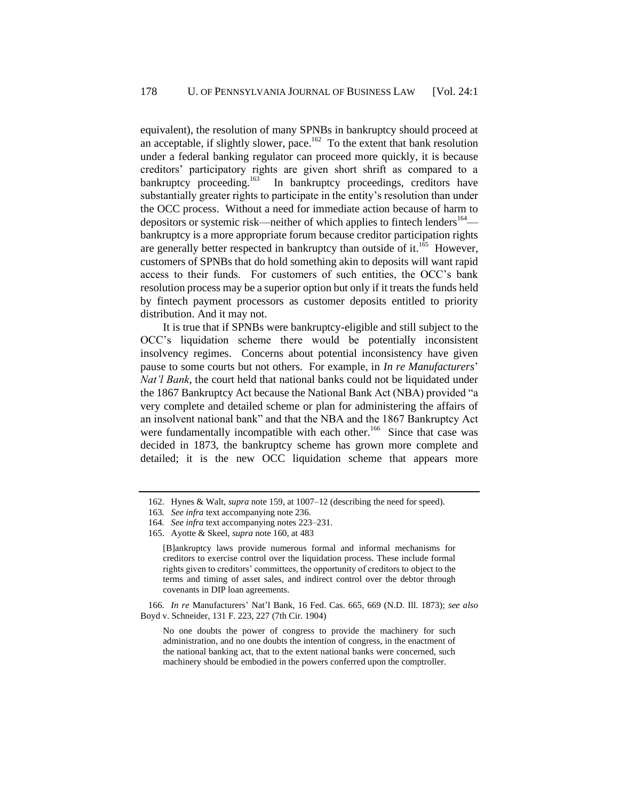equivalent), the resolution of many SPNBs in bankruptcy should proceed at an acceptable, if slightly slower, pace.<sup>162</sup> To the extent that bank resolution under a federal banking regulator can proceed more quickly, it is because creditors' participatory rights are given short shrift as compared to a bankruptcy proceeding.<sup>163</sup> In bankruptcy proceedings, creditors have substantially greater rights to participate in the entity's resolution than under the OCC process. Without a need for immediate action because of harm to depositors or systemic risk—neither of which applies to fintech lenders<sup>164</sup> bankruptcy is a more appropriate forum because creditor participation rights are generally better respected in bankruptcy than outside of it.<sup>165</sup> However, customers of SPNBs that do hold something akin to deposits will want rapid access to their funds. For customers of such entities, the OCC's bank resolution process may be a superior option but only if it treats the funds held by fintech payment processors as customer deposits entitled to priority distribution. And it may not.

<span id="page-34-1"></span>It is true that if SPNBs were bankruptcy-eligible and still subject to the OCC's liquidation scheme there would be potentially inconsistent insolvency regimes. Concerns about potential inconsistency have given pause to some courts but not others. For example, in *In re Manufacturers*' *Nat'l Bank*, the court held that national banks could not be liquidated under the 1867 Bankruptcy Act because the National Bank Act (NBA) provided "a very complete and detailed scheme or plan for administering the affairs of an insolvent national bank" and that the NBA and the 1867 Bankruptcy Act were fundamentally incompatible with each other.<sup>166</sup> Since that case was decided in 1873, the bankruptcy scheme has grown more complete and detailed; it is the new OCC liquidation scheme that appears more

<span id="page-34-0"></span><sup>162.</sup> Hynes & Walt, *supra* not[e 159,](#page-33-0) at 1007–12 (describing the need for speed).

<sup>163</sup>*. See infra* text accompanying note [236.](#page-49-2)

<sup>164</sup>*. See infra* text accompanying notes [223](#page-46-0)[–231.](#page-48-0)

<sup>165.</sup> Ayotte & Skeel, *supra* not[e 160,](#page-33-1) at 483

<sup>[</sup>B]ankruptcy laws provide numerous formal and informal mechanisms for creditors to exercise control over the liquidation process. These include formal rights given to creditors' committees, the opportunity of creditors to object to the terms and timing of asset sales, and indirect control over the debtor through covenants in DIP loan agreements.

<sup>166</sup>*. In re* Manufacturers' Nat'l Bank, 16 Fed. Cas. 665, 669 (N.D. Ill. 1873); *see also*  Boyd v. Schneider, 131 F. 223, 227 (7th Cir. 1904)

No one doubts the power of congress to provide the machinery for such administration, and no one doubts the intention of congress, in the enactment of the national banking act, that to the extent national banks were concerned, such machinery should be embodied in the powers conferred upon the comptroller.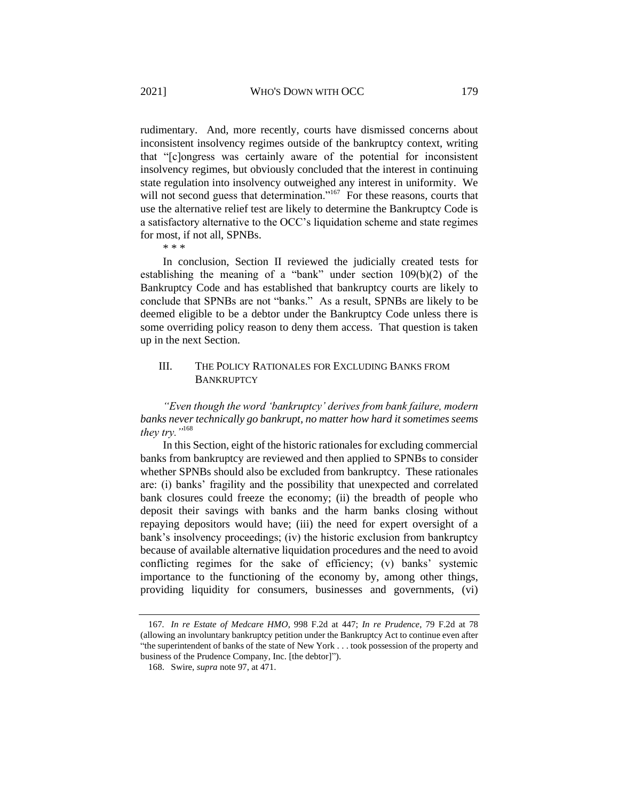rudimentary. And, more recently, courts have dismissed concerns about inconsistent insolvency regimes outside of the bankruptcy context, writing that "[c]ongress was certainly aware of the potential for inconsistent insolvency regimes, but obviously concluded that the interest in continuing state regulation into insolvency outweighed any interest in uniformity. We will not second guess that determination."<sup>167</sup> For these reasons, courts that use the alternative relief test are likely to determine the Bankruptcy Code is a satisfactory alternative to the OCC's liquidation scheme and state regimes for most, if not all, SPNBs.

<span id="page-35-2"></span><span id="page-35-1"></span>\* \* \*

In conclusion, Section II reviewed the judicially created tests for establishing the meaning of a "bank" under section 109(b)(2) of the Bankruptcy Code and has established that bankruptcy courts are likely to conclude that SPNBs are not "banks." As a result, SPNBs are likely to be deemed eligible to be a debtor under the Bankruptcy Code unless there is some overriding policy reason to deny them access. That question is taken up in the next Section.

## <span id="page-35-0"></span>III. THE POLICY RATIONALES FOR EXCLUDING BANKS FROM **BANKRUPTCY**

*"Even though the word 'bankruptcy' derives from bank failure, modern banks never technically go bankrupt, no matter how hard it sometimes seems they try."*<sup>168</sup>

In this Section, eight of the historic rationales for excluding commercial banks from bankruptcy are reviewed and then applied to SPNBs to consider whether SPNBs should also be excluded from bankruptcy. These rationales are: (i) banks' fragility and the possibility that unexpected and correlated bank closures could freeze the economy; (ii) the breadth of people who deposit their savings with banks and the harm banks closing without repaying depositors would have; (iii) the need for expert oversight of a bank's insolvency proceedings; (iv) the historic exclusion from bankruptcy because of available alternative liquidation procedures and the need to avoid conflicting regimes for the sake of efficiency; (v) banks' systemic importance to the functioning of the economy by, among other things, providing liquidity for consumers, businesses and governments, (vi)

<sup>167</sup>*. In re Estate of Medcare HMO*, 998 F.2d at 447; *In re Prudence*, 79 F.2d at 78 (allowing an involuntary bankruptcy petition under the Bankruptcy Act to continue even after "the superintendent of banks of the state of New York . . . took possession of the property and business of the Prudence Company, Inc. [the debtor]").

<sup>168.</sup> Swire, *supra* note [97,](#page-21-1) at 471.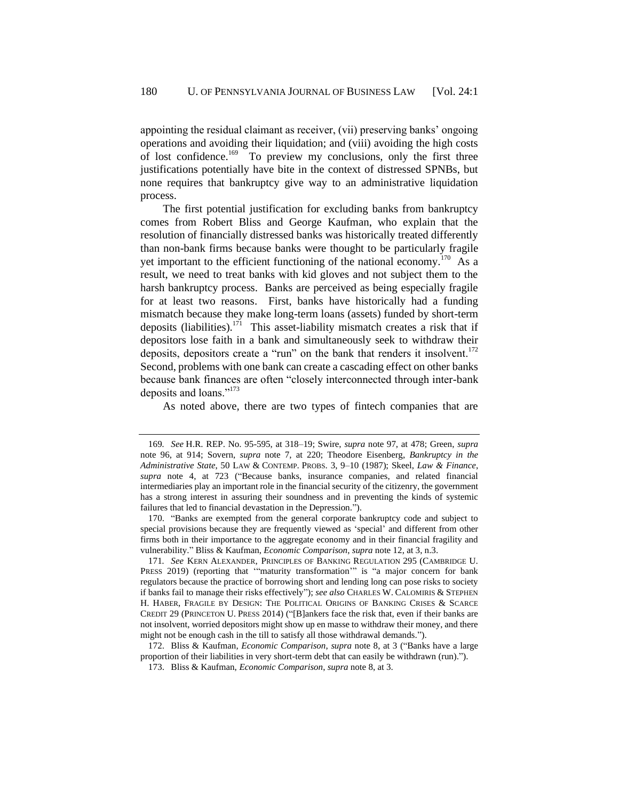<span id="page-36-0"></span>appointing the residual claimant as receiver, (vii) preserving banks' ongoing operations and avoiding their liquidation; and (viii) avoiding the high costs of lost confidence.<sup>169</sup> To preview my conclusions, only the first three justifications potentially have bite in the context of distressed SPNBs, but none requires that bankruptcy give way to an administrative liquidation process.

The first potential justification for excluding banks from bankruptcy comes from Robert Bliss and George Kaufman, who explain that the resolution of financially distressed banks was historically treated differently than non-bank firms because banks were thought to be particularly fragile yet important to the efficient functioning of the national economy.<sup>170</sup> As a result, we need to treat banks with kid gloves and not subject them to the harsh bankruptcy process. Banks are perceived as being especially fragile for at least two reasons. First, banks have historically had a funding mismatch because they make long-term loans (assets) funded by short-term deposits (liabilities).<sup>171</sup> This asset-liability mismatch creates a risk that if depositors lose faith in a bank and simultaneously seek to withdraw their deposits, depositors create a "run" on the bank that renders it insolvent.<sup>172</sup> Second, problems with one bank can create a cascading effect on other banks because bank finances are often "closely interconnected through inter-bank deposits and loans."<sup>173</sup>

As noted above, there are two types of fintech companies that are

171*. See* KERN ALEXANDER, PRINCIPLES OF BANKING REGULATION 295 (CAMBRIDGE U. PRESS 2019) (reporting that "maturity transformation" is "a major concern for bank regulators because the practice of borrowing short and lending long can pose risks to society if banks fail to manage their risks effectively"); *see also* CHARLES W. CALOMIRIS & STEPHEN H. HABER, FRAGILE BY DESIGN: THE POLITICAL ORIGINS OF BANKING CRISES & SCARCE CREDIT 29 (PRINCETON U. PRESS 2014) ("[B]ankers face the risk that, even if their banks are not insolvent, worried depositors might show up en masse to withdraw their money, and there might not be enough cash in the till to satisfy all those withdrawal demands.").

172. Bliss & Kaufman, *Economic Comparison*, *supra* note [8,](#page-2-0) at 3 ("Banks have a large proportion of their liabilities in very short-term debt that can easily be withdrawn (run).").

173. Bliss & Kaufman, *Economic Comparison*, *supra* not[e 8,](#page-2-0) at 3.

<sup>169</sup>*. See* H.R. REP. No. 95-595, at 318–19; Swire, *supra* note [97,](#page-21-1) at 478; Green, *supra*  note [96,](#page-21-0) at 914; Sovern, *supra* note [7,](#page-2-1) at 220; Theodore Eisenberg, *Bankruptcy in the Administrative State*, 50 LAW & CONTEMP. PROBS. 3, 9–10 (1987); Skeel, *Law & Finance*, *supra* note [4,](#page-2-3) at 723 ("Because banks, insurance companies, and related financial intermediaries play an important role in the financial security of the citizenry, the government has a strong interest in assuring their soundness and in preventing the kinds of systemic failures that led to financial devastation in the Depression.").

<sup>170.</sup> "Banks are exempted from the general corporate bankruptcy code and subject to special provisions because they are frequently viewed as 'special' and different from other firms both in their importance to the aggregate economy and in their financial fragility and vulnerability." Bliss & Kaufman, *Economic Comparison*, *supra* note [12,](#page-3-0) at 3, n.3.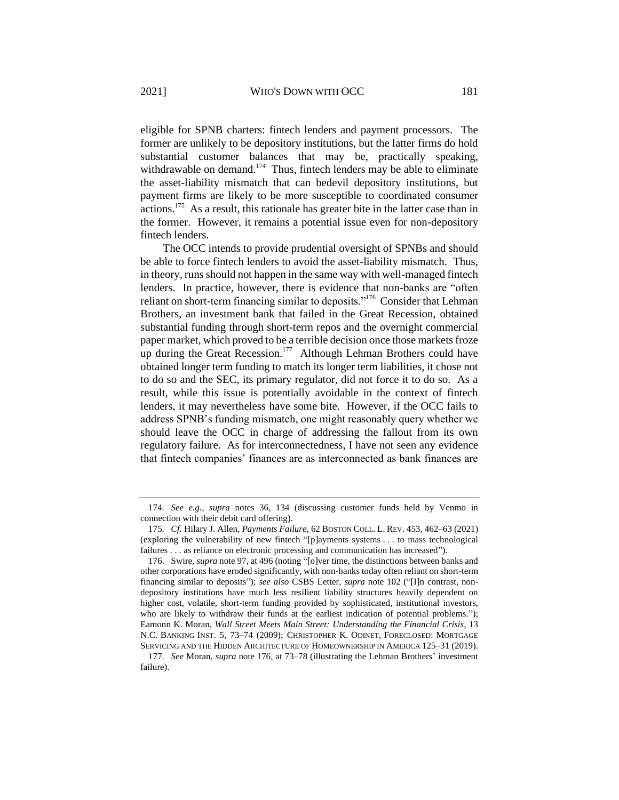eligible for SPNB charters: fintech lenders and payment processors. The former are unlikely to be depository institutions, but the latter firms do hold substantial customer balances that may be, practically speaking, withdrawable on demand.<sup>174</sup> Thus, fintech lenders may be able to eliminate the asset-liability mismatch that can bedevil depository institutions, but payment firms are likely to be more susceptible to coordinated consumer actions.<sup>175</sup> As a result, this rationale has greater bite in the latter case than in the former. However, it remains a potential issue even for non-depository fintech lenders.

<span id="page-37-1"></span><span id="page-37-0"></span>The OCC intends to provide prudential oversight of SPNBs and should be able to force fintech lenders to avoid the asset-liability mismatch. Thus, in theory, runs should not happen in the same way with well-managed fintech lenders. In practice, however, there is evidence that non-banks are "often reliant on short-term financing similar to deposits."<sup>176</sup> Consider that Lehman Brothers, an investment bank that failed in the Great Recession, obtained substantial funding through short-term repos and the overnight commercial paper market, which proved to be a terrible decision once those markets froze up during the Great Recession.<sup>177</sup> Although Lehman Brothers could have obtained longer term funding to match its longer term liabilities, it chose not to do so and the SEC, its primary regulator, did not force it to do so. As a result, while this issue is potentially avoidable in the context of fintech lenders, it may nevertheless have some bite. However, if the OCC fails to address SPNB's funding mismatch, one might reasonably query whether we should leave the OCC in charge of addressing the fallout from its own regulatory failure. As for interconnectedness, I have not seen any evidence that fintech companies' finances are as interconnected as bank finances are

<sup>174</sup>*. See e.g., supra* notes [36,](#page-10-2) [134](#page-28-1) (discussing customer funds held by Venmo in connection with their debit card offering).

<sup>175</sup>*. Cf.* Hilary J. Allen, *Payments Failure*, 62 BOSTON COLL. L. REV. 453, 462–63 (2021) (exploring the vulnerability of new fintech "[p]ayments systems . . . to mass technological failures . . . as reliance on electronic processing and communication has increased").

<sup>176.</sup> Swire, *supra* not[e 97,](#page-21-1) at 496 (noting "[o]ver time, the distinctions between banks and other corporations have eroded significantly, with non-banks today often reliant on short-term financing similar to deposits"); *see also* CSBS Letter, *supra* note [102](#page-22-0) ("[I]n contrast, nondepository institutions have much less resilient liability structures heavily dependent on higher cost, volatile, short-term funding provided by sophisticated, institutional investors, who are likely to withdraw their funds at the earliest indication of potential problems."); Eamonn K. Moran, *Wall Street Meets Main Street: Understanding the Financial Crisis*, 13 N.C. BANKING INST. 5, 73–74 (2009); CHRISTOPHER K. ODINET, FORECLOSED: MORTGAGE SERVICING AND THE HIDDEN ARCHITECTURE OF HOMEOWNERSHIP IN AMERICA 125–31 (2019).

<sup>177</sup>*. See* Moran, *supra* note [176,](#page-37-0) at 73–78 (illustrating the Lehman Brothers' investment failure).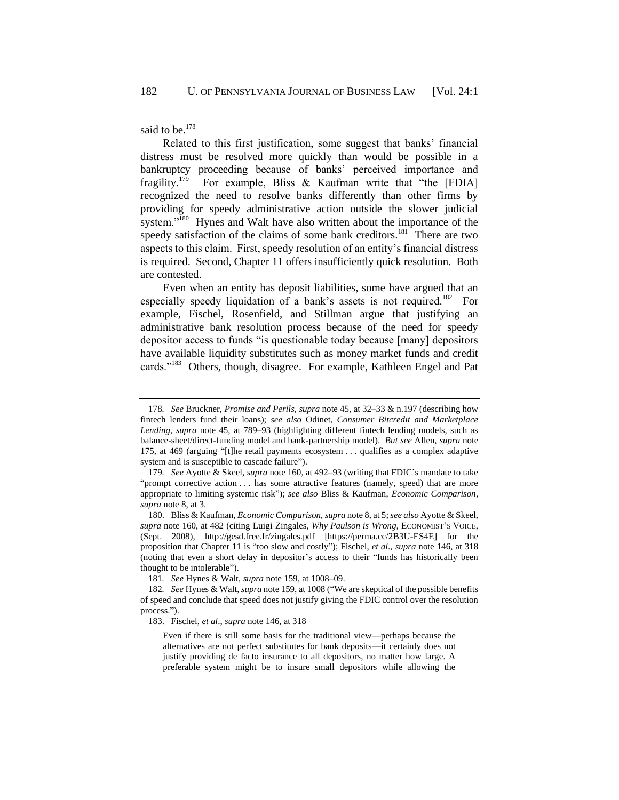said to be.<sup>178</sup>

<span id="page-38-0"></span>Related to this first justification, some suggest that banks' financial distress must be resolved more quickly than would be possible in a bankruptcy proceeding because of banks' perceived importance and fragility. $179$  For example, Bliss & Kaufman write that "the [FDIA] recognized the need to resolve banks differently than other firms by providing for speedy administrative action outside the slower judicial system."<sup>180</sup> Hynes and Walt have also written about the importance of the speedy satisfaction of the claims of some bank creditors.<sup>181</sup> There are two aspects to this claim. First, speedy resolution of an entity's financial distress is required. Second, Chapter 11 offers insufficiently quick resolution. Both are contested.

Even when an entity has deposit liabilities, some have argued that an especially speedy liquidation of a bank's assets is not required.<sup>182</sup> For example, Fischel, Rosenfield, and Stillman argue that justifying an administrative bank resolution process because of the need for speedy depositor access to funds "is questionable today because [many] depositors have available liquidity substitutes such as money market funds and credit cards."<sup>183</sup> Others, though, disagree. For example, Kathleen Engel and Pat

<sup>178</sup>*. See* Bruckner, *Promise and Perils*, *supra* not[e 45,](#page-11-0) at 32–33 & n.197 (describing how fintech lenders fund their loans); *see also* Odinet, *Consumer Bitcredit and Marketplace Lending*, *supra* note [45,](#page-11-0) at 789–93 (highlighting different fintech lending models, such as balance-sheet/direct-funding model and bank-partnership model). *But see* Allen, *supra* note [175,](#page-37-1) at 469 (arguing "[t]he retail payments ecosystem . . . qualifies as a complex adaptive system and is susceptible to cascade failure").

<sup>179</sup>*. See* Ayotte & Skeel, *supra* not[e 160,](#page-33-1) at 492–93 (writing that FDIC's mandate to take "prompt corrective action . . . has some attractive features (namely, speed) that are more appropriate to limiting systemic risk"); *see also* Bliss & Kaufman, *Economic Comparison*, *supra* not[e 8,](#page-2-0) at 3.

<sup>180.</sup> Bliss & Kaufman, *Economic Comparison*, *supra* not[e 8,](#page-2-0) at 5; *see also* Ayotte & Skeel, *supra* note [160,](#page-33-1) at 482 (citing Luigi Zingales, *Why Paulson is Wrong*, ECONOMIST'S VOICE, (Sept. 2008), http://gesd.free.fr/zingales.pdf [https://perma.cc/2B3U-ES4E] for the proposition that Chapter 11 is "too slow and costly"); Fischel, *et al*., *supra* note [146,](#page-30-0) at 318 (noting that even a short delay in depositor's access to their "funds has historically been thought to be intolerable").

<sup>181</sup>*. See* Hynes & Walt, *supra* note [159,](#page-33-0) at 1008–09.

<sup>182</sup>*. See* Hynes & Walt, *supra* not[e 159,](#page-33-0) at 1008 ("We are skeptical of the possible benefits of speed and conclude that speed does not justify giving the FDIC control over the resolution process.").

<sup>183.</sup> Fischel, *et al*., *supra* not[e 146,](#page-30-0) at 318

Even if there is still some basis for the traditional view—perhaps because the alternatives are not perfect substitutes for bank deposits—it certainly does not justify providing de facto insurance to all depositors, no matter how large. A preferable system might be to insure small depositors while allowing the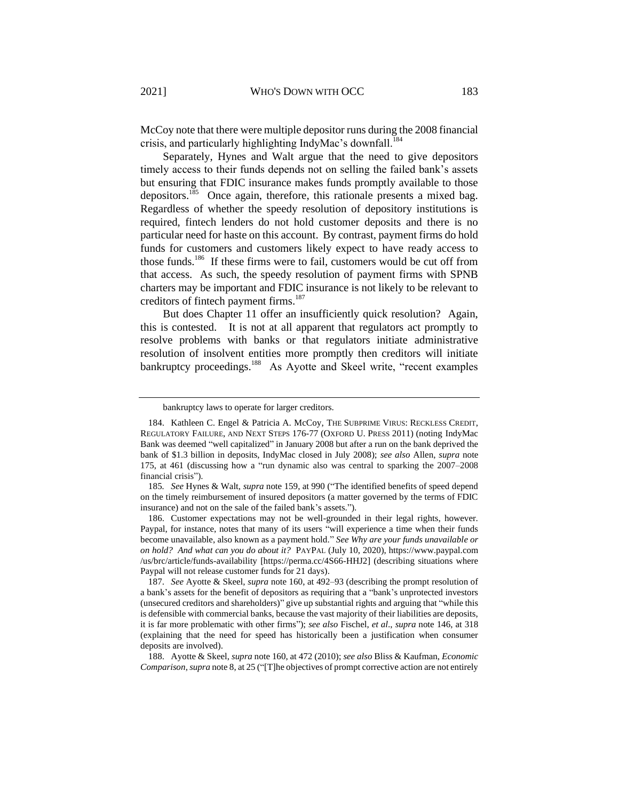McCoy note that there were multiple depositor runs during the 2008 financial crisis, and particularly highlighting IndyMac's downfall.<sup>184</sup>

Separately, Hynes and Walt argue that the need to give depositors timely access to their funds depends not on selling the failed bank's assets but ensuring that FDIC insurance makes funds promptly available to those depositors.<sup>185</sup> Once again, therefore, this rationale presents a mixed bag. Regardless of whether the speedy resolution of depository institutions is required, fintech lenders do not hold customer deposits and there is no particular need for haste on this account. By contrast, payment firms do hold funds for customers and customers likely expect to have ready access to those funds.<sup>186</sup> If these firms were to fail, customers would be cut off from that access. As such, the speedy resolution of payment firms with SPNB charters may be important and FDIC insurance is not likely to be relevant to creditors of fintech payment firms.<sup>187</sup>

But does Chapter 11 offer an insufficiently quick resolution? Again, this is contested. It is not at all apparent that regulators act promptly to resolve problems with banks or that regulators initiate administrative resolution of insolvent entities more promptly then creditors will initiate bankruptcy proceedings.<sup>188</sup> As Ayotte and Skeel write, "recent examples

186. Customer expectations may not be well-grounded in their legal rights, however. Paypal, for instance, notes that many of its users "will experience a time when their funds become unavailable, also known as a payment hold." *See Why are your funds unavailable or on hold? And what can you do about it?* PAYPAL (July 10, 2020), https://www.paypal.com /us/brc/article/funds-availability [https://perma.cc/4S66-HHJ2] (describing situations where Paypal will not release customer funds for 21 days).

bankruptcy laws to operate for larger creditors.

<sup>184.</sup> Kathleen C. Engel & Patricia A. McCoy, THE SUBPRIME VIRUS: RECKLESS CREDIT, REGULATORY FAILURE, AND NEXT STEPS 176-77 (OXFORD U. PRESS 2011) (noting IndyMac Bank was deemed "well capitalized" in January 2008 but after a run on the bank deprived the bank of \$1.3 billion in deposits, IndyMac closed in July 2008); *see also* Allen, *supra* note [175,](#page-37-1) at 461 (discussing how a "run dynamic also was central to sparking the 2007–2008 financial crisis").

<sup>185</sup>*. See* Hynes & Walt, *supra* note [159,](#page-33-0) at 990 ("The identified benefits of speed depend on the timely reimbursement of insured depositors (a matter governed by the terms of FDIC insurance) and not on the sale of the failed bank's assets.").

<sup>187.</sup> *See* Ayotte & Skeel, *supra* note [160,](#page-33-1) at 492–93 (describing the prompt resolution of a bank's assets for the benefit of depositors as requiring that a "bank's unprotected investors (unsecured creditors and shareholders)" give up substantial rights and arguing that "while this is defensible with commercial banks, because the vast majority of their liabilities are deposits, it is far more problematic with other firms"); *see also* Fischel, *et al*., *supra* note [146,](#page-30-0) at 318 (explaining that the need for speed has historically been a justification when consumer deposits are involved).

<sup>188.</sup> Ayotte & Skeel, *supra* not[e 160,](#page-33-1) at 472 (2010); *see also* Bliss & Kaufman, *Economic Comparison*, *supra* not[e 8,](#page-2-0) at 25 ("[T]he objectives of prompt corrective action are not entirely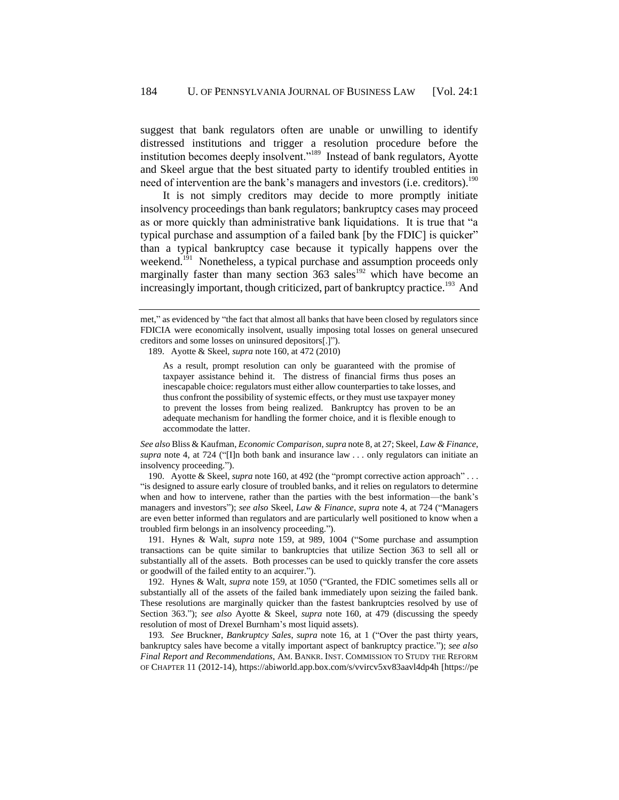suggest that bank regulators often are unable or unwilling to identify distressed institutions and trigger a resolution procedure before the institution becomes deeply insolvent."<sup>189</sup> Instead of bank regulators, Ayotte and Skeel argue that the best situated party to identify troubled entities in need of intervention are the bank's managers and investors (i.e. creditors).<sup>190</sup>

It is not simply creditors may decide to more promptly initiate insolvency proceedings than bank regulators; bankruptcy cases may proceed as or more quickly than administrative bank liquidations. It is true that "a typical purchase and assumption of a failed bank [by the FDIC] is quicker" than a typical bankruptcy case because it typically happens over the weekend.<sup>191</sup> Nonetheless, a typical purchase and assumption proceeds only marginally faster than many section  $363$  sales<sup>192</sup> which have become an increasingly important, though criticized, part of bankruptcy practice.<sup>193</sup> And

189. Ayotte & Skeel, *supra* not[e 160,](#page-33-1) at 472 (2010)

As a result, prompt resolution can only be guaranteed with the promise of taxpayer assistance behind it. The distress of financial firms thus poses an inescapable choice: regulators must either allow counterparties to take losses, and thus confront the possibility of systemic effects, or they must use taxpayer money to prevent the losses from being realized. Bankruptcy has proven to be an adequate mechanism for handling the former choice, and it is flexible enough to accommodate the latter.

*See also* Bliss & Kaufman, *Economic Comparison*, *supra* not[e 8,](#page-2-0) at 27; Skeel, *Law & Finance*, *supra* note [4,](#page-2-3) at 724 ("[I]n both bank and insurance law . . . only regulators can initiate an insolvency proceeding.").

190. Ayotte & Skeel, *supra* note [160,](#page-33-1) at 492 (the "prompt corrective action approach" . . . "is designed to assure early closure of troubled banks, and it relies on regulators to determine when and how to intervene, rather than the parties with the best information—the bank's managers and investors"); *see also* Skeel, *Law & Finance*, *supra* note [4,](#page-2-3) at 724 ("Managers are even better informed than regulators and are particularly well positioned to know when a troubled firm belongs in an insolvency proceeding.").

191. Hynes & Walt, *supra* note [159,](#page-33-0) at 989, 1004 ("Some purchase and assumption transactions can be quite similar to bankruptcies that utilize Section 363 to sell all or substantially all of the assets. Both processes can be used to quickly transfer the core assets or goodwill of the failed entity to an acquirer.").

192. Hynes & Walt, *supra* note [159,](#page-33-0) at 1050 ("Granted, the FDIC sometimes sells all or substantially all of the assets of the failed bank immediately upon seizing the failed bank. These resolutions are marginally quicker than the fastest bankruptcies resolved by use of Section 363."); *see also* Ayotte & Skeel, *supra* note [160,](#page-33-1) at 479 (discussing the speedy resolution of most of Drexel Burnham's most liquid assets).

193*. See* Bruckner, *Bankruptcy Sales*, *supra* note [16,](#page-4-2) at 1 ("Over the past thirty years, bankruptcy sales have become a vitally important aspect of bankruptcy practice."); *see also Final Report and Recommendations*, AM. BANKR. INST. COMMISSION TO STUDY THE REFORM OF CHAPTER 11 (2012-14), https://abiworld.app.box.com/s/vvircv5xv83aavl4dp4h [https://pe

met," as evidenced by "the fact that almost all banks that have been closed by regulators since FDICIA were economically insolvent, usually imposing total losses on general unsecured creditors and some losses on uninsured depositors[.]").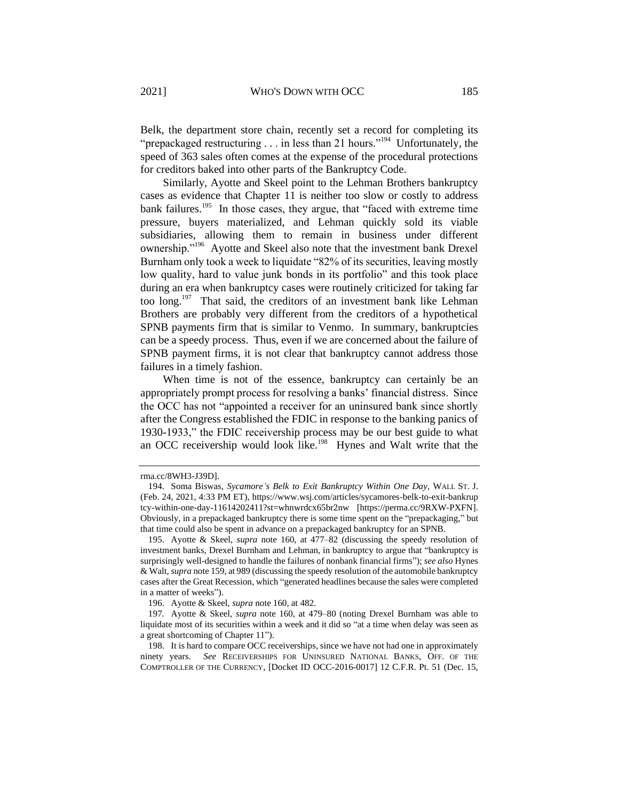Belk, the department store chain, recently set a record for completing its "prepackaged restructuring  $\ldots$  in less than 21 hours."<sup>194</sup> Unfortunately, the speed of 363 sales often comes at the expense of the procedural protections for creditors baked into other parts of the Bankruptcy Code.

<span id="page-41-0"></span>Similarly, Ayotte and Skeel point to the Lehman Brothers bankruptcy cases as evidence that Chapter 11 is neither too slow or costly to address bank failures.<sup>195</sup> In those cases, they argue, that "faced with extreme time pressure, buyers materialized, and Lehman quickly sold its viable subsidiaries, allowing them to remain in business under different ownership."<sup>196</sup> Ayotte and Skeel also note that the investment bank Drexel Burnham only took a week to liquidate "82% of its securities, leaving mostly low quality, hard to value junk bonds in its portfolio" and this took place during an era when bankruptcy cases were routinely criticized for taking far too long.<sup>197</sup> That said, the creditors of an investment bank like Lehman Brothers are probably very different from the creditors of a hypothetical SPNB payments firm that is similar to Venmo. In summary, bankruptcies can be a speedy process. Thus, even if we are concerned about the failure of SPNB payment firms, it is not clear that bankruptcy cannot address those failures in a timely fashion.

When time is not of the essence, bankruptcy can certainly be an appropriately prompt process for resolving a banks' financial distress. Since the OCC has not "appointed a receiver for an uninsured bank since shortly after the Congress established the FDIC in response to the banking panics of 1930-1933," the FDIC receivership process may be our best guide to what an OCC receivership would look like.<sup>198</sup> Hynes and Walt write that the

rma.cc/8WH3-J39D].

<sup>194.</sup> Soma Biswas, *Sycamore's Belk to Exit Bankruptcy Within One Day*, WALL ST. J. (Feb. 24, 2021, 4:33 PM ET), https://www.wsj.com/articles/sycamores-belk-to-exit-bankrup tcy-within-one-day-11614202411?st=whnwrdcx65br2nw [https://perma.cc/9RXW-PXFN]. Obviously, in a prepackaged bankruptcy there is some time spent on the "prepackaging," but that time could also be spent in advance on a prepackaged bankruptcy for an SPNB.

<sup>195.</sup> Ayotte & Skeel, *supra* note [160,](#page-33-1) at 477–82 (discussing the speedy resolution of investment banks, Drexel Burnham and Lehman, in bankruptcy to argue that "bankruptcy is surprisingly well-designed to handle the failures of nonbank financial firms"); *see also* Hynes & Walt, *supra* not[e 159,](#page-33-0) at 989 (discussing the speedy resolution of the automobile bankruptcy cases after the Great Recession, which "generated headlines because the sales were completed in a matter of weeks").

<sup>196.</sup> Ayotte & Skeel, *supra* not[e 160,](#page-33-1) at 482.

<sup>197</sup>*.* Ayotte & Skeel, *supra* note [160,](#page-33-1) at 479–80 (noting Drexel Burnham was able to liquidate most of its securities within a week and it did so "at a time when delay was seen as a great shortcoming of Chapter 11").

<sup>198.</sup> It is hard to compare OCC receiverships, since we have not had one in approximately ninety years. *See* RECEIVERSHIPS FOR UNINSURED NATIONAL BANKS, OFF. OF THE COMPTROLLER OF THE CURRENCY, [Docket ID OCC-2016-0017] 12 C.F.R. Pt. 51 (Dec. 15,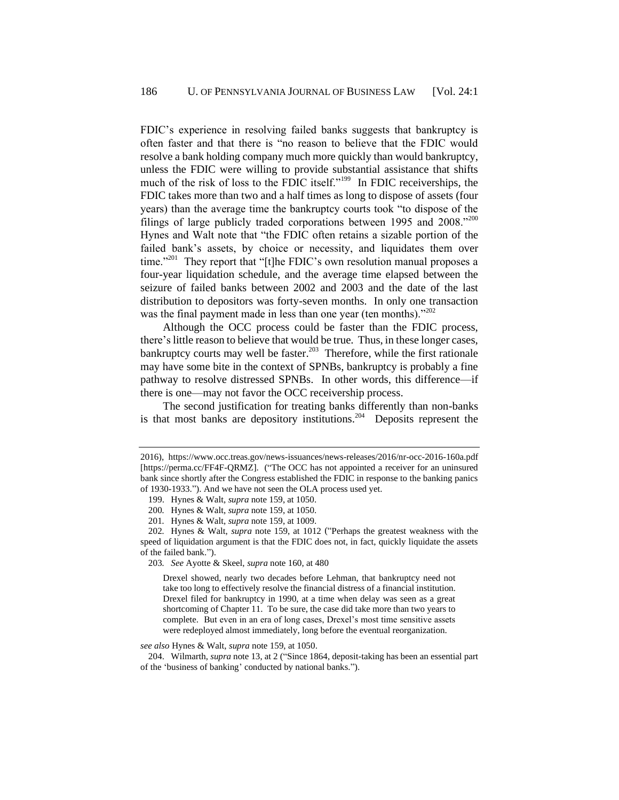FDIC's experience in resolving failed banks suggests that bankruptcy is often faster and that there is "no reason to believe that the FDIC would resolve a bank holding company much more quickly than would bankruptcy, unless the FDIC were willing to provide substantial assistance that shifts much of the risk of loss to the FDIC itself."<sup>199</sup> In FDIC receiverships, the FDIC takes more than two and a half times as long to dispose of assets (four years) than the average time the bankruptcy courts took "to dispose of the filings of large publicly traded corporations between 1995 and  $2008.^{,}200$ Hynes and Walt note that "the FDIC often retains a sizable portion of the failed bank's assets, by choice or necessity, and liquidates them over time."<sup>201</sup> They report that "[t]he FDIC's own resolution manual proposes a four-year liquidation schedule, and the average time elapsed between the seizure of failed banks between 2002 and 2003 and the date of the last distribution to depositors was forty-seven months. In only one transaction was the final payment made in less than one year (ten months)."<sup>202</sup>

Although the OCC process could be faster than the FDIC process, there's little reason to believe that would be true. Thus, in these longer cases, bankruptcy courts may well be faster.<sup>203</sup> Therefore, while the first rationale may have some bite in the context of SPNBs, bankruptcy is probably a fine pathway to resolve distressed SPNBs. In other words, this difference—if there is one—may not favor the OCC receivership process.

The second justification for treating banks differently than non-banks is that most banks are depository institutions.<sup>204</sup> Deposits represent the

203*. See* Ayotte & Skeel, *supra* note [160,](#page-33-1) at 480

Drexel showed, nearly two decades before Lehman, that bankruptcy need not take too long to effectively resolve the financial distress of a financial institution. Drexel filed for bankruptcy in 1990, at a time when delay was seen as a great shortcoming of Chapter 11. To be sure, the case did take more than two years to complete. But even in an era of long cases, Drexel's most time sensitive assets were redeployed almost immediately, long before the eventual reorganization.

*see also* Hynes & Walt, *supra* note [159,](#page-33-0) at 1050.

204. Wilmarth, *supra* not[e 13,](#page-4-1) at 2 ("Since 1864, deposit-taking has been an essential part of the 'business of banking' conducted by national banks.").

<sup>2016),</sup> https://www.occ.treas.gov/news-issuances/news-releases/2016/nr-occ-2016-160a.pdf [https://perma.cc/FF4F-QRMZ]. ("The OCC has not appointed a receiver for an uninsured bank since shortly after the Congress established the FDIC in response to the banking panics of 1930-1933."). And we have not seen the OLA process used yet.

<sup>199.</sup> Hynes & Walt, *supra* not[e 159,](#page-33-0) at 1050.

<sup>200</sup>*.* Hynes & Walt, *supra* not[e 159,](#page-33-0) at 1050.

<sup>201</sup>*.* Hynes & Walt, *supra* not[e 159,](#page-33-0) at 1009.

<sup>202</sup>*.* Hynes & Walt, *supra* note [159,](#page-33-0) at 1012 ("Perhaps the greatest weakness with the speed of liquidation argument is that the FDIC does not, in fact, quickly liquidate the assets of the failed bank.").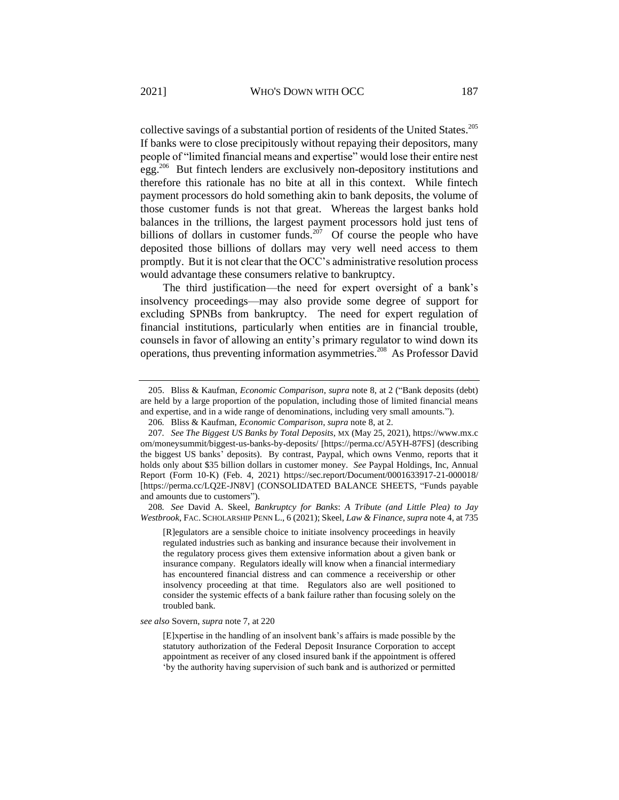collective savings of a substantial portion of residents of the United States.<sup>205</sup> If banks were to close precipitously without repaying their depositors, many people of "limited financial means and expertise" would lose their entire nest egg.<sup>206</sup> But fintech lenders are exclusively non-depository institutions and therefore this rationale has no bite at all in this context. While fintech payment processors do hold something akin to bank deposits, the volume of those customer funds is not that great. Whereas the largest banks hold balances in the trillions, the largest payment processors hold just tens of billions of dollars in customer funds.<sup>207</sup> Of course the people who have deposited those billions of dollars may very well need access to them promptly. But it is not clear that the OCC's administrative resolution process would advantage these consumers relative to bankruptcy.

The third justification—the need for expert oversight of a bank's insolvency proceedings—may also provide some degree of support for excluding SPNBs from bankruptcy. The need for expert regulation of financial institutions, particularly when entities are in financial trouble, counsels in favor of allowing an entity's primary regulator to wind down its operations, thus preventing information asymmetries.<sup>208</sup> As Professor David

208*. See* David A. Skeel, *Bankruptcy for Banks*: *A Tribute (and Little Plea) to Jay Westbrook*, FAC. SCHOLARSHIP PENN L., 6 (2021); Skeel, *Law & Finance*, *supra* not[e 4,](#page-2-3) at 735

[R]egulators are a sensible choice to initiate insolvency proceedings in heavily regulated industries such as banking and insurance because their involvement in the regulatory process gives them extensive information about a given bank or insurance company. Regulators ideally will know when a financial intermediary has encountered financial distress and can commence a receivership or other insolvency proceeding at that time. Regulators also are well positioned to consider the systemic effects of a bank failure rather than focusing solely on the troubled bank.

*see also* Sovern, *supra* not[e 7,](#page-2-1) at 220

[E]xpertise in the handling of an insolvent bank's affairs is made possible by the statutory authorization of the Federal Deposit Insurance Corporation to accept appointment as receiver of any closed insured bank if the appointment is offered 'by the authority having supervision of such bank and is authorized or permitted

<sup>205.</sup> Bliss & Kaufman, *Economic Comparison*, *supra* note [8,](#page-2-0) at 2 ("Bank deposits (debt) are held by a large proportion of the population, including those of limited financial means and expertise, and in a wide range of denominations, including very small amounts.").

<span id="page-43-0"></span><sup>206</sup>*.* Bliss & Kaufman, *Economic Comparison*, *supra* not[e 8,](#page-2-0) at 2.

<sup>207</sup>*. See The Biggest US Banks by Total Deposits*, MX (May 25, 2021), https://www.mx.c om/moneysummit/biggest-us-banks-by-deposits/ [https://perma.cc/A5YH-87FS] (describing the biggest US banks' deposits). By contrast, Paypal, which owns Venmo, reports that it holds only about \$35 billion dollars in customer money. *See* Paypal Holdings, Inc, Annual Report (Form 10-K) (Feb. 4, 2021) https://sec.report/Document/0001633917-21-000018/ [https://perma.cc/LQ2E-JN8V] (CONSOLIDATED BALANCE SHEETS, "Funds payable and amounts due to customers").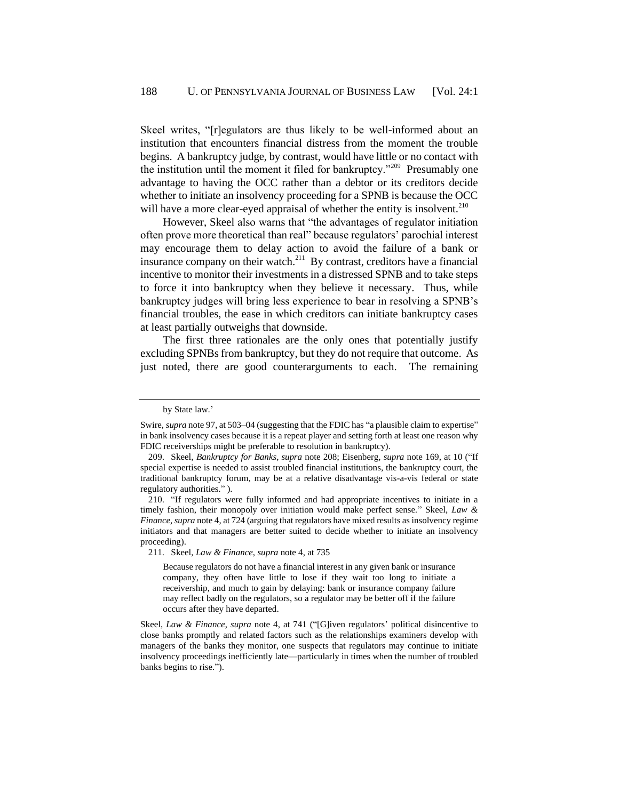Skeel writes, "[r]egulators are thus likely to be well-informed about an institution that encounters financial distress from the moment the trouble begins. A bankruptcy judge, by contrast, would have little or no contact with the institution until the moment it filed for bankruptcy."<sup>209</sup> Presumably one advantage to having the OCC rather than a debtor or its creditors decide whether to initiate an insolvency proceeding for a SPNB is because the OCC will have a more clear-eyed appraisal of whether the entity is insolvent.<sup>210</sup>

However, Skeel also warns that "the advantages of regulator initiation often prove more theoretical than real" because regulators' parochial interest may encourage them to delay action to avoid the failure of a bank or insurance company on their watch.<sup>211</sup> By contrast, creditors have a financial incentive to monitor their investments in a distressed SPNB and to take steps to force it into bankruptcy when they believe it necessary. Thus, while bankruptcy judges will bring less experience to bear in resolving a SPNB's financial troubles, the ease in which creditors can initiate bankruptcy cases at least partially outweighs that downside.

The first three rationales are the only ones that potentially justify excluding SPNBs from bankruptcy, but they do not require that outcome. As just noted, there are good counterarguments to each. The remaining

Because regulators do not have a financial interest in any given bank or insurance company, they often have little to lose if they wait too long to initiate a receivership, and much to gain by delaying: bank or insurance company failure may reflect badly on the regulators, so a regulator may be better off if the failure occurs after they have departed.

Skeel, *Law & Finance*, *supra* note [4,](#page-2-3) at 741 ("[G]iven regulators' political disincentive to close banks promptly and related factors such as the relationships examiners develop with managers of the banks they monitor, one suspects that regulators may continue to initiate insolvency proceedings inefficiently late—particularly in times when the number of troubled banks begins to rise.").

by State law.'

Swire, *supra* not[e 97,](#page-21-1) at 503–04 (suggesting that the FDIC has "a plausible claim to expertise" in bank insolvency cases because it is a repeat player and setting forth at least one reason why FDIC receiverships might be preferable to resolution in bankruptcy).

<sup>209.</sup> Skeel, *Bankruptcy for Banks*, *supra* note [208;](#page-43-0) Eisenberg, *supra* note [169,](#page-36-0) at 10 ("If special expertise is needed to assist troubled financial institutions, the bankruptcy court, the traditional bankruptcy forum, may be at a relative disadvantage vis-a-vis federal or state regulatory authorities." ).

<sup>210.</sup> "If regulators were fully informed and had appropriate incentives to initiate in a timely fashion, their monopoly over initiation would make perfect sense." Skeel, *Law & Finance*, *supra* not[e 4,](#page-2-3) at 724 (arguing that regulators have mixed results as insolvency regime initiators and that managers are better suited to decide whether to initiate an insolvency proceeding).

<sup>211.</sup> Skeel, *Law & Finance*, *supra* not[e 4,](#page-2-3) at 735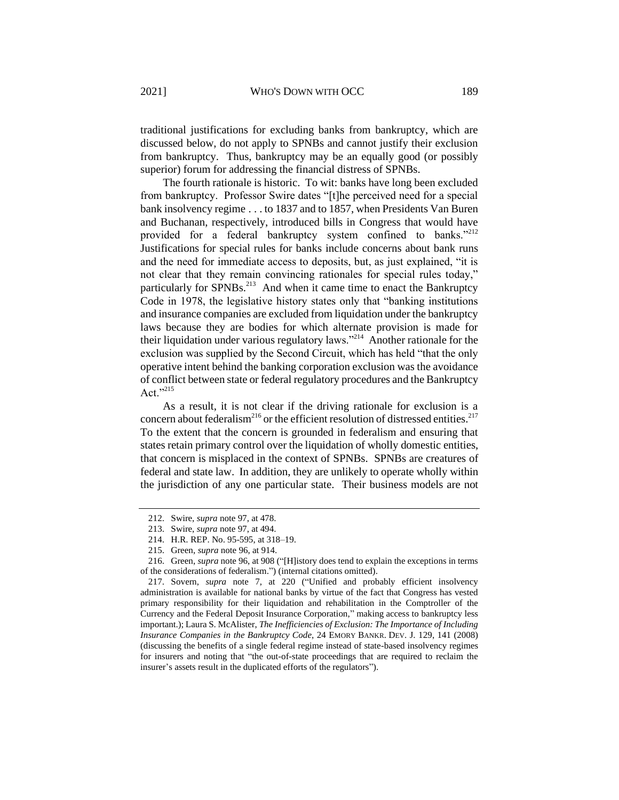traditional justifications for excluding banks from bankruptcy, which are discussed below, do not apply to SPNBs and cannot justify their exclusion from bankruptcy. Thus, bankruptcy may be an equally good (or possibly superior) forum for addressing the financial distress of SPNBs.

The fourth rationale is historic. To wit: banks have long been excluded from bankruptcy. Professor Swire dates "[t]he perceived need for a special bank insolvency regime . . . to 1837 and to 1857, when Presidents Van Buren and Buchanan, respectively, introduced bills in Congress that would have provided for a federal bankruptcy system confined to banks."<sup>212</sup> Justifications for special rules for banks include concerns about bank runs and the need for immediate access to deposits, but, as just explained, "it is not clear that they remain convincing rationales for special rules today," particularly for SPNBs.<sup>213</sup> And when it came time to enact the Bankruptcy Code in 1978, the legislative history states only that "banking institutions and insurance companies are excluded from liquidation under the bankruptcy laws because they are bodies for which alternate provision is made for their liquidation under various regulatory laws."<sup>214</sup> Another rationale for the exclusion was supplied by the Second Circuit, which has held "that the only operative intent behind the banking corporation exclusion was the avoidance of conflict between state or federal regulatory procedures and the Bankruptcy Act." $^{215}$ 

As a result, it is not clear if the driving rationale for exclusion is a concern about federalism<sup>216</sup> or the efficient resolution of distressed entities.<sup>217</sup> To the extent that the concern is grounded in federalism and ensuring that states retain primary control over the liquidation of wholly domestic entities, that concern is misplaced in the context of SPNBs. SPNBs are creatures of federal and state law. In addition, they are unlikely to operate wholly within the jurisdiction of any one particular state. Their business models are not

<sup>212.</sup> Swire, *supra* not[e 97,](#page-21-1) at 478.

<sup>213.</sup> Swire, *supra* not[e 97,](#page-21-1) at 494.

<sup>214.</sup> H.R. REP. No. 95-595, at 318–19.

<sup>215.</sup> Green, *supra* not[e 96,](#page-21-0) at 914.

<sup>216.</sup> Green, *supra* note [96,](#page-21-0) at 908 ("[H]istory does tend to explain the exceptions in terms of the considerations of federalism.") (internal citations omitted).

<sup>217.</sup> Sovern, *supra* note [7,](#page-2-1) at 220 ("Unified and probably efficient insolvency administration is available for national banks by virtue of the fact that Congress has vested primary responsibility for their liquidation and rehabilitation in the Comptroller of the Currency and the Federal Deposit Insurance Corporation," making access to bankruptcy less important.); Laura S. McAlister, *The Inefficiencies of Exclusion: The Importance of Including Insurance Companies in the Bankruptcy Code*, 24 EMORY BANKR. DEV. J. 129, 141 (2008) (discussing the benefits of a single federal regime instead of state-based insolvency regimes for insurers and noting that "the out-of-state proceedings that are required to reclaim the insurer's assets result in the duplicated efforts of the regulators").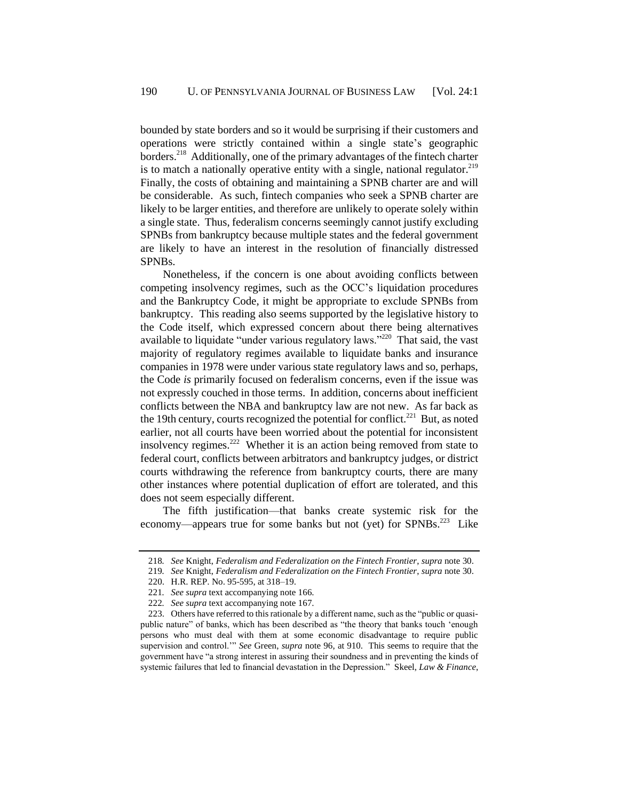bounded by state borders and so it would be surprising if their customers and operations were strictly contained within a single state's geographic borders.<sup>218</sup> Additionally, one of the primary advantages of the fintech charter is to match a nationally operative entity with a single, national regulator.<sup>219</sup> Finally, the costs of obtaining and maintaining a SPNB charter are and will be considerable. As such, fintech companies who seek a SPNB charter are likely to be larger entities, and therefore are unlikely to operate solely within a single state. Thus, federalism concerns seemingly cannot justify excluding SPNBs from bankruptcy because multiple states and the federal government are likely to have an interest in the resolution of financially distressed SPNBs.

Nonetheless, if the concern is one about avoiding conflicts between competing insolvency regimes, such as the OCC's liquidation procedures and the Bankruptcy Code, it might be appropriate to exclude SPNBs from bankruptcy. This reading also seems supported by the legislative history to the Code itself, which expressed concern about there being alternatives available to liquidate "under various regulatory laws."<sup>220</sup> That said, the vast majority of regulatory regimes available to liquidate banks and insurance companies in 1978 were under various state regulatory laws and so, perhaps, the Code *is* primarily focused on federalism concerns, even if the issue was not expressly couched in those terms. In addition, concerns about inefficient conflicts between the NBA and bankruptcy law are not new. As far back as the 19th century, courts recognized the potential for conflict.<sup>221</sup> But, as noted earlier, not all courts have been worried about the potential for inconsistent insolvency regimes.<sup>222</sup> Whether it is an action being removed from state to federal court, conflicts between arbitrators and bankruptcy judges, or district courts withdrawing the reference from bankruptcy courts, there are many other instances where potential duplication of effort are tolerated, and this does not seem especially different.

The fifth justification—that banks create systemic risk for the economy—appears true for some banks but not (yet) for SPNBs.<sup>223</sup> Like

<span id="page-46-0"></span><sup>218</sup>*. See* Knight, *Federalism and Federalization on the Fintech Frontier*, *supra* not[e 30.](#page-9-1)

<sup>219</sup>*. See* Knight, *Federalism and Federalization on the Fintech Frontier*, *supra* not[e 30.](#page-9-1)

<sup>220.</sup> H.R. REP. No. 95-595, at 318–19.

<sup>221</sup>*. See supra* text accompanying note [166.](#page-34-0)

<sup>222</sup>*. See supra* text accompanying note [167.](#page-35-2)

<sup>223.</sup> Others have referred to this rationale by a different name, such as the "public or quasipublic nature" of banks, which has been described as "the theory that banks touch 'enough persons who must deal with them at some economic disadvantage to require public supervision and control.'" *See* Green, *supra* note [96,](#page-21-0) at 910. This seems to require that the government have "a strong interest in assuring their soundness and in preventing the kinds of systemic failures that led to financial devastation in the Depression." Skeel, *Law & Finance*,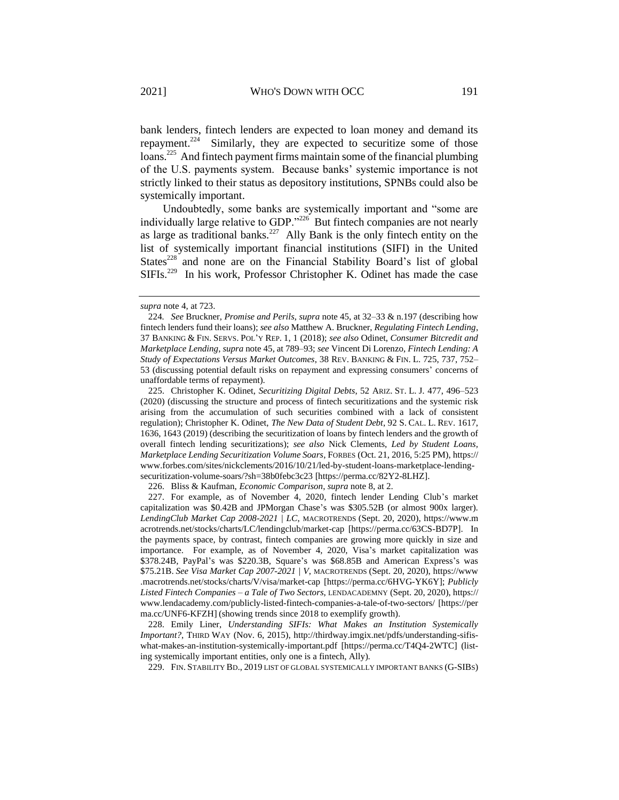<span id="page-47-0"></span>bank lenders, fintech lenders are expected to loan money and demand its repayment.<sup>224</sup> Similarly, they are expected to securitize some of those loans.<sup>225</sup> And fintech payment firms maintain some of the financial plumbing of the U.S. payments system. Because banks' systemic importance is not strictly linked to their status as depository institutions, SPNBs could also be systemically important.

Undoubtedly, some banks are systemically important and "some are individually large relative to GDP."<sup>226</sup> But fintech companies are not nearly as large as traditional banks.<sup>227</sup> Ally Bank is the only fintech entity on the list of systemically important financial institutions (SIFI) in the United States<sup>228</sup> and none are on the Financial Stability Board's list of global  $SIFIs.<sup>229</sup>$  In his work, Professor Christopher K. Odinet has made the case

225. Christopher K. Odinet, *Securitizing Digital Debts*, 52 ARIZ. ST. L. J. 477, 496–523 (2020) (discussing the structure and process of fintech securitizations and the systemic risk arising from the accumulation of such securities combined with a lack of consistent regulation); Christopher K. Odinet, *The New Data of Student Debt*, 92 S. CAL. L. REV. 1617, 1636, 1643 (2019) (describing the securitization of loans by fintech lenders and the growth of overall fintech lending securitizations); *see also* Nick Clements, *Led by Student Loans, Marketplace Lending Securitization Volume Soars*, FORBES (Oct. 21, 2016, 5:25 PM), https:// www.forbes.com/sites/nickclements/2016/10/21/led-by-student-loans-marketplace-lendingsecuritization-volume-soars/?sh=38b0febc3c23 [https://perma.cc/82Y2-8LHZ].

226. Bliss & Kaufman, *Economic Comparison*, *supra* not[e 8,](#page-2-0) at 2.

227. For example, as of November 4, 2020, fintech lender Lending Club's market capitalization was \$0.42B and JPMorgan Chase's was \$305.52B (or almost 900x larger). *LendingClub Market Cap 2008-2021 | LC*, MACROTRENDS (Sept. 20, 2020), https://www.m acrotrends.net/stocks/charts/LC/lendingclub/market-cap [https://perma.cc/63CS-BD7P]. In the payments space, by contrast, fintech companies are growing more quickly in size and importance. For example, as of November 4, 2020, Visa's market capitalization was \$378.24B, PayPal's was \$220.3B, Square's was \$68.85B and American Express's was \$75.21B. *See Visa Market Cap 2007-2021 | V*, MACROTRENDS (Sept. 20, 2020), https://www .macrotrends.net/stocks/charts/V/visa/market-cap [https://perma.cc/6HVG-YK6Y]; *Publicly Listed Fintech Companies – a Tale of Two Sectors*, LENDACADEMNY (Sept. 20, 2020), https:// www.lendacademy.com/publicly-listed-fintech-companies-a-tale-of-two-sectors/ [https://per ma.cc/UNF6-KFZH] (showing trends since 2018 to exemplify growth).

228. Emily Liner, *Understanding SIFIs: What Makes an Institution Systemically Important?*, THIRD WAY (Nov. 6, 2015), http://thirdway.imgix.net/pdfs/understanding-sifiswhat-makes-an-institution-systemically-important.pdf [https://perma.cc/T4Q4-2WTC] (listing systemically important entities, only one is a fintech, Ally).

229. FIN. STABILITY BD., 2019 LIST OF GLOBAL SYSTEMICALLY IMPORTANT BANKS (G-SIBS)

*supra* not[e 4,](#page-2-3) at 723.

<sup>224</sup>*. See* Bruckner, *Promise and Perils*, *supra* not[e 45,](#page-11-0) at 32–33 & n.197 (describing how fintech lenders fund their loans); *see also* Matthew A. Bruckner, *Regulating Fintech Lending*, 37 BANKING & FIN. SERVS. POL'Y REP. 1, 1 (2018); *see also* Odinet, *Consumer Bitcredit and Marketplace Lending*, *supra* not[e 45,](#page-11-0) at 789–93; *see* Vincent Di Lorenzo, *Fintech Lending: A Study of Expectations Versus Market Outcomes*, 38 REV. BANKING & FIN. L. 725, 737, 752– 53 (discussing potential default risks on repayment and expressing consumers' concerns of unaffordable terms of repayment).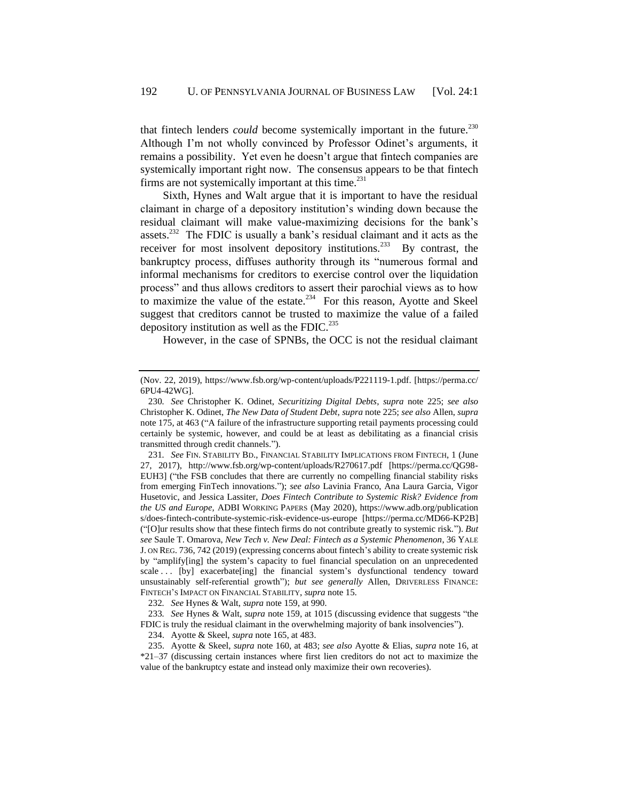that fintech lenders *could* become systemically important in the future.<sup>230</sup> Although I'm not wholly convinced by Professor Odinet's arguments, it remains a possibility. Yet even he doesn't argue that fintech companies are systemically important right now. The consensus appears to be that fintech firms are not systemically important at this time. $^{231}$ 

<span id="page-48-0"></span>Sixth, Hynes and Walt argue that it is important to have the residual claimant in charge of a depository institution's winding down because the residual claimant will make value-maximizing decisions for the bank's assets.<sup>232</sup> The FDIC is usually a bank's residual claimant and it acts as the receiver for most insolvent depository institutions.<sup>233</sup> By contrast, the bankruptcy process, diffuses authority through its "numerous formal and informal mechanisms for creditors to exercise control over the liquidation process" and thus allows creditors to assert their parochial views as to how to maximize the value of the estate. $^{234}$  For this reason, Ayotte and Skeel suggest that creditors cannot be trusted to maximize the value of a failed depository institution as well as the FDIC. $^{235}$ 

However, in the case of SPNBs, the OCC is not the residual claimant

232*. See* Hynes & Walt, *supra* note [159,](#page-33-0) at 990.

233*. See* Hynes & Walt, *supra* note [159,](#page-33-0) at 1015 (discussing evidence that suggests "the FDIC is truly the residual claimant in the overwhelming majority of bank insolvencies").

234. Ayotte & Skeel, *supra* note [165,](#page-34-1) at 483.

235. Ayotte & Skeel, *supra* not[e 160,](#page-33-1) at 483; *see also* Ayotte & Elias, *supra* note [16,](#page-4-2) at \*21–37 (discussing certain instances where first lien creditors do not act to maximize the value of the bankruptcy estate and instead only maximize their own recoveries).

<sup>(</sup>Nov. 22, 2019), https://www.fsb.org/wp-content/uploads/P221119-1.pdf. [https://perma.cc/ 6PU4-42WG].

<sup>230</sup>*. See* Christopher K. Odinet, *Securitizing Digital Debts*, *supra* note [225;](#page-47-0) *see also*  Christopher K. Odinet, *The New Data of Student Debt*, *supra* note [225;](#page-47-0) *see also* Allen, *supra*  not[e 175,](#page-37-1) at 463 ("A failure of the infrastructure supporting retail payments processing could certainly be systemic, however, and could be at least as debilitating as a financial crisis transmitted through credit channels.").

<sup>231</sup>*. See* FIN. STABILITY BD., FINANCIAL STABILITY IMPLICATIONS FROM FINTECH, 1 (June 27, 2017), http://www.fsb.org/wp-content/uploads/R270617.pdf [https://perma.cc/QG98- EUH3] ("the FSB concludes that there are currently no compelling financial stability risks from emerging FinTech innovations."); *see also* Lavinia Franco, Ana Laura Garcia, Vigor Husetovic, and Jessica Lassiter, *Does Fintech Contribute to Systemic Risk? Evidence from the US and Europe,* ADBI WORKING PAPERS (May 2020), https://www.adb.org/publication s/does-fintech-contribute-systemic-risk-evidence-us-europe [https://perma.cc/MD66-KP2B] ("[O]ur results show that these fintech firms do not contribute greatly to systemic risk."). *But see* Saule T. Omarova, *New Tech v. New Deal: Fintech as a Systemic Phenomenon*, 36 YALE J. ON REG. 736, 742 (2019) (expressing concerns about fintech's ability to create systemic risk by "amplify[ing] the system's capacity to fuel financial speculation on an unprecedented scale ... [by] exacerbate[ing] the financial system's dysfunctional tendency toward unsustainably self-referential growth"); *but see generally* Allen, DRIVERLESS FINANCE: FINTECH'S IMPACT ON FINANCIAL STABILITY, *supra* note [15.](#page-4-0)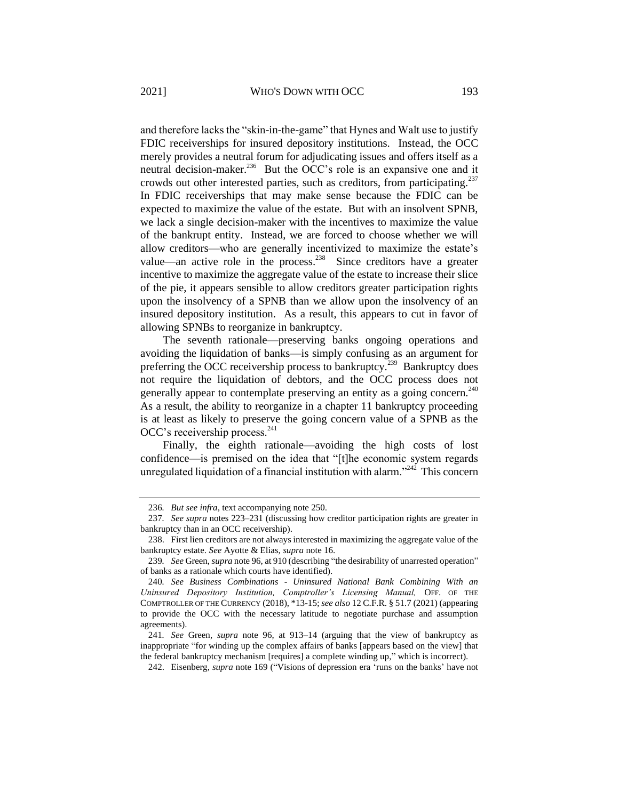<span id="page-49-2"></span>and therefore lacks the "skin-in-the-game" that Hynes and Walt use to justify FDIC receiverships for insured depository institutions. Instead, the OCC merely provides a neutral forum for adjudicating issues and offers itself as a neutral decision-maker.<sup>236</sup> But the OCC's role is an expansive one and it crowds out other interested parties, such as creditors, from participating.<sup>237</sup> In FDIC receiverships that may make sense because the FDIC can be expected to maximize the value of the estate. But with an insolvent SPNB, we lack a single decision-maker with the incentives to maximize the value of the bankrupt entity. Instead, we are forced to choose whether we will allow creditors—who are generally incentivized to maximize the estate's value—an active role in the process.<sup>238</sup> Since creditors have a greater incentive to maximize the aggregate value of the estate to increase their slice of the pie, it appears sensible to allow creditors greater participation rights upon the insolvency of a SPNB than we allow upon the insolvency of an insured depository institution. As a result, this appears to cut in favor of allowing SPNBs to reorganize in bankruptcy.

<span id="page-49-0"></span>The seventh rationale—preserving banks ongoing operations and avoiding the liquidation of banks—is simply confusing as an argument for preferring the OCC receivership process to bankruptcy.<sup>239</sup> Bankruptcy does not require the liquidation of debtors, and the OCC process does not generally appear to contemplate preserving an entity as a going concern.<sup>240</sup> As a result, the ability to reorganize in a chapter 11 bankruptcy proceeding is at least as likely to preserve the going concern value of a SPNB as the OCC's receivership process. $^{241}$ 

<span id="page-49-1"></span>Finally, the eighth rationale—avoiding the high costs of lost confidence—is premised on the idea that "[t]he economic system regards unregulated liquidation of a financial institution with alarm."<sup>242</sup> This concern

<sup>236</sup>*. But see infra*, text accompanying note [250.](#page-52-0)

<sup>237</sup>*. See supra* notes 223[–231](#page-48-0) (discussing how creditor participation rights are greater in bankruptcy than in an OCC receivership).

<sup>238.</sup> First lien creditors are not always interested in maximizing the aggregate value of the bankruptcy estate. *See* Ayotte & Elias, *supra* not[e 16.](#page-4-2)

<sup>239</sup>*. See* Green, *supra* not[e 96,](#page-21-0) at 910 (describing "the desirability of unarrested operation" of banks as a rationale which courts have identified).

<sup>240</sup>*. See Business Combinations - Uninsured National Bank Combining With an Uninsured Depository Institution, Comptroller's Licensing Manual, OFF. OF THE* COMPTROLLER OF THE CURRENCY (2018), \*13-15; *see also* 12 C.F.R. § 51.7 (2021) (appearing to provide the OCC with the necessary latitude to negotiate purchase and assumption agreements).

<sup>241</sup>*. See* Green, *supra* note [96,](#page-21-0) at 913–14 (arguing that the view of bankruptcy as inappropriate "for winding up the complex affairs of banks [appears based on the view] that the federal bankruptcy mechanism [requires] a complete winding up," which is incorrect).

<sup>242.</sup> Eisenberg, *supra* note [169](#page-36-0) ("Visions of depression era 'runs on the banks' have not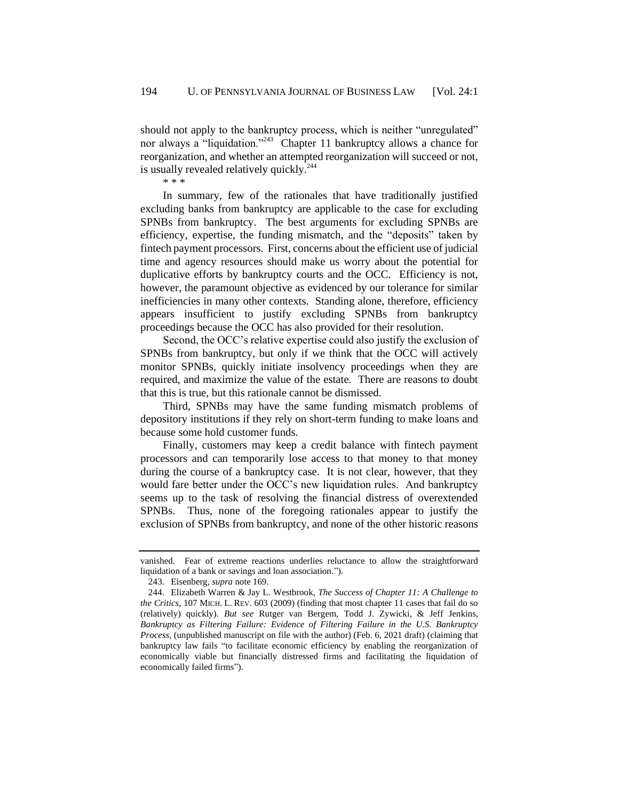should not apply to the bankruptcy process, which is neither "unregulated" nor always a "liquidation."<sup>243</sup> Chapter 11 bankruptcy allows a chance for reorganization, and whether an attempted reorganization will succeed or not, is usually revealed relatively quickly.<sup>244</sup> \* \* \*

In summary, few of the rationales that have traditionally justified excluding banks from bankruptcy are applicable to the case for excluding SPNBs from bankruptcy. The best arguments for excluding SPNBs are efficiency, expertise, the funding mismatch, and the "deposits" taken by fintech payment processors. First, concerns about the efficient use of judicial time and agency resources should make us worry about the potential for duplicative efforts by bankruptcy courts and the OCC. Efficiency is not, however, the paramount objective as evidenced by our tolerance for similar inefficiencies in many other contexts. Standing alone, therefore, efficiency appears insufficient to justify excluding SPNBs from bankruptcy proceedings because the OCC has also provided for their resolution.

Second, the OCC's relative expertise could also justify the exclusion of SPNBs from bankruptcy, but only if we think that the OCC will actively monitor SPNBs, quickly initiate insolvency proceedings when they are required, and maximize the value of the estate. There are reasons to doubt that this is true, but this rationale cannot be dismissed.

Third, SPNBs may have the same funding mismatch problems of depository institutions if they rely on short-term funding to make loans and because some hold customer funds.

Finally, customers may keep a credit balance with fintech payment processors and can temporarily lose access to that money to that money during the course of a bankruptcy case. It is not clear, however, that they would fare better under the OCC's new liquidation rules. And bankruptcy seems up to the task of resolving the financial distress of overextended SPNBs. Thus, none of the foregoing rationales appear to justify the exclusion of SPNBs from bankruptcy, and none of the other historic reasons

vanished. Fear of extreme reactions underlies reluctance to allow the straightforward liquidation of a bank or savings and loan association.").

<sup>243.</sup> Eisenberg, *supra* not[e 169.](#page-36-0)

<sup>244.</sup> Elizabeth Warren & Jay L. Westbrook, *The Success of Chapter 11: A Challenge to the Critics*, 107 MICH. L. REV. 603 (2009) (finding that most chapter 11 cases that fail do so (relatively) quickly). *But see* Rutger van Bergem, Todd J. Zywicki, & Jeff Jenkins, *Bankruptcy as Filtering Failure: Evidence of Filtering Failure in the U.S. Bankruptcy Process,* (unpublished manuscript on file with the author) (Feb. 6, 2021 draft) (claiming that bankruptcy law fails "to facilitate economic efficiency by enabling the reorganization of economically viable but financially distressed firms and facilitating the liquidation of economically failed firms").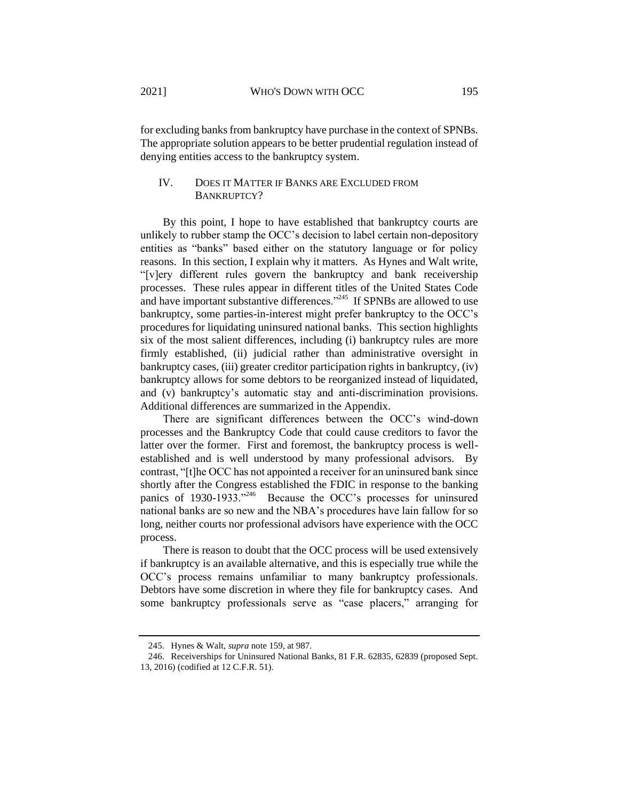for excluding banks from bankruptcy have purchase in the context of SPNBs. The appropriate solution appears to be better prudential regulation instead of denying entities access to the bankruptcy system.

## <span id="page-51-0"></span>IV. DOES IT MATTER IF BANKS ARE EXCLUDED FROM BANKRUPTCY?

By this point, I hope to have established that bankruptcy courts are unlikely to rubber stamp the OCC's decision to label certain non-depository entities as "banks" based either on the statutory language or for policy reasons. In this section, I explain why it matters. As Hynes and Walt write, "[v]ery different rules govern the bankruptcy and bank receivership processes. These rules appear in different titles of the United States Code and have important substantive differences."<sup>245</sup> If SPNBs are allowed to use bankruptcy, some parties-in-interest might prefer bankruptcy to the OCC's procedures for liquidating uninsured national banks. This section highlights six of the most salient differences, including (i) bankruptcy rules are more firmly established, (ii) judicial rather than administrative oversight in bankruptcy cases, (iii) greater creditor participation rights in bankruptcy, (iv) bankruptcy allows for some debtors to be reorganized instead of liquidated, and (v) bankruptcy's automatic stay and anti-discrimination provisions. Additional differences are summarized in the Appendix.

There are significant differences between the OCC's wind-down processes and the Bankruptcy Code that could cause creditors to favor the latter over the former. First and foremost, the bankruptcy process is wellestablished and is well understood by many professional advisors. By contrast, "[t]he OCC has not appointed a receiver for an uninsured bank since shortly after the Congress established the FDIC in response to the banking panics of 1930-1933."<sup>246</sup> Because the OCC's processes for uninsured national banks are so new and the NBA's procedures have lain fallow for so long, neither courts nor professional advisors have experience with the OCC process.

There is reason to doubt that the OCC process will be used extensively if bankruptcy is an available alternative, and this is especially true while the OCC's process remains unfamiliar to many bankruptcy professionals. Debtors have some discretion in where they file for bankruptcy cases. And some bankruptcy professionals serve as "case placers," arranging for

<sup>245.</sup> Hynes & Walt, *supra* not[e 159,](#page-33-0) at 987.

<sup>246.</sup> Receiverships for Uninsured National Banks, 81 F.R. 62835, 62839 (proposed Sept. 13, 2016) (codified at 12 C.F.R. 51).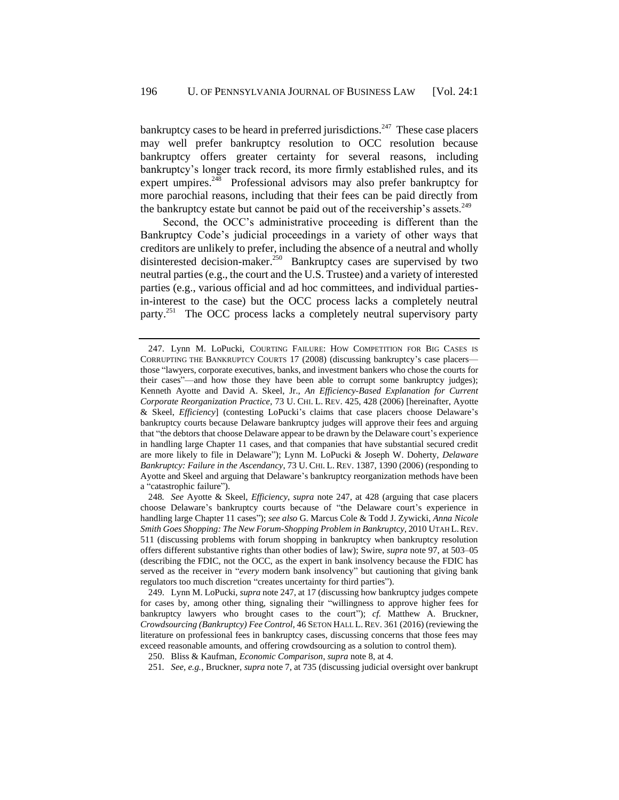<span id="page-52-1"></span>bankruptcy cases to be heard in preferred jurisdictions.<sup>247</sup> These case placers may well prefer bankruptcy resolution to OCC resolution because bankruptcy offers greater certainty for several reasons, including bankruptcy's longer track record, its more firmly established rules, and its expert umpires.<sup>248</sup> Professional advisors may also prefer bankruptcy for more parochial reasons, including that their fees can be paid directly from the bankruptcy estate but cannot be paid out of the receivership's assets.<sup>249</sup>

<span id="page-52-0"></span>Second, the OCC's administrative proceeding is different than the Bankruptcy Code's judicial proceedings in a variety of other ways that creditors are unlikely to prefer, including the absence of a neutral and wholly disinterested decision-maker.<sup>250</sup> Bankruptcy cases are supervised by two neutral parties (e.g., the court and the U.S. Trustee) and a variety of interested parties (e.g., various official and ad hoc committees, and individual partiesin-interest to the case) but the OCC process lacks a completely neutral party.<sup>251</sup> The OCC process lacks a completely neutral supervisory party

251*. See, e.g.*, Bruckner, *supra* note [7,](#page-2-1) at 735 (discussing judicial oversight over bankrupt

<sup>247.</sup> Lynn M. LoPucki, COURTING FAILURE: HOW COMPETITION FOR BIG CASES IS CORRUPTING THE BANKRUPTCY COURTS 17 (2008) (discussing bankruptcy's case placers those "lawyers, corporate executives, banks, and investment bankers who chose the courts for their cases"—and how those they have been able to corrupt some bankruptcy judges); Kenneth Ayotte and David A. Skeel, Jr., *An Efficiency-Based Explanation for Current Corporate Reorganization Practice*, 73 U. CHI. L. REV. 425, 428 (2006) [hereinafter, Ayotte & Skeel, *Efficiency*] (contesting LoPucki's claims that case placers choose Delaware's bankruptcy courts because Delaware bankruptcy judges will approve their fees and arguing that "the debtors that choose Delaware appear to be drawn by the Delaware court's experience in handling large Chapter 11 cases, and that companies that have substantial secured credit are more likely to file in Delaware"); Lynn M. LoPucki & Joseph W. Doherty, *Delaware Bankruptcy: Failure in the Ascendancy*, 73 U. CHI. L. REV. 1387, 1390 (2006) (responding to Ayotte and Skeel and arguing that Delaware's bankruptcy reorganization methods have been a "catastrophic failure").

<sup>248</sup>*. See* Ayotte & Skeel, *Efficiency*, *supra* note [247,](#page-52-1) at 428 (arguing that case placers choose Delaware's bankruptcy courts because of "the Delaware court's experience in handling large Chapter 11 cases"); *see also* G. Marcus Cole & Todd J. Zywicki, *Anna Nicole Smith Goes Shopping: The New Forum-Shopping Problem in Bankruptcy*, 2010 UTAH L.REV. 511 (discussing problems with forum shopping in bankruptcy when bankruptcy resolution offers different substantive rights than other bodies of law); Swire, *supra* not[e 97,](#page-21-1) at 503–05 (describing the FDIC, not the OCC, as the expert in bank insolvency because the FDIC has served as the receiver in "*every* modern bank insolvency" but cautioning that giving bank regulators too much discretion "creates uncertainty for third parties").

<sup>249.</sup> Lynn M. LoPucki, *supra* not[e 247,](#page-52-1) at 17 (discussing how bankruptcy judges compete for cases by, among other thing, signaling their "willingness to approve higher fees for bankruptcy lawyers who brought cases to the court"); *cf.* Matthew A. Bruckner, *Crowdsourcing (Bankruptcy) Fee Control*, 46 SETON HALL L.REV. 361 (2016) (reviewing the literature on professional fees in bankruptcy cases, discussing concerns that those fees may exceed reasonable amounts, and offering crowdsourcing as a solution to control them).

<sup>250.</sup> Bliss & Kaufman, *Economic Comparison*, *supra* not[e 8,](#page-2-0) at 4.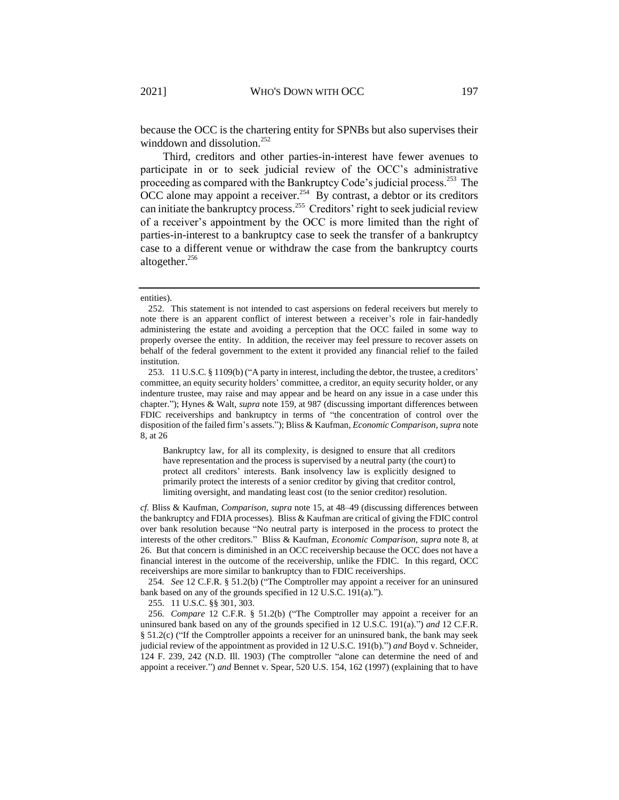because the OCC is the chartering entity for SPNBs but also supervises their winddown and dissolution.<sup>252</sup>

Third, creditors and other parties-in-interest have fewer avenues to participate in or to seek judicial review of the OCC's administrative proceeding as compared with the Bankruptcy Code's judicial process.<sup>253</sup> The OCC alone may appoint a receiver.<sup>254</sup> By contrast, a debtor or its creditors can initiate the bankruptcy process.<sup>255</sup> Creditors' right to seek judicial review of a receiver's appointment by the OCC is more limited than the right of parties-in-interest to a bankruptcy case to seek the transfer of a bankruptcy case to a different venue or withdraw the case from the bankruptcy courts altogether.<sup>256</sup>

Bankruptcy law, for all its complexity, is designed to ensure that all creditors have representation and the process is supervised by a neutral party (the court) to protect all creditors' interests. Bank insolvency law is explicitly designed to primarily protect the interests of a senior creditor by giving that creditor control, limiting oversight, and mandating least cost (to the senior creditor) resolution.

*cf.* Bliss & Kaufman, *Comparison*, *supra* note [15,](#page-4-0) at 48–49 (discussing differences between the bankruptcy and FDIA processes). Bliss & Kaufman are critical of giving the FDIC control over bank resolution because "No neutral party is interposed in the process to protect the interests of the other creditors." Bliss & Kaufman, *Economic Comparison*, *supra* note [8,](#page-2-0) at 26. But that concern is diminished in an OCC receivership because the OCC does not have a financial interest in the outcome of the receivership, unlike the FDIC. In this regard, OCC receiverships are more similar to bankruptcy than to FDIC receiverships.

254*. See* 12 C.F.R. § 51.2(b) ("The Comptroller may appoint a receiver for an uninsured bank based on any of the grounds specified in 12 U.S.C. 191(a).").

255. 11 U.S.C. §§ 301, 303.

256*. Compare* 12 C.F.R. § 51.2(b) ("The Comptroller may appoint a receiver for an uninsured bank based on any of the grounds specified in 12 U.S.C. 191(a).") *and* 12 C.F.R. § 51.2(c) ("If the Comptroller appoints a receiver for an uninsured bank, the bank may seek judicial review of the appointment as provided in 12 U.S.C. 191(b).") *and* Boyd v. Schneider, 124 F. 239, 242 (N.D. Ill. 1903) (The comptroller "alone can determine the need of and appoint a receiver.") *and* Bennet v. Spear, 520 U.S. 154, 162 (1997) (explaining that to have

entities).

<sup>252.</sup> This statement is not intended to cast aspersions on federal receivers but merely to note there is an apparent conflict of interest between a receiver's role in fair-handedly administering the estate and avoiding a perception that the OCC failed in some way to properly oversee the entity. In addition, the receiver may feel pressure to recover assets on behalf of the federal government to the extent it provided any financial relief to the failed institution.

<sup>253.</sup> 11 U.S.C. § 1109(b) ("A party in interest, including the debtor, the trustee, a creditors' committee, an equity security holders' committee, a creditor, an equity security holder, or any indenture trustee, may raise and may appear and be heard on any issue in a case under this chapter."); Hynes & Walt, *supra* note [159,](#page-33-0) at 987 (discussing important differences between FDIC receiverships and bankruptcy in terms of "the concentration of control over the disposition of the failed firm's assets."); Bliss & Kaufman, *Economic Comparison*, *supra* note [8,](#page-2-0) at 26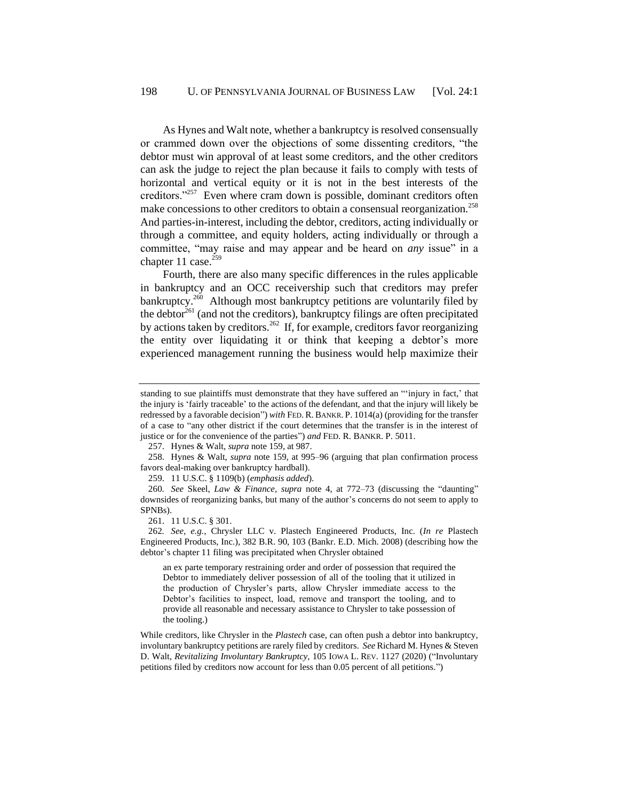As Hynes and Walt note, whether a bankruptcy is resolved consensually or crammed down over the objections of some dissenting creditors, "the debtor must win approval of at least some creditors, and the other creditors can ask the judge to reject the plan because it fails to comply with tests of horizontal and vertical equity or it is not in the best interests of the creditors."<sup>257</sup> Even where cram down is possible, dominant creditors often make concessions to other creditors to obtain a consensual reorganization.<sup>258</sup> And parties-in-interest, including the debtor, creditors, acting individually or through a committee, and equity holders, acting individually or through a committee, "may raise and may appear and be heard on *any* issue" in a chapter 11 case. $259$ 

Fourth, there are also many specific differences in the rules applicable in bankruptcy and an OCC receivership such that creditors may prefer bankruptcy.<sup>260</sup> Although most bankruptcy petitions are voluntarily filed by the debtor<sup>261</sup> (and not the creditors), bankruptcy filings are often precipitated by actions taken by creditors.<sup>262</sup> If, for example, creditors favor reorganizing the entity over liquidating it or think that keeping a debtor's more experienced management running the business would help maximize their

257. Hynes & Walt, *supra* not[e 159,](#page-33-0) at 987.

258. Hynes & Walt, *supra* note [159,](#page-33-0) at 995–96 (arguing that plan confirmation process favors deal-making over bankruptcy hardball).

259. 11 U.S.C. § 1109(b) (*emphasis added*).

260*. See* Skeel, *Law & Finance*, *supra* note [4,](#page-2-3) at 772–73 (discussing the "daunting" downsides of reorganizing banks, but many of the author's concerns do not seem to apply to SPNBs).

261. 11 U.S.C. § 301.

262*. See, e.g.*, Chrysler LLC v. Plastech Engineered Products, Inc. (*In re* Plastech Engineered Products, Inc.), 382 B.R. 90, 103 (Bankr. E.D. Mich. 2008) (describing how the debtor's chapter 11 filing was precipitated when Chrysler obtained

an ex parte temporary restraining order and order of possession that required the Debtor to immediately deliver possession of all of the tooling that it utilized in the production of Chrysler's parts, allow Chrysler immediate access to the Debtor's facilities to inspect, load, remove and transport the tooling, and to provide all reasonable and necessary assistance to Chrysler to take possession of the tooling.)

While creditors, like Chrysler in the *Plastech* case, can often push a debtor into bankruptcy, involuntary bankruptcy petitions are rarely filed by creditors. *See* Richard M. Hynes & Steven D. Walt, *Revitalizing Involuntary Bankruptcy,* 105 IOWA L. REV. 1127 (2020) ("Involuntary petitions filed by creditors now account for less than 0.05 percent of all petitions.")

standing to sue plaintiffs must demonstrate that they have suffered an "'injury in fact,' that the injury is 'fairly traceable' to the actions of the defendant, and that the injury will likely be redressed by a favorable decision") *with* FED. R.BANKR. P. 1014(a) (providing for the transfer of a case to "any other district if the court determines that the transfer is in the interest of justice or for the convenience of the parties") *and* FED. R. BANKR. P. 5011.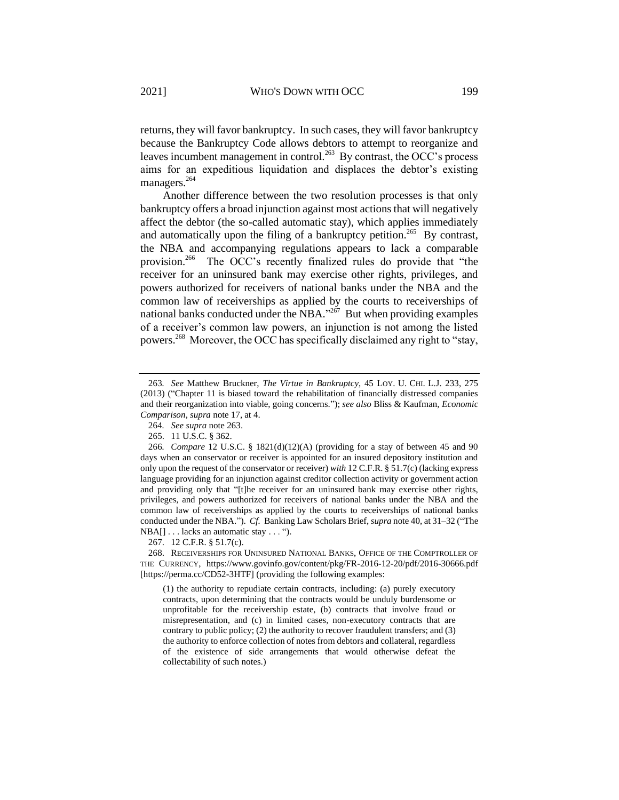<span id="page-55-0"></span>returns, they will favor bankruptcy. In such cases, they will favor bankruptcy because the Bankruptcy Code allows debtors to attempt to reorganize and leaves incumbent management in control.<sup>263</sup> By contrast, the OCC's process aims for an expeditious liquidation and displaces the debtor's existing managers.<sup>264</sup>

Another difference between the two resolution processes is that only bankruptcy offers a broad injunction against most actions that will negatively affect the debtor (the so-called automatic stay), which applies immediately and automatically upon the filing of a bankruptcy petition.<sup>265</sup> By contrast, the NBA and accompanying regulations appears to lack a comparable provision.<sup>266</sup> The OCC's recently finalized rules do provide that "the receiver for an uninsured bank may exercise other rights, privileges, and powers authorized for receivers of national banks under the NBA and the common law of receiverships as applied by the courts to receiverships of national banks conducted under the NBA."<sup>267</sup> But when providing examples of a receiver's common law powers, an injunction is not among the listed powers.<sup>268</sup> Moreover, the OCC has specifically disclaimed any right to "stay,

267. 12 C.F.R. § 51.7(c).

268. RECEIVERSHIPS FOR UNINSURED NATIONAL BANKS, OFFICE OF THE COMPTROLLER OF THE CURRENCY, https://www.govinfo.gov/content/pkg/FR-2016-12-20/pdf/2016-30666.pdf [https://perma.cc/CD52-3HTF] (providing the following examples:

(1) the authority to repudiate certain contracts, including: (a) purely executory contracts, upon determining that the contracts would be unduly burdensome or unprofitable for the receivership estate, (b) contracts that involve fraud or misrepresentation, and (c) in limited cases, non-executory contracts that are contrary to public policy; (2) the authority to recover fraudulent transfers; and (3) the authority to enforce collection of notes from debtors and collateral, regardless of the existence of side arrangements that would otherwise defeat the collectability of such notes.)

<sup>263</sup>*. See* Matthew Bruckner, *The Virtue in Bankruptcy*, 45 LOY. U. CHI. L.J. 233, 275 (2013) ("Chapter 11 is biased toward the rehabilitation of financially distressed companies and their reorganization into viable, going concerns."); *see also* Bliss & Kaufman, *Economic Comparison*, *supra* note [17,](#page-5-0) at 4.

<sup>264</sup>*. See supra* not[e 263.](#page-55-0)

<sup>265.</sup> 11 U.S.C. § 362.

<sup>266</sup>*. Compare* 12 U.S.C. § 1821(d)(12)(A) (providing for a stay of between 45 and 90 days when an conservator or receiver is appointed for an insured depository institution and only upon the request of the conservator or receiver) *with* 12 C.F.R. § 51.7(c) (lacking express language providing for an injunction against creditor collection activity or government action and providing only that "[t]he receiver for an uninsured bank may exercise other rights, privileges, and powers authorized for receivers of national banks under the NBA and the common law of receiverships as applied by the courts to receiverships of national banks conducted under the NBA."). *Cf.* Banking Law Scholars Brief, *supra* not[e 40,](#page-10-0) at 31–32 ("The NBA[] . . . lacks an automatic stay . . . ").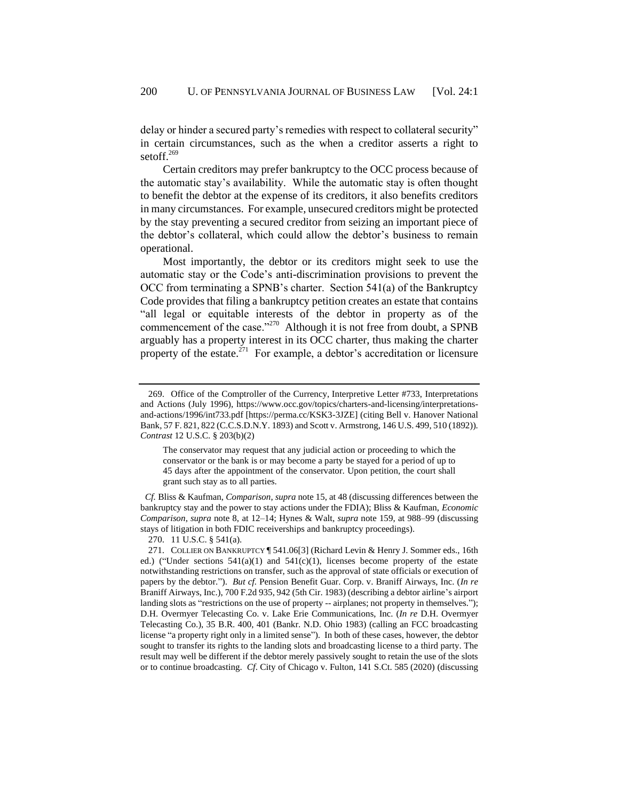delay or hinder a secured party's remedies with respect to collateral security" in certain circumstances, such as the when a creditor asserts a right to setoff.<sup>269</sup>

Certain creditors may prefer bankruptcy to the OCC process because of the automatic stay's availability. While the automatic stay is often thought to benefit the debtor at the expense of its creditors, it also benefits creditors in many circumstances. For example, unsecured creditors might be protected by the stay preventing a secured creditor from seizing an important piece of the debtor's collateral, which could allow the debtor's business to remain operational.

Most importantly, the debtor or its creditors might seek to use the automatic stay or the Code's anti-discrimination provisions to prevent the OCC from terminating a SPNB's charter. Section 541(a) of the Bankruptcy Code provides that filing a bankruptcy petition creates an estate that contains "all legal or equitable interests of the debtor in property as of the commencement of the case."<sup>270</sup> Although it is not free from doubt, a SPNB arguably has a property interest in its OCC charter, thus making the charter property of the estate.<sup>271</sup> For example, a debtor's accreditation or licensure

The conservator may request that any judicial action or proceeding to which the conservator or the bank is or may become a party be stayed for a period of up to 45 days after the appointment of the conservator. Upon petition, the court shall grant such stay as to all parties.

 *Cf.* Bliss & Kaufman, *Comparison*, *supra* not[e 15,](#page-4-0) at 48 (discussing differences between the bankruptcy stay and the power to stay actions under the FDIA); Bliss & Kaufman, *Economic Comparison*, *supra* note [8,](#page-2-0) at 12–14; Hynes & Walt, *supra* note [159,](#page-33-0) at 988–99 (discussing stays of litigation in both FDIC receiverships and bankruptcy proceedings).

270. 11 U.S.C. § 541(a).

<sup>269.</sup> Office of the Comptroller of the Currency, Interpretive Letter #733, Interpretations and Actions (July 1996), https://www.occ.gov/topics/charters-and-licensing/interpretationsand-actions/1996/int733.pdf [https://perma.cc/KSK3-3JZE] (citing Bell v. Hanover National Bank, 57 F. 821, 822 (C.C.S.D.N.Y. 1893) and Scott v. Armstrong, 146 U.S. 499, 510 (1892)). *Contrast* 12 U.S.C. § 203(b)(2)

<sup>271.</sup> COLLIER ON BANKRUPTCY ¶ 541.06[3] (Richard Levin & Henry J. Sommer eds., 16th ed.) ("Under sections  $541(a)(1)$  and  $541(c)(1)$ , licenses become property of the estate notwithstanding restrictions on transfer, such as the approval of state officials or execution of papers by the debtor."). *But cf.* Pension Benefit Guar. Corp. v. Braniff Airways, Inc. (*In re* Braniff Airways, Inc.), 700 F.2d 935, 942 (5th Cir. 1983) (describing a debtor airline's airport landing slots as "restrictions on the use of property -- airplanes; not property in themselves."); D.H. Overmyer Telecasting Co. v. Lake Erie Communications, Inc. (*In re* D.H. Overmyer Telecasting Co.), 35 B.R. 400, 401 (Bankr. N.D. Ohio 1983) (calling an FCC broadcasting license "a property right only in a limited sense"). In both of these cases, however, the debtor sought to transfer its rights to the landing slots and broadcasting license to a third party. The result may well be different if the debtor merely passively sought to retain the use of the slots or to continue broadcasting. *Cf*. City of Chicago v. Fulton, 141 S.Ct. 585 (2020) (discussing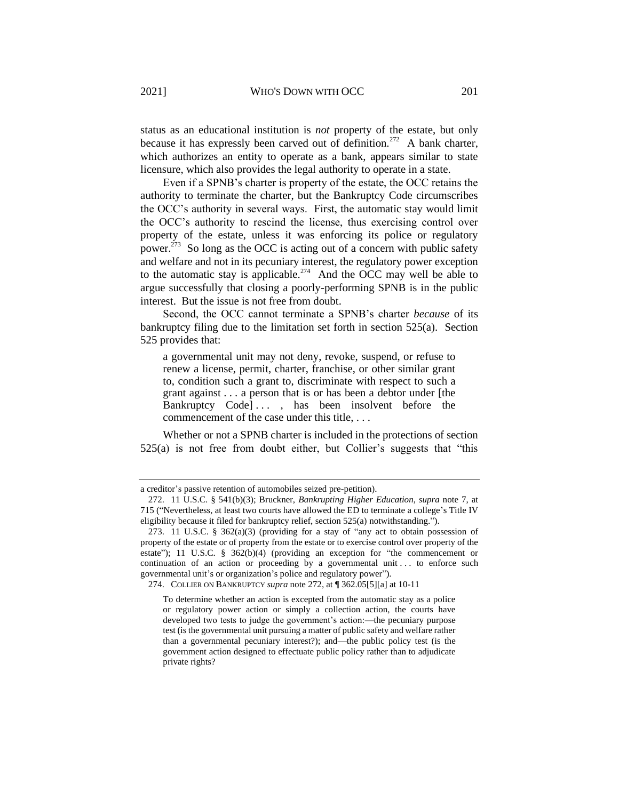<span id="page-57-0"></span>status as an educational institution is *not* property of the estate, but only because it has expressly been carved out of definition.<sup>272</sup> A bank charter, which authorizes an entity to operate as a bank, appears similar to state licensure, which also provides the legal authority to operate in a state.

Even if a SPNB's charter is property of the estate, the OCC retains the authority to terminate the charter, but the Bankruptcy Code circumscribes the OCC's authority in several ways. First, the automatic stay would limit the OCC's authority to rescind the license, thus exercising control over property of the estate, unless it was enforcing its police or regulatory power.<sup>273</sup> So long as the OCC is acting out of a concern with public safety and welfare and not in its pecuniary interest, the regulatory power exception to the automatic stay is applicable.<sup>274</sup> And the OCC may well be able to argue successfully that closing a poorly-performing SPNB is in the public interest. But the issue is not free from doubt.

Second, the OCC cannot terminate a SPNB's charter *because* of its bankruptcy filing due to the limitation set forth in section 525(a). Section 525 provides that:

a governmental unit may not deny, revoke, suspend, or refuse to renew a license, permit, charter, franchise, or other similar grant to, condition such a grant to, discriminate with respect to such a grant against . . . a person that is or has been a debtor under [the Bankruptcy Code]..., has been insolvent before the commencement of the case under this title, . . .

Whether or not a SPNB charter is included in the protections of section 525(a) is not free from doubt either, but Collier's suggests that "this

274. COLLIER ON BANKRUPTCY *supra* not[e 272,](#page-57-0) at ¶ 362.05[5][a] at 10-11

a creditor's passive retention of automobiles seized pre-petition).

<sup>272.</sup> 11 U.S.C. § 541(b)(3); Bruckner, *Bankrupting Higher Education*, *supra* note [7,](#page-2-1) at 715 ("Nevertheless, at least two courts have allowed the ED to terminate a college's Title IV eligibility because it filed for bankruptcy relief, section 525(a) notwithstanding.").

<sup>273.</sup> 11 U.S.C. § 362(a)(3) (providing for a stay of "any act to obtain possession of property of the estate or of property from the estate or to exercise control over property of the estate"); 11 U.S.C. § 362(b)(4) (providing an exception for "the commencement or continuation of an action or proceeding by a governmental unit ... to enforce such governmental unit's or organization's police and regulatory power").

To determine whether an action is excepted from the automatic stay as a police or regulatory power action or simply a collection action, the courts have developed two tests to judge the government's action:—the pecuniary purpose test (is the governmental unit pursuing a matter of public safety and welfare rather than a governmental pecuniary interest?); and—the public policy test (is the government action designed to effectuate public policy rather than to adjudicate private rights?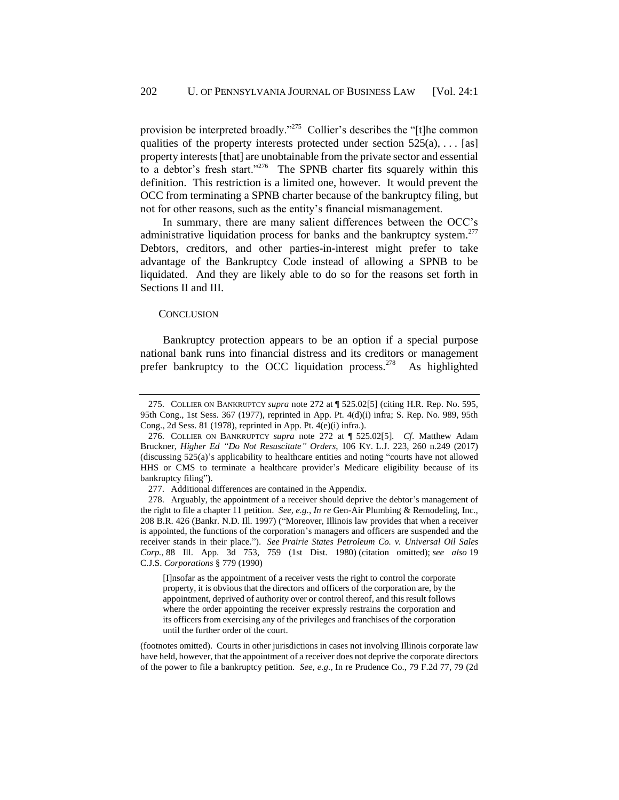provision be interpreted broadly."<sup>275</sup> Collier's describes the "[t]he common qualities of the property interests protected under section  $525(a)$ , ... [as] property interests [that] are unobtainable from the private sector and essential to a debtor's fresh start."<sup>276</sup> The SPNB charter fits squarely within this definition. This restriction is a limited one, however. It would prevent the OCC from terminating a SPNB charter because of the bankruptcy filing, but not for other reasons, such as the entity's financial mismanagement.

In summary, there are many salient differences between the OCC's administrative liquidation process for banks and the bankruptcy system.<sup>277</sup> Debtors, creditors, and other parties-in-interest might prefer to take advantage of the Bankruptcy Code instead of allowing a SPNB to be liquidated. And they are likely able to do so for the reasons set forth in Sections II and III.

#### **CONCLUSION**

Bankruptcy protection appears to be an option if a special purpose national bank runs into financial distress and its creditors or management prefer bankruptcy to the OCC liquidation process.<sup>278</sup> As highlighted

[I]nsofar as the appointment of a receiver vests the right to control the corporate property, it is obvious that the directors and officers of the corporation are, by the appointment, deprived of authority over or control thereof, and this result follows where the order appointing the receiver expressly restrains the corporation and its officers from exercising any of the privileges and franchises of the corporation until the further order of the court.

(footnotes omitted). Courts in other jurisdictions in cases not involving Illinois corporate law have held, however, that the appointment of a receiver does not deprive the corporate directors of the power to file a bankruptcy petition. *See, e.g.,* In re Prudence Co., 79 F.2d 77, 79 (2d

<sup>275.</sup> COLLIER ON BANKRUPTCY *supra* not[e 272](#page-57-0) at ¶ 525.02[5] (citing H.R. Rep. No. 595, 95th Cong., 1st Sess. 367 (1977), reprinted in App. Pt. 4(d)(i) infra; S. Rep. No. 989, 95th Cong., 2d Sess. 81 (1978), reprinted in App. Pt. 4(e)(i) infra.).

<sup>276.</sup> COLLIER ON BANKRUPTCY *supra* note [272](#page-57-0) at ¶ 525.02[5]. *Cf*. Matthew Adam Bruckner, *Higher Ed "Do Not Resuscitate" Orders*, 106 KY. L.J. 223, 260 n.249 (2017) (discussing 525(a)'s applicability to healthcare entities and noting "courts have not allowed HHS or CMS to terminate a healthcare provider's Medicare eligibility because of its bankruptcy filing").

<sup>277.</sup> Additional differences are contained in the Appendix.

<sup>278.</sup> Arguably, the appointment of a receiver should deprive the debtor's management of the right to file a chapter 11 petition. *See, e.g.*, *In re* Gen-Air Plumbing & Remodeling, Inc., 208 B.R. 426 (Bankr. N.D. Ill. 1997) ("Moreover, Illinois law provides that when a receiver is appointed, the functions of the corporation's managers and officers are suspended and the receiver stands in their place."). *See Prairie States Petroleum Co. v. Universal Oil Sales Corp.,* 88 Ill. App. 3d 753, 759 (1st Dist. 1980) (citation omitted); *see also* 19 C.J.S. *Corporations* § 779 (1990)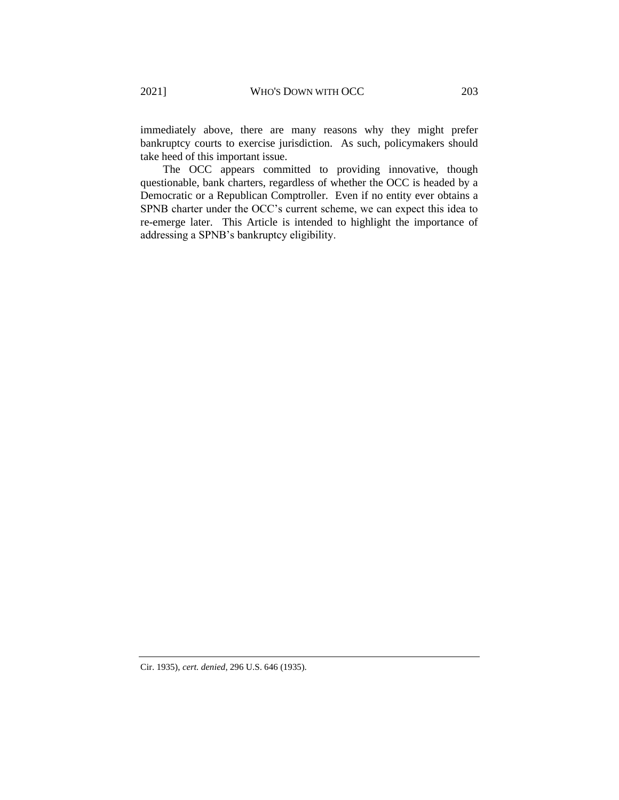immediately above, there are many reasons why they might prefer bankruptcy courts to exercise jurisdiction. As such, policymakers should take heed of this important issue.

The OCC appears committed to providing innovative, though questionable, bank charters, regardless of whether the OCC is headed by a Democratic or a Republican Comptroller. Even if no entity ever obtains a SPNB charter under the OCC's current scheme, we can expect this idea to re-emerge later. This Article is intended to highlight the importance of addressing a SPNB's bankruptcy eligibility.

Cir. 1935), *cert. denied*, 296 U.S. 646 (1935).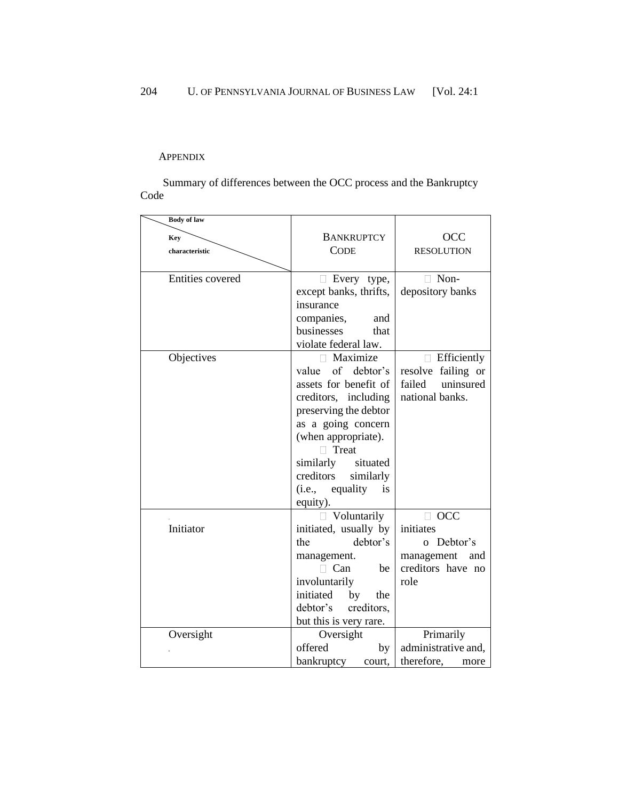## <span id="page-60-0"></span>APPENDIX

Summary of differences between the OCC process and the Bankruptcy Code

| <b>Body of law</b>      |                         |                     |
|-------------------------|-------------------------|---------------------|
| <b>Key</b>              | <b>BANKRUPTCY</b>       | <b>OCC</b>          |
| characteristic          | <b>CODE</b>             | <b>RESOLUTION</b>   |
|                         |                         |                     |
| <b>Entities covered</b> | Every type,             | Non-<br>П           |
|                         | except banks, thrifts,  | depository banks    |
|                         | insurance               |                     |
|                         | companies,<br>and       |                     |
|                         | businesses<br>that      |                     |
|                         | violate federal law.    |                     |
| Objectives              | Maximize<br>n.          | Efficiently         |
|                         | of debtor's<br>value    | resolve failing or  |
|                         | assets for benefit of   | uninsured<br>failed |
|                         | creditors, including    | national banks.     |
|                         | preserving the debtor   |                     |
|                         | as a going concern      |                     |
|                         | (when appropriate).     |                     |
|                         | Treat                   |                     |
|                         | similarly<br>situated   |                     |
|                         | creditors<br>similarly  |                     |
|                         | $(i.e.,$ equality<br>is |                     |
|                         | equity).                |                     |
|                         | Voluntarily             | $\Box$ OCC          |
| Initiator               | initiated, usually by   | initiates           |
|                         | debtor's<br>the         | o Debtor's          |
|                         | management.             | management<br>and   |
|                         | Can<br>be               | creditors have no   |
|                         | involuntarily           | role                |
|                         | initiated<br>by<br>the  |                     |
|                         | debtor's<br>creditors,  |                     |
|                         | but this is very rare.  |                     |
| Oversight               | Oversight               | Primarily           |
|                         | offered<br>by           | administrative and, |
|                         | bankruptcy<br>court,    | therefore,<br>more  |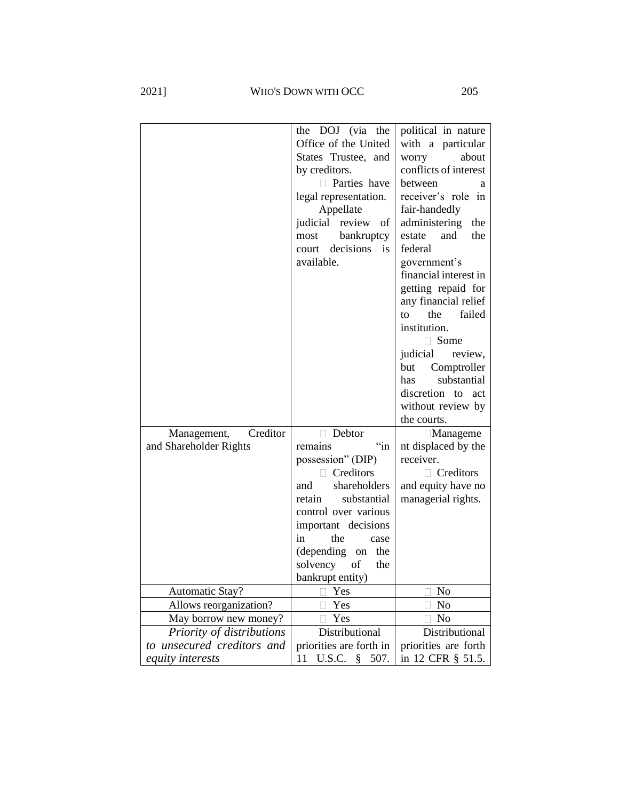2021] WHO'S DOWN WITH OCC 205

|                            | the DOJ (via the         | political in nature   |
|----------------------------|--------------------------|-----------------------|
|                            | Office of the United     | with a particular     |
|                            | States Trustee, and      | worry<br>about        |
|                            | by creditors.            | conflicts of interest |
|                            | Parties have             | between<br>a          |
|                            | legal representation.    | receiver's role in    |
|                            | Appellate                | fair-handedly         |
|                            | judicial<br>review of    | administering<br>the  |
|                            | bankruptcy<br>most       | estate<br>and<br>the  |
|                            | decisions<br>is<br>court | federal               |
|                            | available.               | government's          |
|                            |                          | financial interest in |
|                            |                          | getting repaid for    |
|                            |                          | any financial relief  |
|                            |                          | the<br>failed<br>to   |
|                            |                          | institution.          |
|                            |                          | □ Some                |
|                            |                          | judicial<br>review,   |
|                            |                          | Comptroller<br>but    |
|                            |                          | substantial<br>has    |
|                            |                          | discretion to act     |
|                            |                          | without review by     |
|                            |                          | the courts.           |
| Creditor<br>Management,    | Debtor<br>H              | $\Box$ Manageme       |
| and Shareholder Rights     | $\lq$ in<br>remains      | nt displaced by the   |
|                            | possession" (DIP)        | receiver.             |
|                            | Creditors<br>n.          | $\Box$ Creditors      |
|                            | shareholders<br>and      | and equity have no    |
|                            | substantial<br>retain    | managerial rights.    |
|                            | control over various     |                       |
|                            | important decisions      |                       |
|                            | in<br>the<br>case        |                       |
|                            | (depending<br>on the     |                       |
|                            | solvency<br>of<br>the    |                       |
|                            | bankrupt entity)         |                       |
| <b>Automatic Stay?</b>     | Yes                      | No                    |
| Allows reorganization?     | Yes                      | N <sub>0</sub>        |
| May borrow new money?      | Yes                      | N <sub>o</sub>        |
| Priority of distributions  | Distributional           | Distributional        |
| to unsecured creditors and | priorities are forth in  | priorities are forth  |
|                            | U.S.C. § 507.            |                       |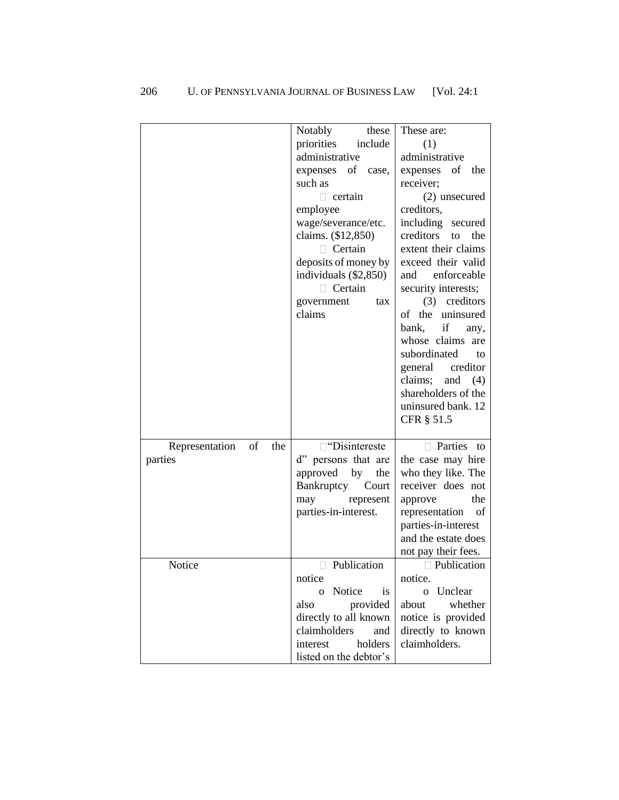|                                        | Notably<br>these<br>priorities<br>include<br>administrative<br>expenses<br>of<br>case,<br>such as<br>$\Box$ certain<br>employee<br>wage/severance/etc.<br>claims. (\$12,850)<br>$\Box$ Certain<br>deposits of money by<br>individuals $(\$2,850)$<br>$\Box$ Certain<br>government<br>tax<br>claims | These are:<br>(1)<br>administrative<br>of<br>expenses<br>the<br>receiver;<br>(2) unsecured<br>creditors,<br>including secured<br>creditors<br>to<br>the<br>extent their claims<br>exceed their valid<br>enforceable<br>and<br>security interests;<br>(3) creditors<br>of the uninsured<br>bank,<br>if<br>any,<br>whose claims are<br>subordinated<br>to |
|----------------------------------------|----------------------------------------------------------------------------------------------------------------------------------------------------------------------------------------------------------------------------------------------------------------------------------------------------|---------------------------------------------------------------------------------------------------------------------------------------------------------------------------------------------------------------------------------------------------------------------------------------------------------------------------------------------------------|
|                                        |                                                                                                                                                                                                                                                                                                    | general creditor<br>claims;<br>and $(4)$<br>shareholders of the<br>uninsured bank. 12<br>CFR § 51.5                                                                                                                                                                                                                                                     |
|                                        |                                                                                                                                                                                                                                                                                                    |                                                                                                                                                                                                                                                                                                                                                         |
| Representation<br>of<br>the<br>parties | □ "Disintereste<br>d" persons that are<br>approved<br>by<br>the<br>Bankruptcy<br>Court<br>represent<br>may<br>parties-in-interest.                                                                                                                                                                 | Parties to<br>the case may hire<br>who they like. The<br>receiver does not<br>the<br>approve<br>representation<br>of<br>parties-in-interest<br>and the estate does<br>not pay their fees.                                                                                                                                                               |
| Notice                                 | Publication<br>notice<br>o Notice<br>is<br>also<br>provided<br>directly to all known<br>claimholders<br>and<br>holders<br>interest<br>listed on the debtor's                                                                                                                                       | □ Publication<br>notice.<br>o Unclear<br>about<br>whether<br>notice is provided<br>directly to known<br>claimholders.                                                                                                                                                                                                                                   |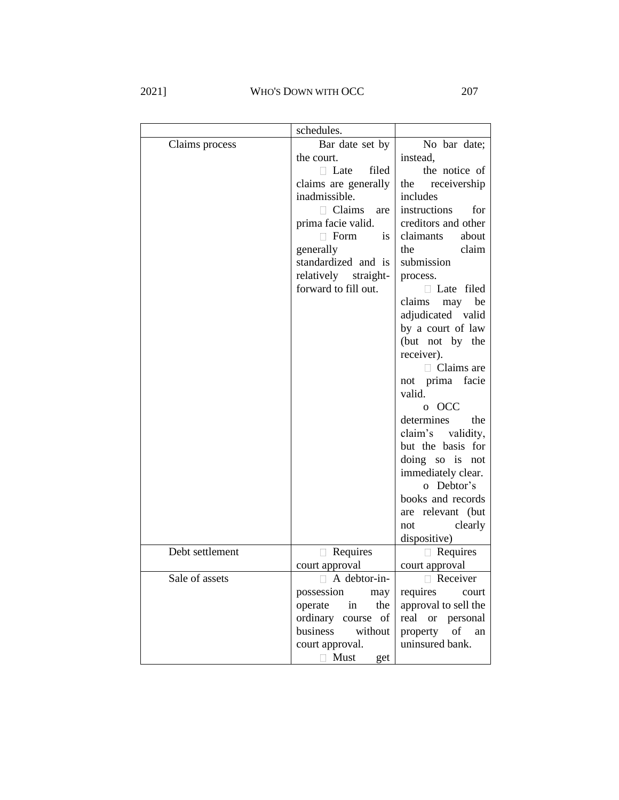2021] WHO'S DOWN WITH OCC 207

|                 | schedules.           |                      |
|-----------------|----------------------|----------------------|
| Claims process  | Bar date set by      | No bar date;         |
|                 | the court.           | instead,             |
|                 | Late<br>filed<br>П.  | the notice of        |
|                 | claims are generally | the<br>receivership  |
|                 | inadmissible.        | includes             |
|                 | $\Box$ Claims are    | instructions<br>for  |
|                 | prima facie valid.   | creditors and other  |
|                 | Form<br><i>is</i>    | claimants<br>about   |
|                 | generally            | claim<br>the         |
|                 | standardized and is  | submission           |
|                 | relatively straight- | process.             |
|                 | forward to fill out. | Late filed           |
|                 |                      | may be<br>claims     |
|                 |                      | adjudicated valid    |
|                 |                      | by a court of law    |
|                 |                      | (but not by the      |
|                 |                      | receiver).           |
|                 |                      | $\Box$ Claims are    |
|                 |                      | not prima facie      |
|                 |                      | valid.               |
|                 |                      | o OCC                |
|                 |                      | determines<br>the    |
|                 |                      | claim's validity,    |
|                 |                      | but the basis for    |
|                 |                      | doing so is not      |
|                 |                      | immediately clear.   |
|                 |                      | Debtor's<br>$\Omega$ |
|                 |                      | books and records    |
|                 |                      | are relevant (but    |
|                 |                      | clearly<br>not       |
|                 |                      | dispositive)         |
| Debt settlement | Requires             | $\Box$ Requires      |
|                 | court approval       | court approval       |
| Sale of assets  | A debtor-in-         | Receiver             |
|                 | possession<br>may    | requires<br>court    |
|                 | in<br>the<br>operate | approval to sell the |
|                 | ordinary course of   | real or<br>personal  |
|                 | business<br>without  | of<br>property<br>an |
|                 | court approval.      | uninsured bank.      |
|                 | $\Box$ Must<br>get   |                      |